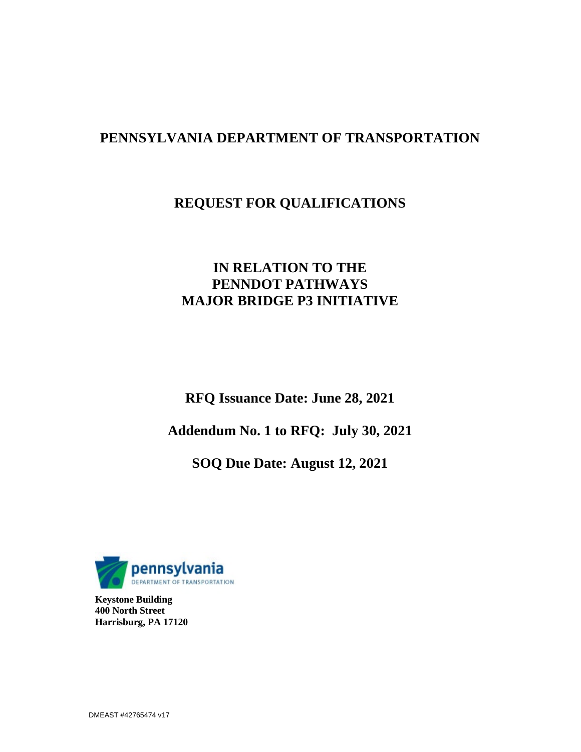# **PENNSYLVANIA DEPARTMENT OF TRANSPORTATION**

# **REQUEST FOR QUALIFICATIONS**

# **IN RELATION TO THE PENNDOT PATHWAYS MAJOR BRIDGE P3 INITIATIVE**

**RFQ Issuance Date: June 28, 2021** 

**Addendum No. 1 to RFQ: July 30, 2021** 

**SOQ Due Date: August 12, 2021**



**Keystone Building 400 North Street Harrisburg, PA 17120**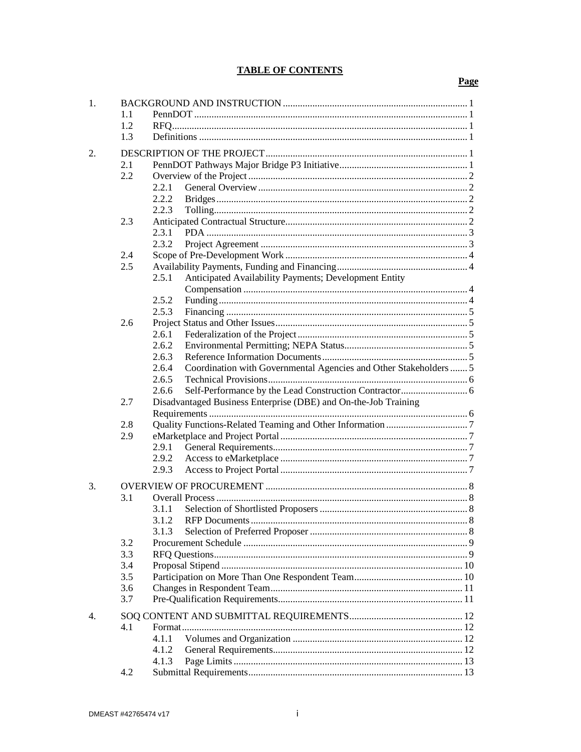## **TABLE OF CONTENTS**

| 1.             |     |                                                                          |  |  |  |
|----------------|-----|--------------------------------------------------------------------------|--|--|--|
|                | 1.1 |                                                                          |  |  |  |
|                | 1.2 |                                                                          |  |  |  |
|                | 1.3 |                                                                          |  |  |  |
| 2.             |     |                                                                          |  |  |  |
|                | 2.1 |                                                                          |  |  |  |
|                | 2.2 |                                                                          |  |  |  |
|                |     | 2.2.1                                                                    |  |  |  |
|                |     | 2.2.2                                                                    |  |  |  |
|                |     | 2.2.3                                                                    |  |  |  |
|                | 2.3 |                                                                          |  |  |  |
|                |     | 2.3.1                                                                    |  |  |  |
|                |     | 2.3.2                                                                    |  |  |  |
|                | 2.4 |                                                                          |  |  |  |
|                | 2.5 |                                                                          |  |  |  |
|                |     | 2.5.1<br>Anticipated Availability Payments; Development Entity           |  |  |  |
|                |     |                                                                          |  |  |  |
|                |     | 2.5.2                                                                    |  |  |  |
|                |     | 2.5.3                                                                    |  |  |  |
|                | 2.6 |                                                                          |  |  |  |
|                |     | 2.6.1                                                                    |  |  |  |
|                |     | 2.6.2                                                                    |  |  |  |
|                |     | 2.6.3                                                                    |  |  |  |
|                |     | Coordination with Governmental Agencies and Other Stakeholders5<br>2.6.4 |  |  |  |
|                |     | 2.6.5                                                                    |  |  |  |
|                |     | 2.6.6                                                                    |  |  |  |
|                | 2.7 | Disadvantaged Business Enterprise (DBE) and On-the-Job Training          |  |  |  |
|                |     |                                                                          |  |  |  |
|                | 2.8 |                                                                          |  |  |  |
|                | 2.9 |                                                                          |  |  |  |
|                |     | 2.9.1                                                                    |  |  |  |
|                |     | 2.9.2                                                                    |  |  |  |
|                |     | 2.9.3                                                                    |  |  |  |
| 3.             |     |                                                                          |  |  |  |
|                | 3.1 |                                                                          |  |  |  |
|                |     | 3.1.1                                                                    |  |  |  |
|                |     | 3.1.2                                                                    |  |  |  |
|                |     | 3.1.3                                                                    |  |  |  |
|                | 3.2 |                                                                          |  |  |  |
|                | 3.3 |                                                                          |  |  |  |
|                | 3.4 |                                                                          |  |  |  |
|                | 3.5 |                                                                          |  |  |  |
|                | 3.6 |                                                                          |  |  |  |
|                | 3.7 |                                                                          |  |  |  |
| $\mathbf{4}$ . |     |                                                                          |  |  |  |
|                | 4.1 |                                                                          |  |  |  |
|                |     | 4.1.1                                                                    |  |  |  |
|                |     | 4.1.2                                                                    |  |  |  |
|                |     | 4.1.3                                                                    |  |  |  |
|                | 4.2 |                                                                          |  |  |  |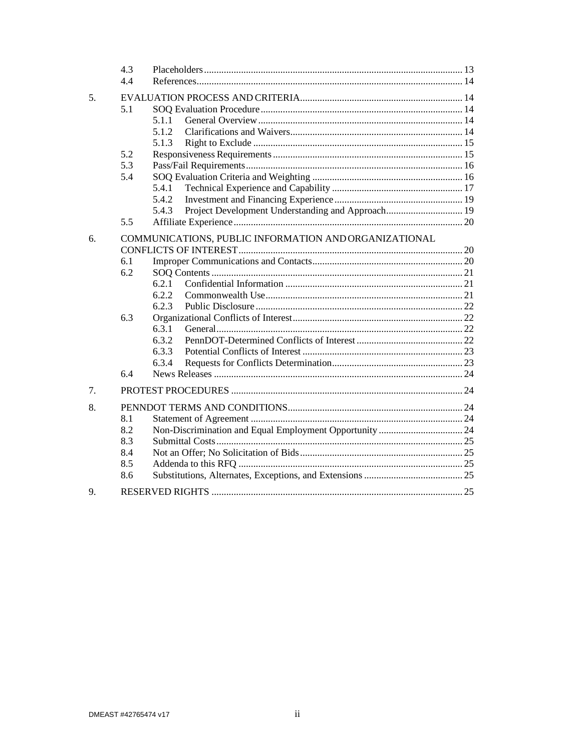|    | 4.3        |                                                            |  |
|----|------------|------------------------------------------------------------|--|
|    | 4.4        |                                                            |  |
| 5. |            |                                                            |  |
|    | 5.1        |                                                            |  |
|    |            | 5.1.1                                                      |  |
|    |            | 5.1.2                                                      |  |
|    |            | 5.1.3                                                      |  |
|    | 5.2        |                                                            |  |
|    | 5.3        |                                                            |  |
|    | 5.4        |                                                            |  |
|    |            | 5.4.1                                                      |  |
|    |            | 5.4.2                                                      |  |
|    |            | Project Development Understanding and Approach 19<br>5.4.3 |  |
|    | 5.5        |                                                            |  |
| 6. |            | COMMUNICATIONS, PUBLIC INFORMATION AND ORGANIZATIONAL      |  |
|    |            |                                                            |  |
|    | 6.1        |                                                            |  |
|    | 6.2        |                                                            |  |
|    |            | 6.2.1                                                      |  |
|    |            | 6.2.2                                                      |  |
|    |            | 6.2.3                                                      |  |
|    | 6.3        |                                                            |  |
|    |            | 6.3.1                                                      |  |
|    |            | 6.3.2                                                      |  |
|    |            | 6.3.3                                                      |  |
|    |            | 6.3.4                                                      |  |
|    | 6.4        |                                                            |  |
| 7. |            |                                                            |  |
|    |            |                                                            |  |
| 8. |            |                                                            |  |
|    | 8.1<br>8.2 |                                                            |  |
|    |            |                                                            |  |
|    | 8.3<br>8.4 |                                                            |  |
|    | 8.5        |                                                            |  |
|    | 8.6        |                                                            |  |
|    |            |                                                            |  |
| 9. |            |                                                            |  |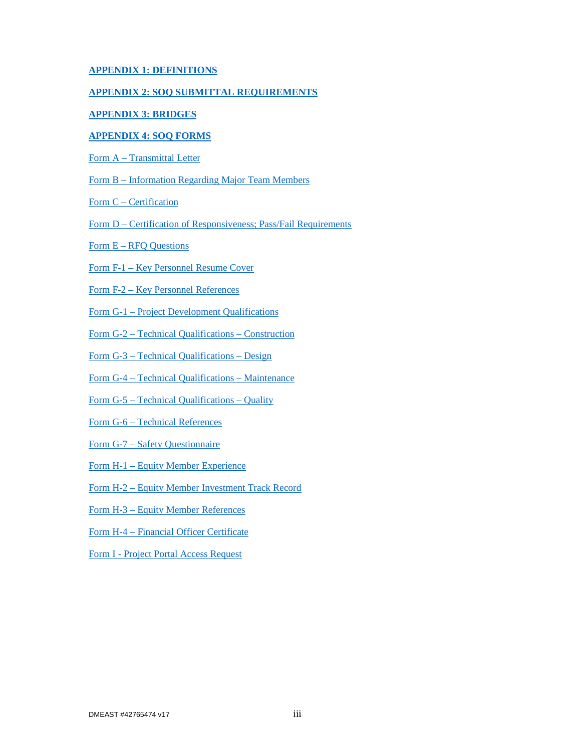## **APPENDIX 1: DEFINITIONS**

## **APPENDIX 2: SOQ SUBMITTAL REQUIREMENTS**

## **APPENDIX 3: BRIDGES**

### **APPENDIX 4: SOQ FORMS**

Form A – Transmittal Letter

Form B – Information Regarding Major Team Members

- Form C Certification
- Form D Certification of Responsiveness; Pass/Fail Requirements
- Form E RFQ Questions

Form F-1 – Key Personnel Resume Cover

Form F-2 – Key Personnel References

Form G-1 – Project Development Qualifications

Form G-2 – Technical Qualifications – Construction

Form G-3 – Technical Qualifications – Design

Form G-4 – Technical Qualifications – Maintenance

Form G-5 – Technical Qualifications – Quality

Form G-6 – Technical References

- Form G-7 Safety Questionnaire
- Form H-1 Equity Member Experience
- Form H-2 Equity Member Investment Track Record
- Form H-3 Equity Member References
- Form H-4 Financial Officer Certificate

Form I - Project Portal Access Request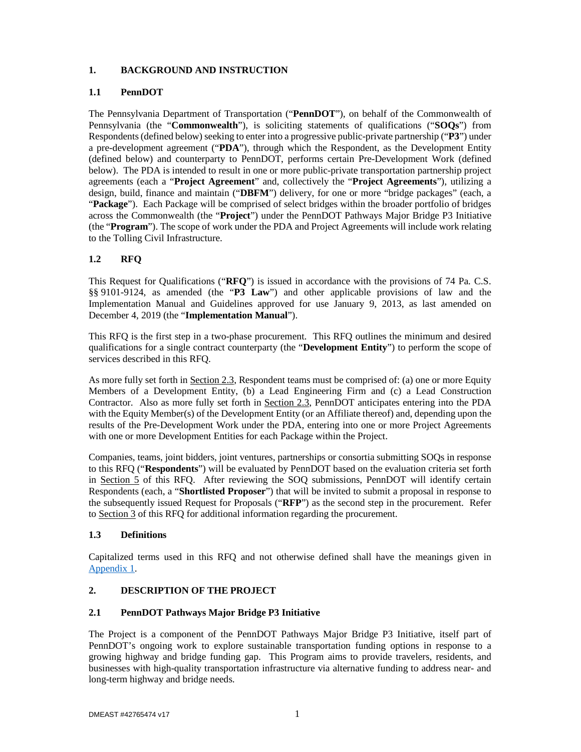## **1. BACKGROUND AND INSTRUCTION**

## **1.1 PennDOT**

The Pennsylvania Department of Transportation ("**PennDOT**"), on behalf of the Commonwealth of Pennsylvania (the "**Commonwealth**"), is soliciting statements of qualifications ("**SOQs**") from Respondents (defined below) seeking to enter into a progressive public-private partnership ("**P3**") under a pre-development agreement ("**PDA**"), through which the Respondent, as the Development Entity (defined below) and counterparty to PennDOT, performs certain Pre-Development Work (defined below). The PDA is intended to result in one or more public-private transportation partnership project agreements (each a "**Project Agreement**" and, collectively the "**Project Agreements**"), utilizing a design, build, finance and maintain ("**DBFM**") delivery, for one or more "bridge packages" (each, a "**Package**"). Each Package will be comprised of select bridges within the broader portfolio of bridges across the Commonwealth (the "**Project**") under the PennDOT Pathways Major Bridge P3 Initiative (the "**Program**"). The scope of work under the PDA and Project Agreements will include work relating to the Tolling Civil Infrastructure.

## **1.2 RFQ**

This Request for Qualifications ("**RFQ**") is issued in accordance with the provisions of 74 Pa. C.S. §§ 9101-9124, as amended (the "**P3 Law**") and other applicable provisions of law and the Implementation Manual and Guidelines approved for use January 9, 2013, as last amended on December 4, 2019 (the "**Implementation Manual**").

This RFQ is the first step in a two-phase procurement. This RFQ outlines the minimum and desired qualifications for a single contract counterparty (the "**Development Entity**") to perform the scope of services described in this RFQ.

As more fully set forth in Section 2.3, Respondent teams must be comprised of: (a) one or more Equity Members of a Development Entity, (b) a Lead Engineering Firm and (c) a Lead Construction Contractor. Also as more fully set forth in Section 2.3, PennDOT anticipates entering into the PDA with the Equity Member(s) of the Development Entity (or an Affiliate thereof) and, depending upon the results of the Pre-Development Work under the PDA, entering into one or more Project Agreements with one or more Development Entities for each Package within the Project.

Companies, teams, joint bidders, joint ventures, partnerships or consortia submitting SOQs in response to this RFQ ("**Respondents**") will be evaluated by PennDOT based on the evaluation criteria set forth in Section 5 of this RFQ. After reviewing the SOQ submissions, PennDOT will identify certain Respondents (each, a "**Shortlisted Proposer**") that will be invited to submit a proposal in response to the subsequently issued Request for Proposals ("**RFP**") as the second step in the procurement. Refer to Section 3 of this RFQ for additional information regarding the procurement.

## **1.3 Definitions**

Capitalized terms used in this RFQ and not otherwise defined shall have the meanings given in Appendix 1.

## **2. DESCRIPTION OF THE PROJECT**

## **2.1 PennDOT Pathways Major Bridge P3 Initiative**

The Project is a component of the PennDOT Pathways Major Bridge P3 Initiative, itself part of PennDOT's ongoing work to explore sustainable transportation funding options in response to a growing highway and bridge funding gap. This Program aims to provide travelers, residents, and businesses with high-quality transportation infrastructure via alternative funding to address near- and long-term highway and bridge needs.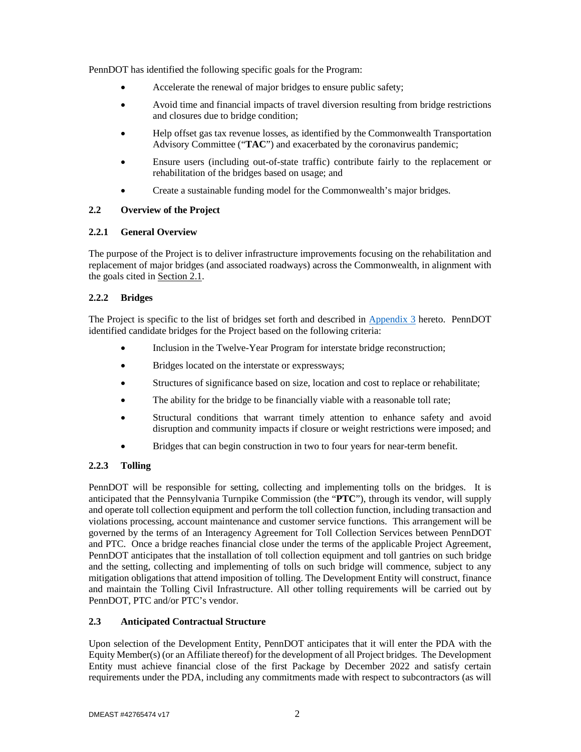PennDOT has identified the following specific goals for the Program:

- Accelerate the renewal of major bridges to ensure public safety;
- Avoid time and financial impacts of travel diversion resulting from bridge restrictions and closures due to bridge condition;
- Help offset gas tax revenue losses, as identified by the Commonwealth Transportation Advisory Committee ("**TAC**") and exacerbated by the coronavirus pandemic;
- Ensure users (including out-of-state traffic) contribute fairly to the replacement or rehabilitation of the bridges based on usage; and
- Create a sustainable funding model for the Commonwealth's major bridges.

## **2.2 Overview of the Project**

## **2.2.1 General Overview**

The purpose of the Project is to deliver infrastructure improvements focusing on the rehabilitation and replacement of major bridges (and associated roadways) across the Commonwealth, in alignment with the goals cited in Section 2.1.

## **2.2.2 Bridges**

The Project is specific to the list of bridges set forth and described in Appendix 3 hereto. PennDOT identified candidate bridges for the Project based on the following criteria:

- Inclusion in the Twelve-Year Program for interstate bridge reconstruction;
- Bridges located on the interstate or expressways;
- Structures of significance based on size, location and cost to replace or rehabilitate;
- The ability for the bridge to be financially viable with a reasonable toll rate;
- Structural conditions that warrant timely attention to enhance safety and avoid disruption and community impacts if closure or weight restrictions were imposed; and
- Bridges that can begin construction in two to four years for near-term benefit.

## **2.2.3 Tolling**

PennDOT will be responsible for setting, collecting and implementing tolls on the bridges. It is anticipated that the Pennsylvania Turnpike Commission (the "**PTC**"), through its vendor, will supply and operate toll collection equipment and perform the toll collection function, including transaction and violations processing, account maintenance and customer service functions. This arrangement will be governed by the terms of an Interagency Agreement for Toll Collection Services between PennDOT and PTC. Once a bridge reaches financial close under the terms of the applicable Project Agreement, PennDOT anticipates that the installation of toll collection equipment and toll gantries on such bridge and the setting, collecting and implementing of tolls on such bridge will commence, subject to any mitigation obligations that attend imposition of tolling. The Development Entity will construct, finance and maintain the Tolling Civil Infrastructure. All other tolling requirements will be carried out by PennDOT, PTC and/or PTC's vendor.

## **2.3 Anticipated Contractual Structure**

Upon selection of the Development Entity, PennDOT anticipates that it will enter the PDA with the Equity Member(s) (or an Affiliate thereof) for the development of all Project bridges. The Development Entity must achieve financial close of the first Package by December 2022 and satisfy certain requirements under the PDA, including any commitments made with respect to subcontractors (as will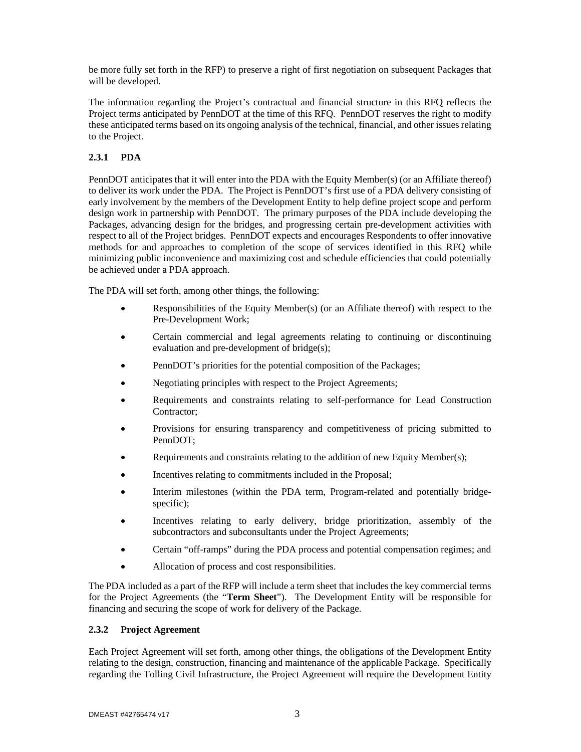be more fully set forth in the RFP) to preserve a right of first negotiation on subsequent Packages that will be developed.

The information regarding the Project's contractual and financial structure in this RFQ reflects the Project terms anticipated by PennDOT at the time of this RFQ. PennDOT reserves the right to modify these anticipated terms based on its ongoing analysis of the technical, financial, and other issues relating to the Project.

## **2.3.1 PDA**

PennDOT anticipates that it will enter into the PDA with the Equity Member(s) (or an Affiliate thereof) to deliver its work under the PDA. The Project is PennDOT's first use of a PDA delivery consisting of early involvement by the members of the Development Entity to help define project scope and perform design work in partnership with PennDOT. The primary purposes of the PDA include developing the Packages, advancing design for the bridges, and progressing certain pre-development activities with respect to all of the Project bridges. PennDOT expects and encourages Respondents to offer innovative methods for and approaches to completion of the scope of services identified in this RFQ while minimizing public inconvenience and maximizing cost and schedule efficiencies that could potentially be achieved under a PDA approach.

The PDA will set forth, among other things, the following:

- Responsibilities of the Equity Member(s) (or an Affiliate thereof) with respect to the Pre-Development Work;
- Certain commercial and legal agreements relating to continuing or discontinuing evaluation and pre-development of bridge(s);
- PennDOT's priorities for the potential composition of the Packages;
- Negotiating principles with respect to the Project Agreements;
- Requirements and constraints relating to self-performance for Lead Construction Contractor;
- Provisions for ensuring transparency and competitiveness of pricing submitted to PennDOT;
- Requirements and constraints relating to the addition of new Equity Member(s);
- Incentives relating to commitments included in the Proposal;
- Interim milestones (within the PDA term, Program-related and potentially bridgespecific);
- Incentives relating to early delivery, bridge prioritization, assembly of the subcontractors and subconsultants under the Project Agreements;
- Certain "off-ramps" during the PDA process and potential compensation regimes; and
- Allocation of process and cost responsibilities.

The PDA included as a part of the RFP will include a term sheet that includes the key commercial terms for the Project Agreements (the "**Term Sheet**"). The Development Entity will be responsible for financing and securing the scope of work for delivery of the Package.

## **2.3.2 Project Agreement**

Each Project Agreement will set forth, among other things, the obligations of the Development Entity relating to the design, construction, financing and maintenance of the applicable Package. Specifically regarding the Tolling Civil Infrastructure, the Project Agreement will require the Development Entity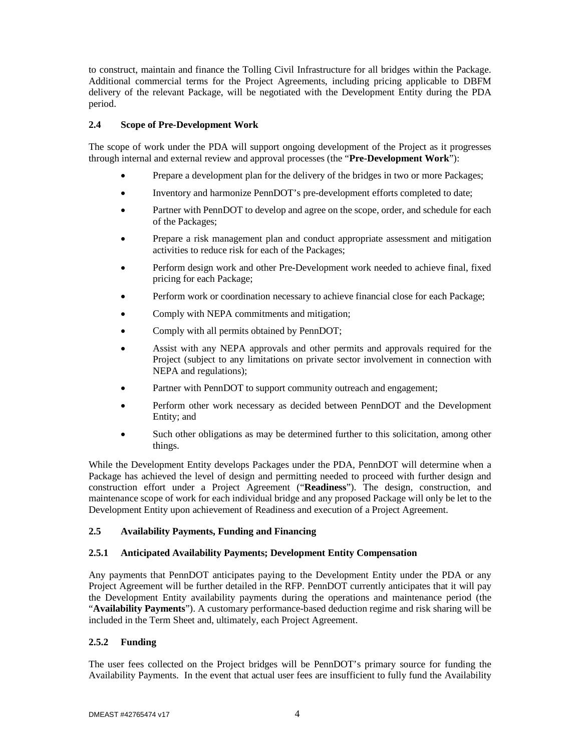to construct, maintain and finance the Tolling Civil Infrastructure for all bridges within the Package. Additional commercial terms for the Project Agreements, including pricing applicable to DBFM delivery of the relevant Package, will be negotiated with the Development Entity during the PDA period.

## **2.4 Scope of Pre-Development Work**

The scope of work under the PDA will support ongoing development of the Project as it progresses through internal and external review and approval processes (the "**Pre-Development Work**"):

- Prepare a development plan for the delivery of the bridges in two or more Packages;
- Inventory and harmonize PennDOT's pre-development efforts completed to date;
- Partner with PennDOT to develop and agree on the scope, order, and schedule for each of the Packages;
- Prepare a risk management plan and conduct appropriate assessment and mitigation activities to reduce risk for each of the Packages;
- Perform design work and other Pre-Development work needed to achieve final, fixed pricing for each Package;
- Perform work or coordination necessary to achieve financial close for each Package;
- Comply with NEPA commitments and mitigation;
- Comply with all permits obtained by PennDOT;
- Assist with any NEPA approvals and other permits and approvals required for the Project (subject to any limitations on private sector involvement in connection with NEPA and regulations);
- Partner with PennDOT to support community outreach and engagement;
- Perform other work necessary as decided between PennDOT and the Development Entity; and
- Such other obligations as may be determined further to this solicitation, among other things.

While the Development Entity develops Packages under the PDA, PennDOT will determine when a Package has achieved the level of design and permitting needed to proceed with further design and construction effort under a Project Agreement ("**Readiness**"). The design, construction, and maintenance scope of work for each individual bridge and any proposed Package will only be let to the Development Entity upon achievement of Readiness and execution of a Project Agreement.

### **2.5 Availability Payments, Funding and Financing**

### **2.5.1 Anticipated Availability Payments; Development Entity Compensation**

Any payments that PennDOT anticipates paying to the Development Entity under the PDA or any Project Agreement will be further detailed in the RFP. PennDOT currently anticipates that it will pay the Development Entity availability payments during the operations and maintenance period (the "**Availability Payments**"). A customary performance-based deduction regime and risk sharing will be included in the Term Sheet and, ultimately, each Project Agreement.

## **2.5.2 Funding**

The user fees collected on the Project bridges will be PennDOT's primary source for funding the Availability Payments. In the event that actual user fees are insufficient to fully fund the Availability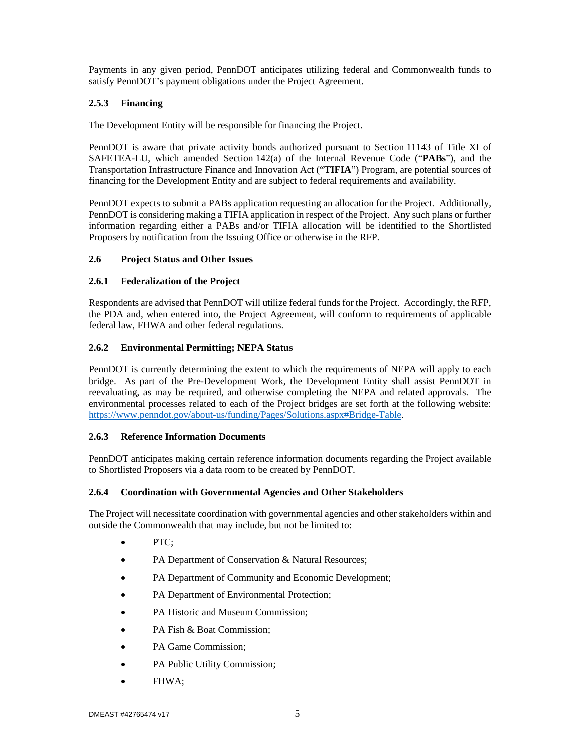Payments in any given period, PennDOT anticipates utilizing federal and Commonwealth funds to satisfy PennDOT's payment obligations under the Project Agreement.

## **2.5.3 Financing**

The Development Entity will be responsible for financing the Project.

PennDOT is aware that private activity bonds authorized pursuant to Section 11143 of Title XI of SAFETEA-LU, which amended Section 142(a) of the Internal Revenue Code ("**PABs**"), and the Transportation Infrastructure Finance and Innovation Act ("**TIFIA**") Program, are potential sources of financing for the Development Entity and are subject to federal requirements and availability.

PennDOT expects to submit a PABs application requesting an allocation for the Project. Additionally, PennDOT is considering making a TIFIA application in respect of the Project. Any such plans or further information regarding either a PABs and/or TIFIA allocation will be identified to the Shortlisted Proposers by notification from the Issuing Office or otherwise in the RFP.

## **2.6 Project Status and Other Issues**

### **2.6.1 Federalization of the Project**

Respondents are advised that PennDOT will utilize federal funds for the Project. Accordingly, the RFP, the PDA and, when entered into, the Project Agreement, will conform to requirements of applicable federal law, FHWA and other federal regulations.

## **2.6.2 Environmental Permitting; NEPA Status**

PennDOT is currently determining the extent to which the requirements of NEPA will apply to each bridge. As part of the Pre-Development Work, the Development Entity shall assist PennDOT in reevaluating, as may be required, and otherwise completing the NEPA and related approvals. The environmental processes related to each of the Project bridges are set forth at the following website: https://www.penndot.gov/about-us/funding/Pages/Solutions.aspx#Bridge-Table.

### **2.6.3 Reference Information Documents**

PennDOT anticipates making certain reference information documents regarding the Project available to Shortlisted Proposers via a data room to be created by PennDOT.

### **2.6.4 Coordination with Governmental Agencies and Other Stakeholders**

The Project will necessitate coordination with governmental agencies and other stakeholders within and outside the Commonwealth that may include, but not be limited to:

- PTC;
- PA Department of Conservation & Natural Resources;
- PA Department of Community and Economic Development;
- PA Department of Environmental Protection;
- PA Historic and Museum Commission;
- PA Fish & Boat Commission;
- PA Game Commission;
- PA Public Utility Commission;
- FHWA;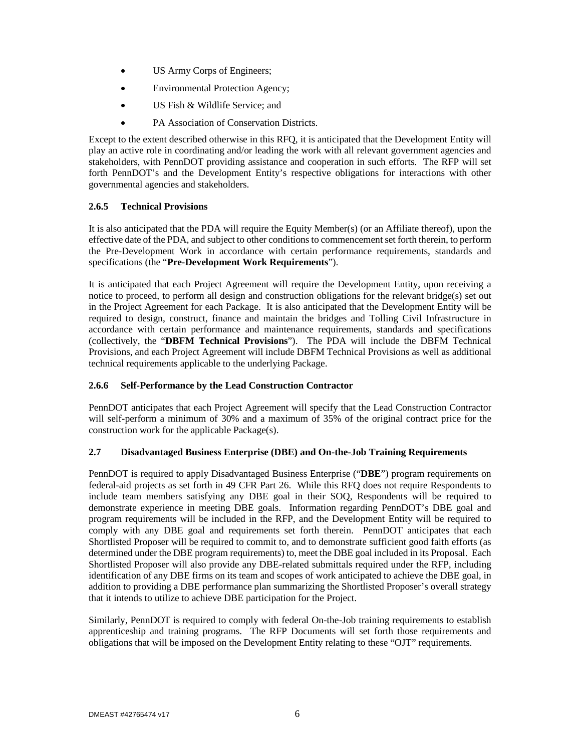- US Army Corps of Engineers;
- Environmental Protection Agency;
- US Fish & Wildlife Service; and
- PA Association of Conservation Districts.

Except to the extent described otherwise in this RFQ, it is anticipated that the Development Entity will play an active role in coordinating and/or leading the work with all relevant government agencies and stakeholders, with PennDOT providing assistance and cooperation in such efforts. The RFP will set forth PennDOT's and the Development Entity's respective obligations for interactions with other governmental agencies and stakeholders.

## **2.6.5 Technical Provisions**

It is also anticipated that the PDA will require the Equity Member(s) (or an Affiliate thereof), upon the effective date of the PDA, and subject to other conditions to commencement set forth therein, to perform the Pre-Development Work in accordance with certain performance requirements, standards and specifications (the "**Pre-Development Work Requirements**").

It is anticipated that each Project Agreement will require the Development Entity, upon receiving a notice to proceed, to perform all design and construction obligations for the relevant bridge(s) set out in the Project Agreement for each Package. It is also anticipated that the Development Entity will be required to design, construct, finance and maintain the bridges and Tolling Civil Infrastructure in accordance with certain performance and maintenance requirements, standards and specifications (collectively, the "**DBFM Technical Provisions**"). The PDA will include the DBFM Technical Provisions, and each Project Agreement will include DBFM Technical Provisions as well as additional technical requirements applicable to the underlying Package.

### **2.6.6 Self-Performance by the Lead Construction Contractor**

PennDOT anticipates that each Project Agreement will specify that the Lead Construction Contractor will self-perform a minimum of 30% and a maximum of 35% of the original contract price for the construction work for the applicable Package(s).

## **2.7 Disadvantaged Business Enterprise (DBE) and On-the-Job Training Requirements**

PennDOT is required to apply Disadvantaged Business Enterprise ("**DBE**") program requirements on federal-aid projects as set forth in 49 CFR Part 26. While this RFQ does not require Respondents to include team members satisfying any DBE goal in their SOQ, Respondents will be required to demonstrate experience in meeting DBE goals. Information regarding PennDOT's DBE goal and program requirements will be included in the RFP, and the Development Entity will be required to comply with any DBE goal and requirements set forth therein. PennDOT anticipates that each Shortlisted Proposer will be required to commit to, and to demonstrate sufficient good faith efforts (as determined under the DBE program requirements) to, meet the DBE goal included in its Proposal. Each Shortlisted Proposer will also provide any DBE-related submittals required under the RFP, including identification of any DBE firms on its team and scopes of work anticipated to achieve the DBE goal, in addition to providing a DBE performance plan summarizing the Shortlisted Proposer's overall strategy that it intends to utilize to achieve DBE participation for the Project.

Similarly, PennDOT is required to comply with federal On-the-Job training requirements to establish apprenticeship and training programs. The RFP Documents will set forth those requirements and obligations that will be imposed on the Development Entity relating to these "OJT" requirements.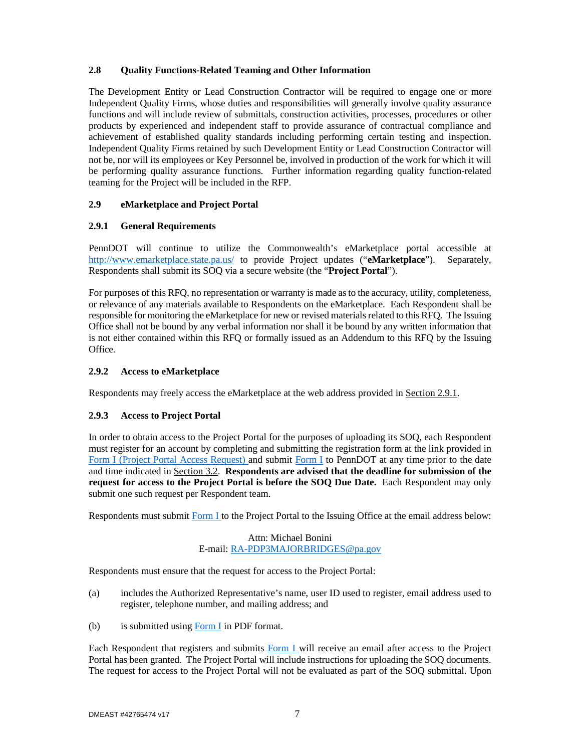## **2.8 Quality Functions-Related Teaming and Other Information**

The Development Entity or Lead Construction Contractor will be required to engage one or more Independent Quality Firms, whose duties and responsibilities will generally involve quality assurance functions and will include review of submittals, construction activities, processes, procedures or other products by experienced and independent staff to provide assurance of contractual compliance and achievement of established quality standards including performing certain testing and inspection. Independent Quality Firms retained by such Development Entity or Lead Construction Contractor will not be, nor will its employees or Key Personnel be, involved in production of the work for which it will be performing quality assurance functions. Further information regarding quality function-related teaming for the Project will be included in the RFP.

## **2.9 eMarketplace and Project Portal**

## **2.9.1 General Requirements**

PennDOT will continue to utilize the Commonwealth's eMarketplace portal accessible at http://www.emarketplace.state.pa.us/ to provide Project updates ("**eMarketplace**"). Separately, Respondents shall submit its SOQ via a secure website (the "**Project Portal**").

For purposes of this RFQ, no representation or warranty is made as to the accuracy, utility, completeness, or relevance of any materials available to Respondents on the eMarketplace. Each Respondent shall be responsible for monitoring the eMarketplace for new or revised materials related to this RFQ. The Issuing Office shall not be bound by any verbal information nor shall it be bound by any written information that is not either contained within this RFQ or formally issued as an Addendum to this RFQ by the Issuing Office.

## **2.9.2 Access to eMarketplace**

Respondents may freely access the eMarketplace at the web address provided in Section 2.9.1.

## **2.9.3 Access to Project Portal**

In order to obtain access to the Project Portal for the purposes of uploading its SOQ, each Respondent must register for an account by completing and submitting the registration form at the link provided in Form I (Project Portal Access Request) and submit Form I to PennDOT at any time prior to the date and time indicated in Section 3.2. **Respondents are advised that the deadline for submission of the request for access to the Project Portal is before the SOQ Due Date.** Each Respondent may only submit one such request per Respondent team.

Respondents must submit Form I to the Project Portal to the Issuing Office at the email address below:

## Attn: Michael Bonini E-mail: RA-PDP3MAJORBRIDGES@pa.gov

Respondents must ensure that the request for access to the Project Portal:

- (a) includes the Authorized Representative's name, user ID used to register, email address used to register, telephone number, and mailing address; and
- (b) is submitted using  $\overline{Form I}$  in PDF format.

Each Respondent that registers and submits Form I will receive an email after access to the Project Portal has been granted. The Project Portal will include instructions for uploading the SOQ documents. The request for access to the Project Portal will not be evaluated as part of the SOQ submittal. Upon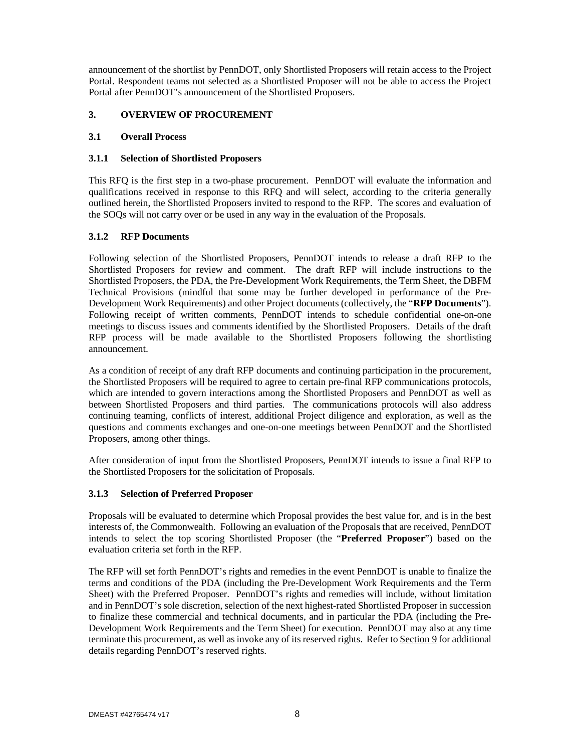announcement of the shortlist by PennDOT, only Shortlisted Proposers will retain access to the Project Portal. Respondent teams not selected as a Shortlisted Proposer will not be able to access the Project Portal after PennDOT's announcement of the Shortlisted Proposers.

## **3. OVERVIEW OF PROCUREMENT**

### **3.1 Overall Process**

## **3.1.1 Selection of Shortlisted Proposers**

This RFQ is the first step in a two-phase procurement. PennDOT will evaluate the information and qualifications received in response to this RFQ and will select, according to the criteria generally outlined herein, the Shortlisted Proposers invited to respond to the RFP. The scores and evaluation of the SOQs will not carry over or be used in any way in the evaluation of the Proposals.

## **3.1.2 RFP Documents**

Following selection of the Shortlisted Proposers, PennDOT intends to release a draft RFP to the Shortlisted Proposers for review and comment. The draft RFP will include instructions to the Shortlisted Proposers, the PDA, the Pre-Development Work Requirements, the Term Sheet, the DBFM Technical Provisions (mindful that some may be further developed in performance of the Pre-Development Work Requirements) and other Project documents (collectively, the "**RFP Documents**"). Following receipt of written comments, PennDOT intends to schedule confidential one-on-one meetings to discuss issues and comments identified by the Shortlisted Proposers. Details of the draft RFP process will be made available to the Shortlisted Proposers following the shortlisting announcement.

As a condition of receipt of any draft RFP documents and continuing participation in the procurement, the Shortlisted Proposers will be required to agree to certain pre-final RFP communications protocols, which are intended to govern interactions among the Shortlisted Proposers and PennDOT as well as between Shortlisted Proposers and third parties. The communications protocols will also address continuing teaming, conflicts of interest, additional Project diligence and exploration, as well as the questions and comments exchanges and one-on-one meetings between PennDOT and the Shortlisted Proposers, among other things.

After consideration of input from the Shortlisted Proposers, PennDOT intends to issue a final RFP to the Shortlisted Proposers for the solicitation of Proposals.

## **3.1.3 Selection of Preferred Proposer**

Proposals will be evaluated to determine which Proposal provides the best value for, and is in the best interests of, the Commonwealth. Following an evaluation of the Proposals that are received, PennDOT intends to select the top scoring Shortlisted Proposer (the "**Preferred Proposer**") based on the evaluation criteria set forth in the RFP.

The RFP will set forth PennDOT's rights and remedies in the event PennDOT is unable to finalize the terms and conditions of the PDA (including the Pre-Development Work Requirements and the Term Sheet) with the Preferred Proposer. PennDOT's rights and remedies will include, without limitation and in PennDOT's sole discretion, selection of the next highest-rated Shortlisted Proposer in succession to finalize these commercial and technical documents, and in particular the PDA (including the Pre-Development Work Requirements and the Term Sheet) for execution. PennDOT may also at any time terminate this procurement, as well as invoke any of its reserved rights. Refer to Section 9 for additional details regarding PennDOT's reserved rights.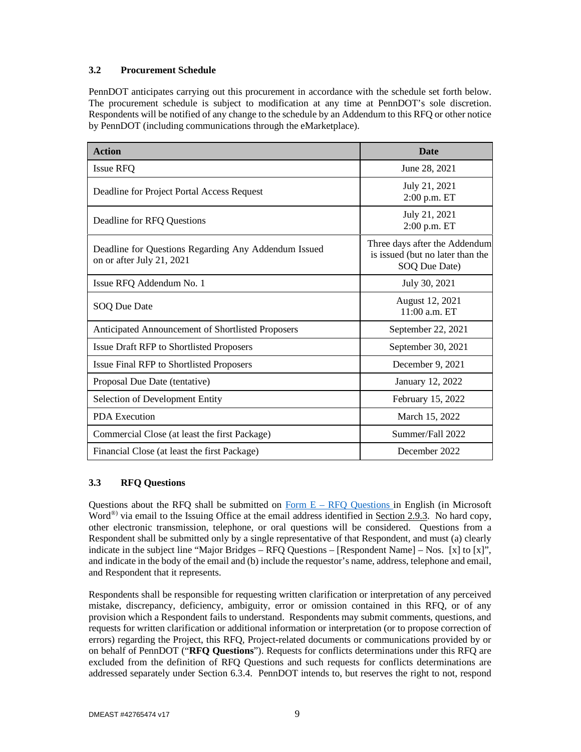## **3.2 Procurement Schedule**

PennDOT anticipates carrying out this procurement in accordance with the schedule set forth below. The procurement schedule is subject to modification at any time at PennDOT's sole discretion. Respondents will be notified of any change to the schedule by an Addendum to this RFQ or other notice by PennDOT (including communications through the eMarketplace).

| <b>Action</b>                                                                     | <b>Date</b>                                                                        |  |  |
|-----------------------------------------------------------------------------------|------------------------------------------------------------------------------------|--|--|
| Issue RFQ                                                                         | June 28, 2021                                                                      |  |  |
| Deadline for Project Portal Access Request                                        | July 21, 2021<br>2:00 p.m. ET                                                      |  |  |
| Deadline for RFQ Questions                                                        | July 21, 2021<br>2:00 p.m. ET                                                      |  |  |
| Deadline for Questions Regarding Any Addendum Issued<br>on or after July 21, 2021 | Three days after the Addendum<br>is issued (but no later than the<br>SOQ Due Date) |  |  |
| Issue RFQ Addendum No. 1                                                          | July 30, 2021                                                                      |  |  |
| SOQ Due Date                                                                      | August 12, 2021<br>11:00 a.m. ET                                                   |  |  |
| Anticipated Announcement of Shortlisted Proposers                                 | September 22, 2021                                                                 |  |  |
| <b>Issue Draft RFP to Shortlisted Proposers</b>                                   | September 30, 2021                                                                 |  |  |
| <b>Issue Final RFP to Shortlisted Proposers</b>                                   | December 9, 2021                                                                   |  |  |
| Proposal Due Date (tentative)                                                     | January 12, 2022                                                                   |  |  |
| Selection of Development Entity                                                   | February 15, 2022                                                                  |  |  |
| <b>PDA</b> Execution                                                              | March 15, 2022                                                                     |  |  |
| Commercial Close (at least the first Package)                                     | Summer/Fall 2022                                                                   |  |  |
| Financial Close (at least the first Package)                                      | December 2022                                                                      |  |  |

## **3.3 RFQ Questions**

Questions about the RFQ shall be submitted on Form  $E - RFO$  Questions in English (in Microsoft Word<sup>®</sup>) via email to the Issuing Office at the email address identified in Section 2.9.3. No hard copy, other electronic transmission, telephone, or oral questions will be considered. Questions from a Respondent shall be submitted only by a single representative of that Respondent, and must (a) clearly indicate in the subject line "Major Bridges –  $RFO$  Questions – [Respondent Name] – Nos. [x] to [x]", and indicate in the body of the email and (b) include the requestor's name, address, telephone and email, and Respondent that it represents.

Respondents shall be responsible for requesting written clarification or interpretation of any perceived mistake, discrepancy, deficiency, ambiguity, error or omission contained in this RFQ, or of any provision which a Respondent fails to understand. Respondents may submit comments, questions, and requests for written clarification or additional information or interpretation (or to propose correction of errors) regarding the Project, this RFQ, Project-related documents or communications provided by or on behalf of PennDOT ("**RFQ Questions**"). Requests for conflicts determinations under this RFQ are excluded from the definition of RFQ Questions and such requests for conflicts determinations are addressed separately under Section 6.3.4. PennDOT intends to, but reserves the right to not, respond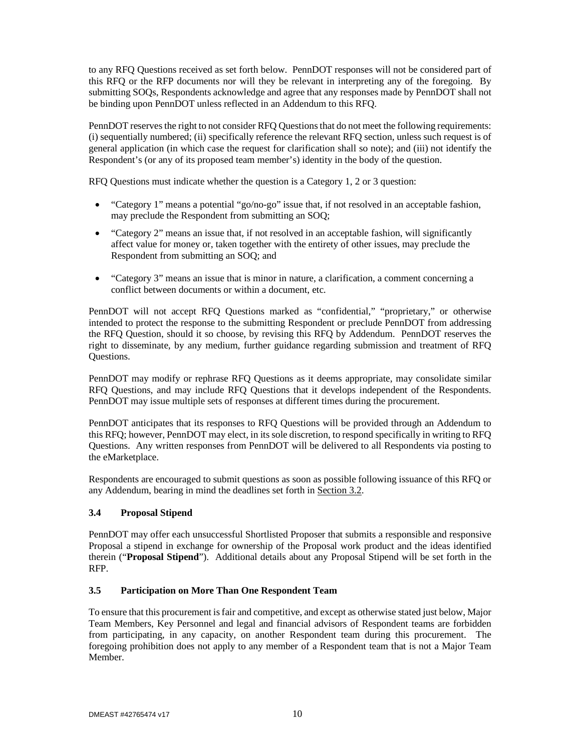to any RFQ Questions received as set forth below. PennDOT responses will not be considered part of this RFQ or the RFP documents nor will they be relevant in interpreting any of the foregoing. By submitting SOQs, Respondents acknowledge and agree that any responses made by PennDOT shall not be binding upon PennDOT unless reflected in an Addendum to this RFQ.

PennDOT reserves the right to not consider RFQ Questions that do not meet the following requirements: (i) sequentially numbered; (ii) specifically reference the relevant RFQ section, unless such request is of general application (in which case the request for clarification shall so note); and (iii) not identify the Respondent's (or any of its proposed team member's) identity in the body of the question.

RFQ Questions must indicate whether the question is a Category 1, 2 or 3 question:

- "Category 1" means a potential "go/no-go" issue that, if not resolved in an acceptable fashion, may preclude the Respondent from submitting an SOQ;
- "Category 2" means an issue that, if not resolved in an acceptable fashion, will significantly affect value for money or, taken together with the entirety of other issues, may preclude the Respondent from submitting an SOQ; and
- "Category 3" means an issue that is minor in nature, a clarification, a comment concerning a conflict between documents or within a document, etc.

PennDOT will not accept RFQ Questions marked as "confidential," "proprietary," or otherwise intended to protect the response to the submitting Respondent or preclude PennDOT from addressing the RFQ Question, should it so choose, by revising this RFQ by Addendum. PennDOT reserves the right to disseminate, by any medium, further guidance regarding submission and treatment of RFQ Questions.

PennDOT may modify or rephrase RFQ Questions as it deems appropriate, may consolidate similar RFQ Questions, and may include RFQ Questions that it develops independent of the Respondents. PennDOT may issue multiple sets of responses at different times during the procurement.

PennDOT anticipates that its responses to RFQ Questions will be provided through an Addendum to this RFQ; however, PennDOT may elect, in its sole discretion, to respond specifically in writing to RFQ Questions. Any written responses from PennDOT will be delivered to all Respondents via posting to the eMarketplace.

Respondents are encouraged to submit questions as soon as possible following issuance of this RFQ or any Addendum, bearing in mind the deadlines set forth in Section 3.2.

## **3.4 Proposal Stipend**

PennDOT may offer each unsuccessful Shortlisted Proposer that submits a responsible and responsive Proposal a stipend in exchange for ownership of the Proposal work product and the ideas identified therein ("**Proposal Stipend**"). Additional details about any Proposal Stipend will be set forth in the RFP.

## **3.5 Participation on More Than One Respondent Team**

To ensure that this procurement is fair and competitive, and except as otherwise stated just below, Major Team Members, Key Personnel and legal and financial advisors of Respondent teams are forbidden from participating, in any capacity, on another Respondent team during this procurement. The foregoing prohibition does not apply to any member of a Respondent team that is not a Major Team Member.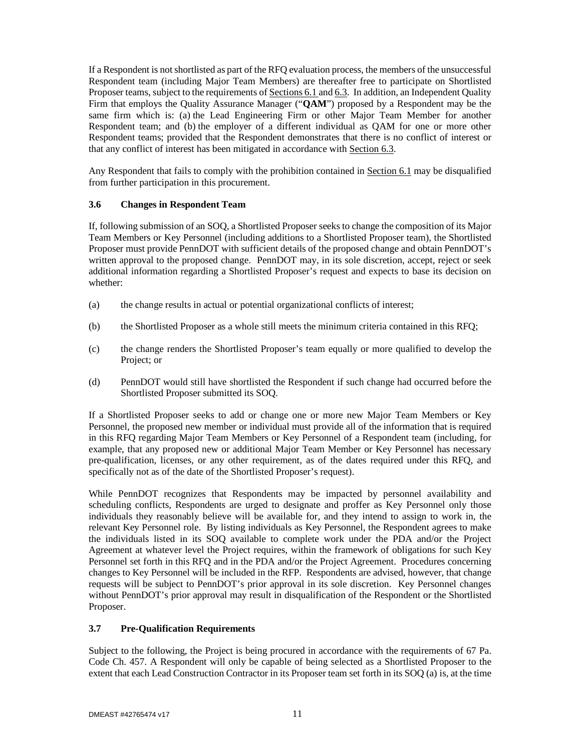If a Respondent is not shortlisted as part of the RFQ evaluation process, the members of the unsuccessful Respondent team (including Major Team Members) are thereafter free to participate on Shortlisted Proposer teams, subject to the requirements of Sections 6.1 and 6.3. In addition, an Independent Quality Firm that employs the Quality Assurance Manager ("**QAM**") proposed by a Respondent may be the same firm which is: (a) the Lead Engineering Firm or other Major Team Member for another Respondent team; and (b) the employer of a different individual as QAM for one or more other Respondent teams; provided that the Respondent demonstrates that there is no conflict of interest or that any conflict of interest has been mitigated in accordance with Section 6.3.

Any Respondent that fails to comply with the prohibition contained in Section 6.1 may be disqualified from further participation in this procurement.

## **3.6 Changes in Respondent Team**

If, following submission of an SOQ, a Shortlisted Proposer seeks to change the composition of its Major Team Members or Key Personnel (including additions to a Shortlisted Proposer team), the Shortlisted Proposer must provide PennDOT with sufficient details of the proposed change and obtain PennDOT's written approval to the proposed change. PennDOT may, in its sole discretion, accept, reject or seek additional information regarding a Shortlisted Proposer's request and expects to base its decision on whether:

- (a) the change results in actual or potential organizational conflicts of interest;
- (b) the Shortlisted Proposer as a whole still meets the minimum criteria contained in this RFQ;
- (c) the change renders the Shortlisted Proposer's team equally or more qualified to develop the Project; or
- (d) PennDOT would still have shortlisted the Respondent if such change had occurred before the Shortlisted Proposer submitted its SOQ.

If a Shortlisted Proposer seeks to add or change one or more new Major Team Members or Key Personnel, the proposed new member or individual must provide all of the information that is required in this RFQ regarding Major Team Members or Key Personnel of a Respondent team (including, for example, that any proposed new or additional Major Team Member or Key Personnel has necessary pre-qualification, licenses, or any other requirement, as of the dates required under this RFQ, and specifically not as of the date of the Shortlisted Proposer's request).

While PennDOT recognizes that Respondents may be impacted by personnel availability and scheduling conflicts, Respondents are urged to designate and proffer as Key Personnel only those individuals they reasonably believe will be available for, and they intend to assign to work in, the relevant Key Personnel role. By listing individuals as Key Personnel, the Respondent agrees to make the individuals listed in its SOQ available to complete work under the PDA and/or the Project Agreement at whatever level the Project requires, within the framework of obligations for such Key Personnel set forth in this RFQ and in the PDA and/or the Project Agreement. Procedures concerning changes to Key Personnel will be included in the RFP. Respondents are advised, however, that change requests will be subject to PennDOT's prior approval in its sole discretion. Key Personnel changes without PennDOT's prior approval may result in disqualification of the Respondent or the Shortlisted Proposer.

### **3.7 Pre-Qualification Requirements**

Subject to the following, the Project is being procured in accordance with the requirements of 67 Pa. Code Ch. 457. A Respondent will only be capable of being selected as a Shortlisted Proposer to the extent that each Lead Construction Contractor in its Proposer team set forth in its SOQ (a) is, at the time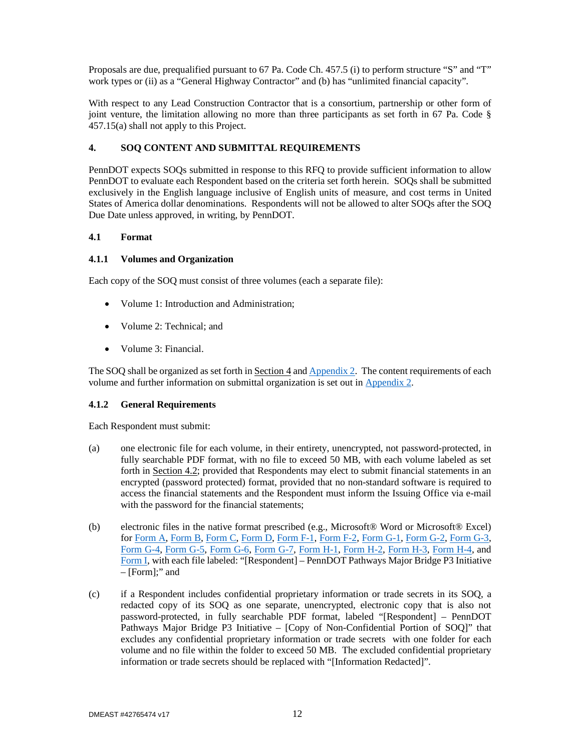Proposals are due, prequalified pursuant to 67 Pa. Code Ch. 457.5 (i) to perform structure "S" and "T" work types or (ii) as a "General Highway Contractor" and (b) has "unlimited financial capacity".

With respect to any Lead Construction Contractor that is a consortium, partnership or other form of joint venture, the limitation allowing no more than three participants as set forth in 67 Pa. Code § 457.15(a) shall not apply to this Project.

## **4. SOQ CONTENT AND SUBMITTAL REQUIREMENTS**

PennDOT expects SOQs submitted in response to this RFQ to provide sufficient information to allow PennDOT to evaluate each Respondent based on the criteria set forth herein. SOQs shall be submitted exclusively in the English language inclusive of English units of measure, and cost terms in United States of America dollar denominations. Respondents will not be allowed to alter SOQs after the SOQ Due Date unless approved, in writing, by PennDOT.

### **4.1 Format**

### **4.1.1 Volumes and Organization**

Each copy of the SOQ must consist of three volumes (each a separate file):

- Volume 1: Introduction and Administration:
- Volume 2: Technical: and
- Volume 3: Financial.

The SOQ shall be organized as set forth in  $Section 4$  and  $Appendix 2$ . The content requirements of each volume and further information on submittal organization is set out in Appendix 2.

### **4.1.2 General Requirements**

Each Respondent must submit:

- (a) one electronic file for each volume, in their entirety, unencrypted, not password-protected, in fully searchable PDF format, with no file to exceed 50 MB, with each volume labeled as set forth in Section 4.2; provided that Respondents may elect to submit financial statements in an encrypted (password protected) format, provided that no non-standard software is required to access the financial statements and the Respondent must inform the Issuing Office via e-mail with the password for the financial statements;
- (b) electronic files in the native format prescribed (e.g., Microsoft® Word or Microsoft® Excel) for Form A, Form B, Form C, Form D, Form F-1, Form F-2, Form G-1, Form G-2, Form G-3, Form G-4, Form G-5, Form G-6, Form G-7, Form H-1, Form H-2, Form H-3, Form H-4, and Form I, with each file labeled: "[Respondent] – PennDOT Pathways Major Bridge P3 Initiative – [Form];" and
- (c) if a Respondent includes confidential proprietary information or trade secrets in its SOQ, a redacted copy of its SOQ as one separate, unencrypted, electronic copy that is also not password-protected, in fully searchable PDF format, labeled "[Respondent] – PennDOT Pathways Major Bridge P3 Initiative – [Copy of Non-Confidential Portion of SOQ]" that excludes any confidential proprietary information or trade secrets with one folder for each volume and no file within the folder to exceed 50 MB. The excluded confidential proprietary information or trade secrets should be replaced with "[Information Redacted]".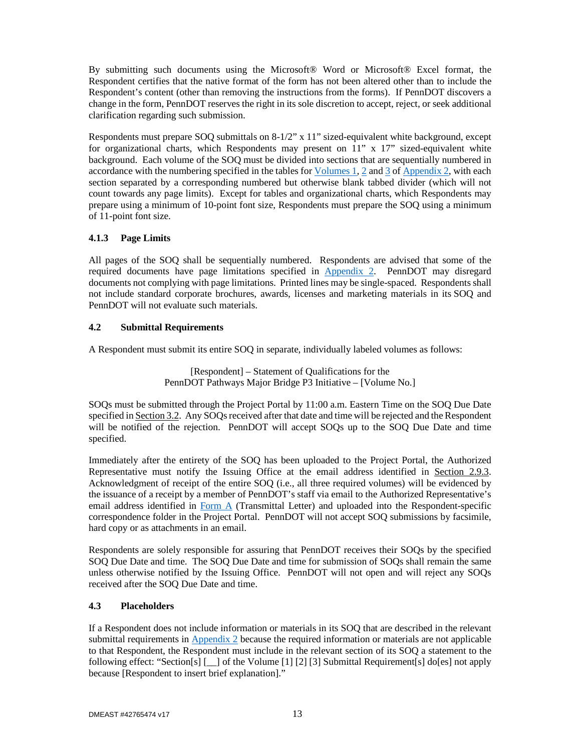By submitting such documents using the Microsoft® Word or Microsoft® Excel format, the Respondent certifies that the native format of the form has not been altered other than to include the Respondent's content (other than removing the instructions from the forms). If PennDOT discovers a change in the form, PennDOT reserves the right in its sole discretion to accept, reject, or seek additional clarification regarding such submission.

Respondents must prepare SOQ submittals on 8-1/2" x 11" sized-equivalent white background, except for organizational charts, which Respondents may present on  $11$ " x  $17$ " sized-equivalent white background. Each volume of the SOQ must be divided into sections that are sequentially numbered in accordance with the numbering specified in the tables for Volumes 1, 2 and 3 of Appendix 2, with each section separated by a corresponding numbered but otherwise blank tabbed divider (which will not count towards any page limits). Except for tables and organizational charts, which Respondents may prepare using a minimum of 10-point font size, Respondents must prepare the SOQ using a minimum of 11-point font size.

## **4.1.3 Page Limits**

All pages of the SOQ shall be sequentially numbered. Respondents are advised that some of the required documents have page limitations specified in Appendix 2. PennDOT may disregard documents not complying with page limitations. Printed lines may be single-spaced. Respondents shall not include standard corporate brochures, awards, licenses and marketing materials in its SOQ and PennDOT will not evaluate such materials.

### **4.2 Submittal Requirements**

A Respondent must submit its entire SOQ in separate, individually labeled volumes as follows:

[Respondent] – Statement of Qualifications for the PennDOT Pathways Major Bridge P3 Initiative – [Volume No.]

SOQs must be submitted through the Project Portal by 11:00 a.m. Eastern Time on the SOQ Due Date specified in Section 3.2. Any SOQs received after that date and time will be rejected and the Respondent will be notified of the rejection. PennDOT will accept SOQs up to the SOQ Due Date and time specified.

Immediately after the entirety of the SOQ has been uploaded to the Project Portal, the Authorized Representative must notify the Issuing Office at the email address identified in Section 2.9.3. Acknowledgment of receipt of the entire SOQ (i.e., all three required volumes) will be evidenced by the issuance of a receipt by a member of PennDOT's staff via email to the Authorized Representative's email address identified in Form A (Transmittal Letter) and uploaded into the Respondent-specific correspondence folder in the Project Portal. PennDOT will not accept SOQ submissions by facsimile, hard copy or as attachments in an email.

Respondents are solely responsible for assuring that PennDOT receives their SOQs by the specified SOQ Due Date and time. The SOQ Due Date and time for submission of SOQs shall remain the same unless otherwise notified by the Issuing Office. PennDOT will not open and will reject any SOQs received after the SOQ Due Date and time.

### **4.3 Placeholders**

If a Respondent does not include information or materials in its SOQ that are described in the relevant submittal requirements in Appendix 2 because the required information or materials are not applicable to that Respondent, the Respondent must include in the relevant section of its SOQ a statement to the following effect: "Section[s] [\_\_] of the Volume [1] [2] [3] Submittal Requirement[s] do[es] not apply because [Respondent to insert brief explanation]."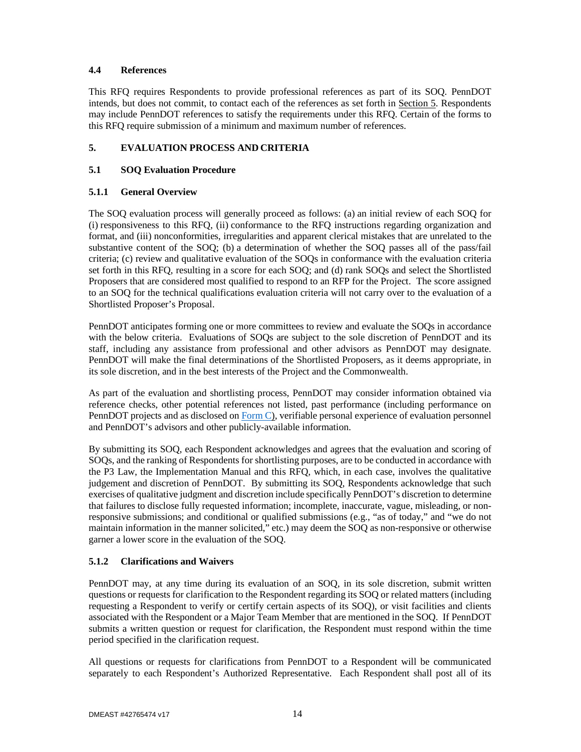## **4.4 References**

This RFQ requires Respondents to provide professional references as part of its SOQ. PennDOT intends, but does not commit, to contact each of the references as set forth in Section 5. Respondents may include PennDOT references to satisfy the requirements under this RFQ. Certain of the forms to this RFQ require submission of a minimum and maximum number of references.

## **5. EVALUATION PROCESS AND CRITERIA**

## **5.1 SOQ Evaluation Procedure**

## **5.1.1 General Overview**

The SOQ evaluation process will generally proceed as follows: (a) an initial review of each SOQ for (i) responsiveness to this RFQ, (ii) conformance to the RFQ instructions regarding organization and format, and (iii) nonconformities, irregularities and apparent clerical mistakes that are unrelated to the substantive content of the SOQ; (b) a determination of whether the SOQ passes all of the pass/fail criteria; (c) review and qualitative evaluation of the SOQs in conformance with the evaluation criteria set forth in this RFQ, resulting in a score for each SOQ; and (d) rank SOQs and select the Shortlisted Proposers that are considered most qualified to respond to an RFP for the Project. The score assigned to an SOQ for the technical qualifications evaluation criteria will not carry over to the evaluation of a Shortlisted Proposer's Proposal.

PennDOT anticipates forming one or more committees to review and evaluate the SOQs in accordance with the below criteria. Evaluations of SOQs are subject to the sole discretion of PennDOT and its staff, including any assistance from professional and other advisors as PennDOT may designate. PennDOT will make the final determinations of the Shortlisted Proposers, as it deems appropriate, in its sole discretion, and in the best interests of the Project and the Commonwealth.

As part of the evaluation and shortlisting process, PennDOT may consider information obtained via reference checks, other potential references not listed, past performance (including performance on PennDOT projects and as disclosed on Form C), verifiable personal experience of evaluation personnel and PennDOT's advisors and other publicly-available information.

By submitting its SOQ, each Respondent acknowledges and agrees that the evaluation and scoring of SOQs, and the ranking of Respondents for shortlisting purposes, are to be conducted in accordance with the P3 Law, the Implementation Manual and this RFQ, which, in each case, involves the qualitative judgement and discretion of PennDOT. By submitting its SOQ, Respondents acknowledge that such exercises of qualitative judgment and discretion include specifically PennDOT's discretion to determine that failures to disclose fully requested information; incomplete, inaccurate, vague, misleading, or nonresponsive submissions; and conditional or qualified submissions (e.g., "as of today," and "we do not maintain information in the manner solicited," etc.) may deem the SOQ as non-responsive or otherwise garner a lower score in the evaluation of the SOQ.

## **5.1.2 Clarifications and Waivers**

PennDOT may, at any time during its evaluation of an SOQ, in its sole discretion, submit written questions or requests for clarification to the Respondent regarding its SOQ or related matters (including requesting a Respondent to verify or certify certain aspects of its SOQ), or visit facilities and clients associated with the Respondent or a Major Team Member that are mentioned in the SOQ. If PennDOT submits a written question or request for clarification, the Respondent must respond within the time period specified in the clarification request.

All questions or requests for clarifications from PennDOT to a Respondent will be communicated separately to each Respondent's Authorized Representative. Each Respondent shall post all of its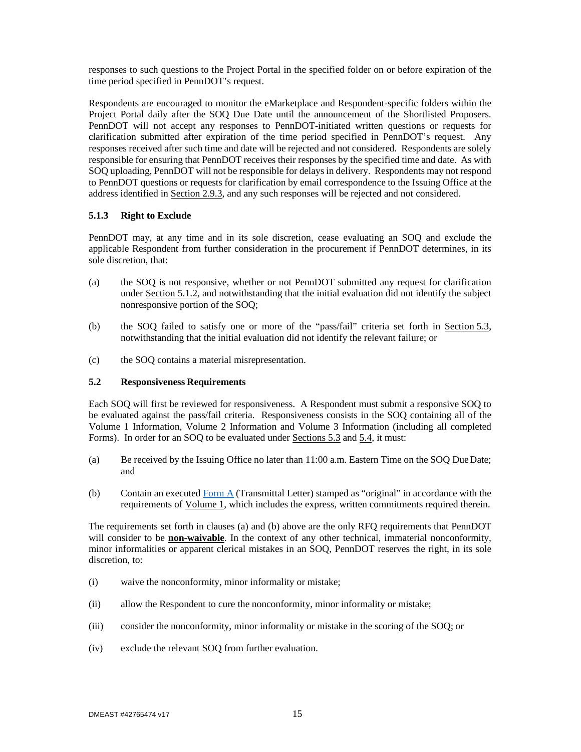responses to such questions to the Project Portal in the specified folder on or before expiration of the time period specified in PennDOT's request.

Respondents are encouraged to monitor the eMarketplace and Respondent-specific folders within the Project Portal daily after the SOQ Due Date until the announcement of the Shortlisted Proposers. PennDOT will not accept any responses to PennDOT-initiated written questions or requests for clarification submitted after expiration of the time period specified in PennDOT's request. Any responses received after such time and date will be rejected and not considered. Respondents are solely responsible for ensuring that PennDOT receives their responses by the specified time and date. As with SOQ uploading, PennDOT will not be responsible for delays in delivery. Respondents may not respond to PennDOT questions or requests for clarification by email correspondence to the Issuing Office at the address identified in Section 2.9.3, and any such responses will be rejected and not considered.

### **5.1.3 Right to Exclude**

PennDOT may, at any time and in its sole discretion, cease evaluating an SOQ and exclude the applicable Respondent from further consideration in the procurement if PennDOT determines, in its sole discretion, that:

- (a) the SOQ is not responsive, whether or not PennDOT submitted any request for clarification under Section 5.1.2, and notwithstanding that the initial evaluation did not identify the subject nonresponsive portion of the SOQ;
- (b) the SOQ failed to satisfy one or more of the "pass/fail" criteria set forth in Section 5.3, notwithstanding that the initial evaluation did not identify the relevant failure; or
- (c) the SOQ contains a material misrepresentation.

## **5.2 Responsiveness Requirements**

Each SOQ will first be reviewed for responsiveness. A Respondent must submit a responsive SOQ to be evaluated against the pass/fail criteria. Responsiveness consists in the SOQ containing all of the Volume 1 Information, Volume 2 Information and Volume 3 Information (including all completed Forms). In order for an SOQ to be evaluated under Sections 5.3 and 5.4, it must:

- (a) Be received by the Issuing Office no later than 11:00 a.m. Eastern Time on the SOQ Due Date; and
- (b) Contain an executed Form A (Transmittal Letter) stamped as "original" in accordance with the requirements of Volume 1, which includes the express, written commitments required therein.

The requirements set forth in clauses (a) and (b) above are the only RFQ requirements that PennDOT will consider to be **non-waivable**. In the context of any other technical, immaterial nonconformity, minor informalities or apparent clerical mistakes in an SOQ, PennDOT reserves the right, in its sole discretion, to:

- (i) waive the nonconformity, minor informality or mistake;
- (ii) allow the Respondent to cure the nonconformity, minor informality or mistake;
- (iii) consider the nonconformity, minor informality or mistake in the scoring of the SOQ; or
- (iv) exclude the relevant SOQ from further evaluation.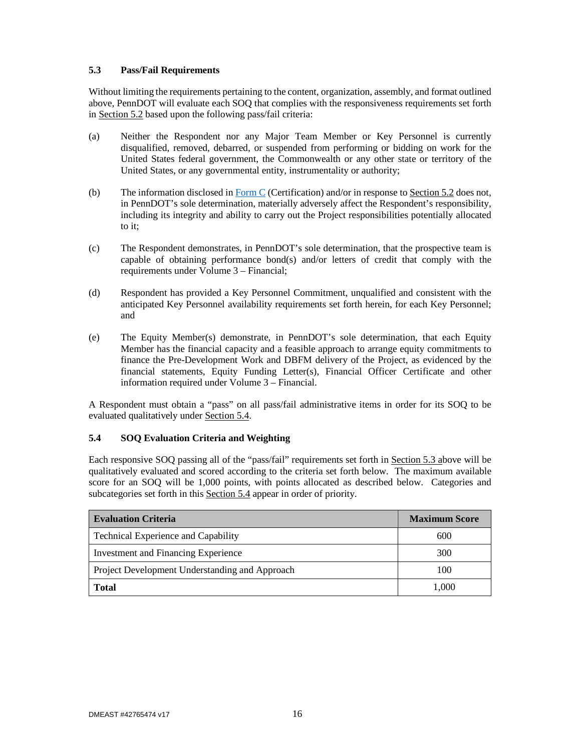## **5.3 Pass/Fail Requirements**

Without limiting the requirements pertaining to the content, organization, assembly, and format outlined above, PennDOT will evaluate each SOQ that complies with the responsiveness requirements set forth in Section 5.2 based upon the following pass/fail criteria:

- (a) Neither the Respondent nor any Major Team Member or Key Personnel is currently disqualified, removed, debarred, or suspended from performing or bidding on work for the United States federal government, the Commonwealth or any other state or territory of the United States, or any governmental entity, instrumentality or authority;
- (b) The information disclosed in Form C (Certification) and/or in response to Section 5.2 does not, in PennDOT's sole determination, materially adversely affect the Respondent's responsibility, including its integrity and ability to carry out the Project responsibilities potentially allocated to it;
- (c) The Respondent demonstrates, in PennDOT's sole determination, that the prospective team is capable of obtaining performance bond(s) and/or letters of credit that comply with the requirements under Volume 3 – Financial;
- (d) Respondent has provided a Key Personnel Commitment, unqualified and consistent with the anticipated Key Personnel availability requirements set forth herein, for each Key Personnel; and
- (e) The Equity Member(s) demonstrate, in PennDOT's sole determination, that each Equity Member has the financial capacity and a feasible approach to arrange equity commitments to finance the Pre-Development Work and DBFM delivery of the Project, as evidenced by the financial statements, Equity Funding Letter(s), Financial Officer Certificate and other information required under Volume 3 – Financial.

A Respondent must obtain a "pass" on all pass/fail administrative items in order for its SOQ to be evaluated qualitatively under Section 5.4.

### **5.4 SOQ Evaluation Criteria and Weighting**

Each responsive SOQ passing all of the "pass/fail" requirements set forth in Section 5.3 above will be qualitatively evaluated and scored according to the criteria set forth below. The maximum available score for an SOQ will be 1,000 points, with points allocated as described below. Categories and subcategories set forth in this Section 5.4 appear in order of priority.

| <b>Evaluation Criteria</b>                     | <b>Maximum Score</b> |
|------------------------------------------------|----------------------|
| Technical Experience and Capability            | 600                  |
| <b>Investment and Financing Experience</b>     | 300                  |
| Project Development Understanding and Approach | 100                  |
| <b>Total</b>                                   | 1,000                |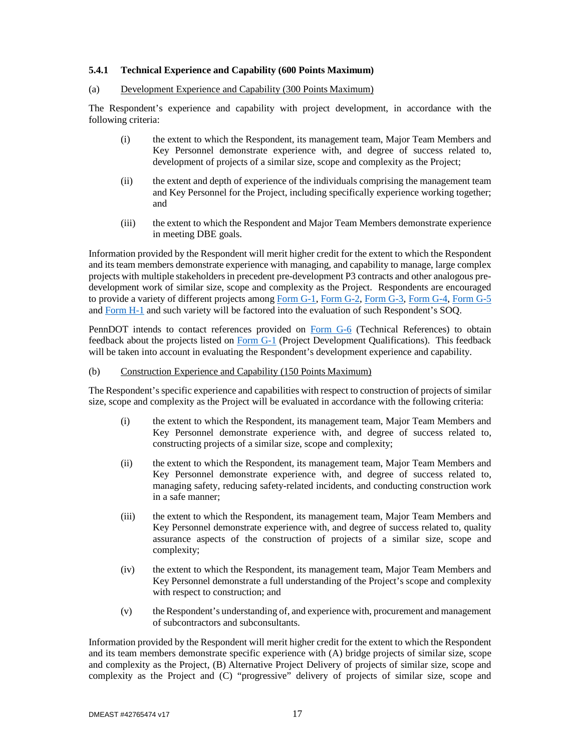## **5.4.1 Technical Experience and Capability (600 Points Maximum)**

#### (a) Development Experience and Capability (300 Points Maximum)

The Respondent's experience and capability with project development, in accordance with the following criteria:

- (i) the extent to which the Respondent, its management team, Major Team Members and Key Personnel demonstrate experience with, and degree of success related to, development of projects of a similar size, scope and complexity as the Project;
- (ii) the extent and depth of experience of the individuals comprising the management team and Key Personnel for the Project, including specifically experience working together; and
- (iii) the extent to which the Respondent and Major Team Members demonstrate experience in meeting DBE goals.

Information provided by the Respondent will merit higher credit for the extent to which the Respondent and its team members demonstrate experience with managing, and capability to manage, large complex projects with multiple stakeholders in precedent pre-development P3 contracts and other analogous predevelopment work of similar size, scope and complexity as the Project. Respondents are encouraged to provide a variety of different projects among Form G-1, Form G-2, Form G-3, Form G-4, Form G-5 and Form H-1 and such variety will be factored into the evaluation of such Respondent's SOQ.

PennDOT intends to contact references provided on Form G-6 (Technical References) to obtain feedback about the projects listed on Form G-1 (Project Development Qualifications). This feedback will be taken into account in evaluating the Respondent's development experience and capability.

#### (b) Construction Experience and Capability (150 Points Maximum)

The Respondent's specific experience and capabilities with respect to construction of projects of similar size, scope and complexity as the Project will be evaluated in accordance with the following criteria:

- (i) the extent to which the Respondent, its management team, Major Team Members and Key Personnel demonstrate experience with, and degree of success related to, constructing projects of a similar size, scope and complexity;
- (ii) the extent to which the Respondent, its management team, Major Team Members and Key Personnel demonstrate experience with, and degree of success related to, managing safety, reducing safety-related incidents, and conducting construction work in a safe manner;
- (iii) the extent to which the Respondent, its management team, Major Team Members and Key Personnel demonstrate experience with, and degree of success related to, quality assurance aspects of the construction of projects of a similar size, scope and complexity;
- (iv) the extent to which the Respondent, its management team, Major Team Members and Key Personnel demonstrate a full understanding of the Project's scope and complexity with respect to construction; and
- (v) the Respondent's understanding of, and experience with, procurement and management of subcontractors and subconsultants.

Information provided by the Respondent will merit higher credit for the extent to which the Respondent and its team members demonstrate specific experience with (A) bridge projects of similar size, scope and complexity as the Project, (B) Alternative Project Delivery of projects of similar size, scope and complexity as the Project and (C) "progressive" delivery of projects of similar size, scope and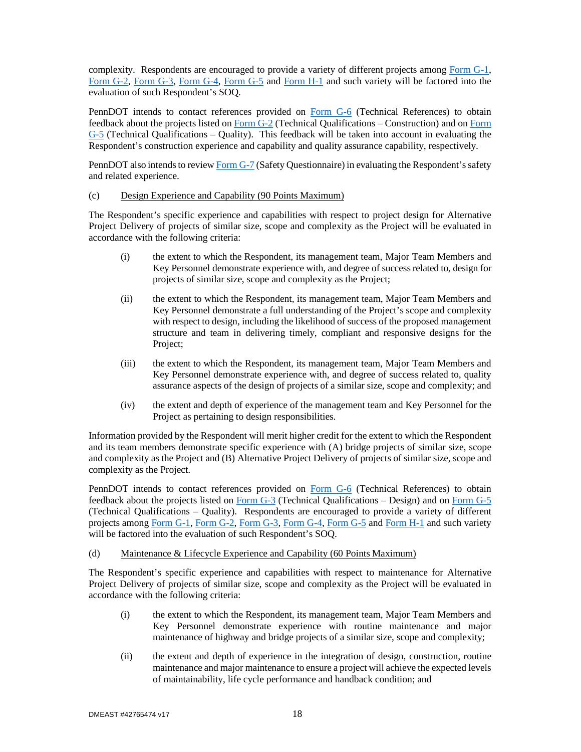complexity. Respondents are encouraged to provide a variety of different projects among Form G-1, Form G-2, Form G-3, Form G-4, Form G-5 and Form H-1 and such variety will be factored into the evaluation of such Respondent's SOQ.

PennDOT intends to contact references provided on Form G-6 (Technical References) to obtain feedback about the projects listed on Form G-2 (Technical Qualifications – Construction) and on Form  $G-5$  (Technical Qualifications – Quality). This feedback will be taken into account in evaluating the Respondent's construction experience and capability and quality assurance capability, respectively.

PennDOT also intends to review Form G-7 (Safety Questionnaire) in evaluating the Respondent's safety and related experience.

#### (c) Design Experience and Capability (90 Points Maximum)

The Respondent's specific experience and capabilities with respect to project design for Alternative Project Delivery of projects of similar size, scope and complexity as the Project will be evaluated in accordance with the following criteria:

- (i) the extent to which the Respondent, its management team, Major Team Members and Key Personnel demonstrate experience with, and degree of success related to, design for projects of similar size, scope and complexity as the Project;
- (ii) the extent to which the Respondent, its management team, Major Team Members and Key Personnel demonstrate a full understanding of the Project's scope and complexity with respect to design, including the likelihood of success of the proposed management structure and team in delivering timely, compliant and responsive designs for the Project;
- (iii) the extent to which the Respondent, its management team, Major Team Members and Key Personnel demonstrate experience with, and degree of success related to, quality assurance aspects of the design of projects of a similar size, scope and complexity; and
- (iv) the extent and depth of experience of the management team and Key Personnel for the Project as pertaining to design responsibilities.

Information provided by the Respondent will merit higher credit for the extent to which the Respondent and its team members demonstrate specific experience with (A) bridge projects of similar size, scope and complexity as the Project and (B) Alternative Project Delivery of projects of similar size, scope and complexity as the Project.

PennDOT intends to contact references provided on Form G-6 (Technical References) to obtain feedback about the projects listed on Form G-3 (Technical Qualifications – Design) and on Form G-5 (Technical Qualifications – Quality). Respondents are encouraged to provide a variety of different projects among Form G-1, Form G-2, Form G-3, Form G-4, Form G-5 and Form H-1 and such variety will be factored into the evaluation of such Respondent's SOQ.

## (d) Maintenance & Lifecycle Experience and Capability (60 Points Maximum)

The Respondent's specific experience and capabilities with respect to maintenance for Alternative Project Delivery of projects of similar size, scope and complexity as the Project will be evaluated in accordance with the following criteria:

- (i) the extent to which the Respondent, its management team, Major Team Members and Key Personnel demonstrate experience with routine maintenance and major maintenance of highway and bridge projects of a similar size, scope and complexity;
- (ii) the extent and depth of experience in the integration of design, construction, routine maintenance and major maintenance to ensure a project will achieve the expected levels of maintainability, life cycle performance and handback condition; and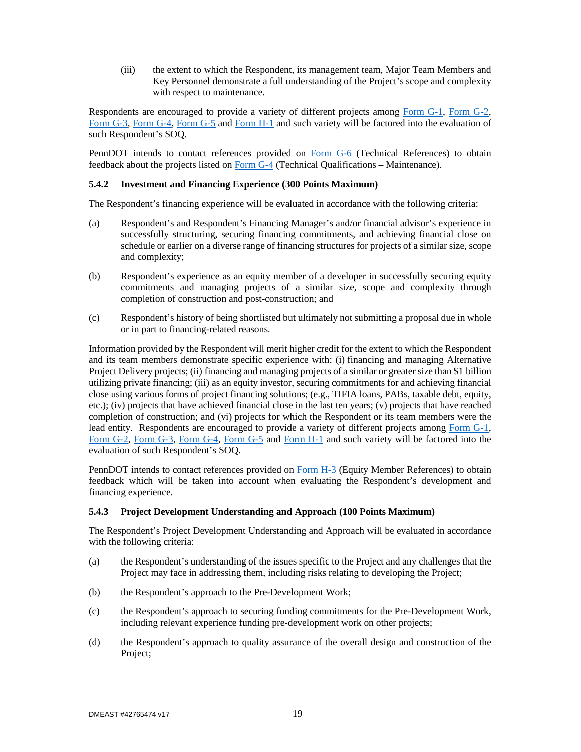(iii) the extent to which the Respondent, its management team, Major Team Members and Key Personnel demonstrate a full understanding of the Project's scope and complexity with respect to maintenance.

Respondents are encouraged to provide a variety of different projects among Form G-1, Form G-2, Form G-3, Form G-4, Form G-5 and Form H-1 and such variety will be factored into the evaluation of such Respondent's SOQ.

PennDOT intends to contact references provided on Form G-6 (Technical References) to obtain feedback about the projects listed on Form G-4 (Technical Qualifications – Maintenance).

#### **5.4.2 Investment and Financing Experience (300 Points Maximum)**

The Respondent's financing experience will be evaluated in accordance with the following criteria:

- (a) Respondent's and Respondent's Financing Manager's and/or financial advisor's experience in successfully structuring, securing financing commitments, and achieving financial close on schedule or earlier on a diverse range of financing structures for projects of a similar size, scope and complexity;
- (b) Respondent's experience as an equity member of a developer in successfully securing equity commitments and managing projects of a similar size, scope and complexity through completion of construction and post-construction; and
- (c) Respondent's history of being shortlisted but ultimately not submitting a proposal due in whole or in part to financing-related reasons.

Information provided by the Respondent will merit higher credit for the extent to which the Respondent and its team members demonstrate specific experience with: (i) financing and managing Alternative Project Delivery projects; (ii) financing and managing projects of a similar or greater size than \$1 billion utilizing private financing; (iii) as an equity investor, securing commitments for and achieving financial close using various forms of project financing solutions; (e.g., TIFIA loans, PABs, taxable debt, equity, etc.); (iv) projects that have achieved financial close in the last ten years; (v) projects that have reached completion of construction; and (vi) projects for which the Respondent or its team members were the lead entity. Respondents are encouraged to provide a variety of different projects among Form G-1, Form G-2, Form G-3, Form G-4, Form G-5 and Form H-1 and such variety will be factored into the evaluation of such Respondent's SOQ.

PennDOT intends to contact references provided on Form H-3 (Equity Member References) to obtain feedback which will be taken into account when evaluating the Respondent's development and financing experience.

### **5.4.3 Project Development Understanding and Approach (100 Points Maximum)**

The Respondent's Project Development Understanding and Approach will be evaluated in accordance with the following criteria:

- (a) the Respondent's understanding of the issues specific to the Project and any challenges that the Project may face in addressing them, including risks relating to developing the Project;
- (b) the Respondent's approach to the Pre-Development Work;
- (c) the Respondent's approach to securing funding commitments for the Pre-Development Work, including relevant experience funding pre-development work on other projects;
- (d) the Respondent's approach to quality assurance of the overall design and construction of the Project;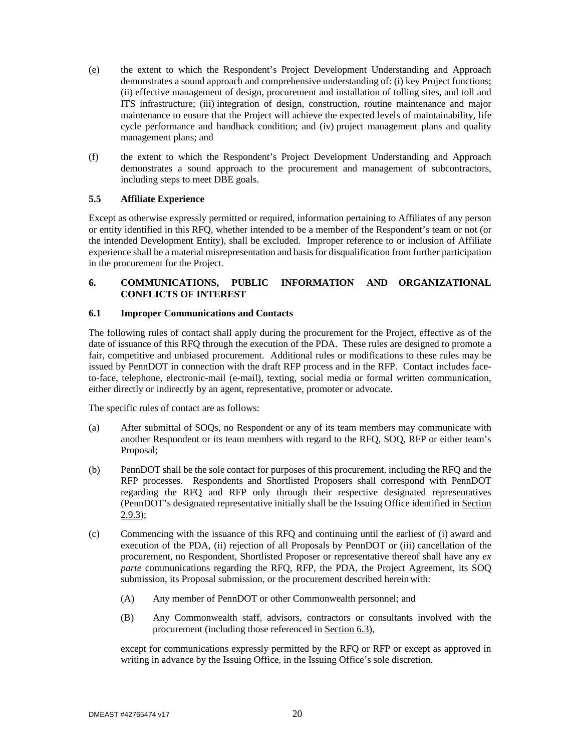- (e) the extent to which the Respondent's Project Development Understanding and Approach demonstrates a sound approach and comprehensive understanding of: (i) key Project functions; (ii) effective management of design, procurement and installation of tolling sites, and toll and ITS infrastructure; (iii) integration of design, construction, routine maintenance and major maintenance to ensure that the Project will achieve the expected levels of maintainability, life cycle performance and handback condition; and (iv) project management plans and quality management plans; and
- (f) the extent to which the Respondent's Project Development Understanding and Approach demonstrates a sound approach to the procurement and management of subcontractors, including steps to meet DBE goals.

## **5.5 Affiliate Experience**

Except as otherwise expressly permitted or required, information pertaining to Affiliates of any person or entity identified in this RFQ, whether intended to be a member of the Respondent's team or not (or the intended Development Entity), shall be excluded. Improper reference to or inclusion of Affiliate experience shall be a material misrepresentation and basis for disqualification from further participation in the procurement for the Project.

## **6. COMMUNICATIONS, PUBLIC INFORMATION AND ORGANIZATIONAL CONFLICTS OF INTEREST**

### **6.1 Improper Communications and Contacts**

The following rules of contact shall apply during the procurement for the Project, effective as of the date of issuance of this RFQ through the execution of the PDA. These rules are designed to promote a fair, competitive and unbiased procurement. Additional rules or modifications to these rules may be issued by PennDOT in connection with the draft RFP process and in the RFP. Contact includes faceto-face, telephone, electronic-mail (e-mail), texting, social media or formal written communication, either directly or indirectly by an agent, representative, promoter or advocate.

The specific rules of contact are as follows:

- (a) After submittal of SOQs, no Respondent or any of its team members may communicate with another Respondent or its team members with regard to the RFQ, SOQ, RFP or either team's Proposal;
- (b) PennDOT shall be the sole contact for purposes of this procurement, including the RFQ and the RFP processes. Respondents and Shortlisted Proposers shall correspond with PennDOT regarding the RFQ and RFP only through their respective designated representatives (PennDOT's designated representative initially shall be the Issuing Office identified in Section 2.9.3);
- (c) Commencing with the issuance of this RFQ and continuing until the earliest of (i) award and execution of the PDA, (ii) rejection of all Proposals by PennDOT or (iii) cancellation of the procurement, no Respondent, Shortlisted Proposer or representative thereof shall have any *ex parte* communications regarding the RFQ, RFP, the PDA, the Project Agreement, its SOQ submission, its Proposal submission, or the procurement described herein with:
	- (A) Any member of PennDOT or other Commonwealth personnel; and
	- (B) Any Commonwealth staff, advisors, contractors or consultants involved with the procurement (including those referenced in Section 6.3),

except for communications expressly permitted by the RFQ or RFP or except as approved in writing in advance by the Issuing Office, in the Issuing Office's sole discretion.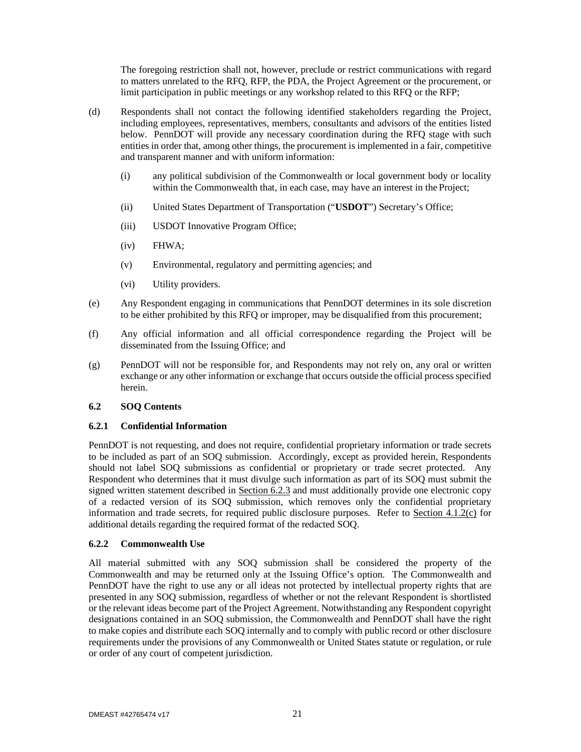The foregoing restriction shall not, however, preclude or restrict communications with regard to matters unrelated to the RFQ, RFP, the PDA, the Project Agreement or the procurement, or limit participation in public meetings or any workshop related to this RFQ or the RFP;

- (d) Respondents shall not contact the following identified stakeholders regarding the Project, including employees, representatives, members, consultants and advisors of the entities listed below. PennDOT will provide any necessary coordination during the RFQ stage with such entities in order that, among other things, the procurement is implemented in a fair, competitive and transparent manner and with uniform information:
	- (i) any political subdivision of the Commonwealth or local government body or locality within the Commonwealth that, in each case, may have an interest in the Project;
	- (ii) United States Department of Transportation ("**USDOT**") Secretary's Office;
	- (iii) USDOT Innovative Program Office;
	- (iv) FHWA;
	- (v) Environmental, regulatory and permitting agencies; and
	- (vi) Utility providers.
- (e) Any Respondent engaging in communications that PennDOT determines in its sole discretion to be either prohibited by this RFQ or improper, may be disqualified from this procurement;
- (f) Any official information and all official correspondence regarding the Project will be disseminated from the Issuing Office; and
- (g) PennDOT will not be responsible for, and Respondents may not rely on, any oral or written exchange or any other information or exchange that occurs outside the official process specified herein.

## **6.2 SOQ Contents**

### **6.2.1 Confidential Information**

PennDOT is not requesting, and does not require, confidential proprietary information or trade secrets to be included as part of an SOQ submission. Accordingly, except as provided herein, Respondents should not label SOQ submissions as confidential or proprietary or trade secret protected. Any Respondent who determines that it must divulge such information as part of its SOQ must submit the signed written statement described in Section 6.2.3 and must additionally provide one electronic copy of a redacted version of its SOQ submission, which removes only the confidential proprietary information and trade secrets, for required public disclosure purposes. Refer to Section 4.1.2(c) for additional details regarding the required format of the redacted SOQ.

### **6.2.2 Commonwealth Use**

All material submitted with any SOQ submission shall be considered the property of the Commonwealth and may be returned only at the Issuing Office's option. The Commonwealth and PennDOT have the right to use any or all ideas not protected by intellectual property rights that are presented in any SOQ submission, regardless of whether or not the relevant Respondent is shortlisted or the relevant ideas become part of the Project Agreement. Notwithstanding any Respondent copyright designations contained in an SOQ submission, the Commonwealth and PennDOT shall have the right to make copies and distribute each SOQ internally and to comply with public record or other disclosure requirements under the provisions of any Commonwealth or United States statute or regulation, or rule or order of any court of competent jurisdiction.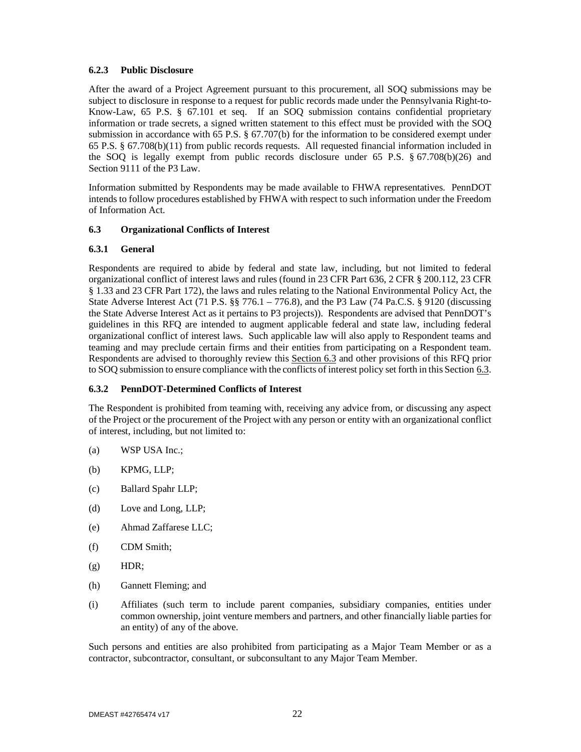## **6.2.3 Public Disclosure**

After the award of a Project Agreement pursuant to this procurement, all SOQ submissions may be subject to disclosure in response to a request for public records made under the Pennsylvania Right-to-Know-Law, 65 P.S. § 67.101 et seq. If an SOQ submission contains confidential proprietary information or trade secrets, a signed written statement to this effect must be provided with the SOQ submission in accordance with 65 P.S.  $\S$  67.707(b) for the information to be considered exempt under 65 P.S. § 67.708(b)(11) from public records requests. All requested financial information included in the SOQ is legally exempt from public records disclosure under 65 P.S. § 67.708(b)(26) and Section 9111 of the P3 Law.

Information submitted by Respondents may be made available to FHWA representatives. PennDOT intends to follow procedures established by FHWA with respect to such information under the Freedom of Information Act.

## **6.3 Organizational Conflicts of Interest**

## **6.3.1 General**

Respondents are required to abide by federal and state law, including, but not limited to federal organizational conflict of interest laws and rules (found in 23 CFR Part 636, 2 CFR § 200.112, 23 CFR § 1.33 and 23 CFR Part 172), the laws and rules relating to the National Environmental Policy Act, the State Adverse Interest Act (71 P.S. §§ 776.1 – 776.8), and the P3 Law (74 Pa.C.S. § 9120 (discussing the State Adverse Interest Act as it pertains to P3 projects)). Respondents are advised that PennDOT's guidelines in this RFQ are intended to augment applicable federal and state law, including federal organizational conflict of interest laws. Such applicable law will also apply to Respondent teams and teaming and may preclude certain firms and their entities from participating on a Respondent team. Respondents are advised to thoroughly review this Section 6.3 and other provisions of this RFQ prior to SOQ submission to ensure compliance with the conflicts of interest policy set forth in this Section 6.3.

## **6.3.2 PennDOT-Determined Conflicts of Interest**

The Respondent is prohibited from teaming with, receiving any advice from, or discussing any aspect of the Project or the procurement of the Project with any person or entity with an organizational conflict of interest, including, but not limited to:

- (a) WSP USA Inc.;
- (b) KPMG, LLP;
- (c) Ballard Spahr LLP;
- (d) Love and Long, LLP;
- (e) Ahmad Zaffarese LLC;
- (f) CDM Smith;
- (g) HDR;
- (h) Gannett Fleming; and
- (i) Affiliates (such term to include parent companies, subsidiary companies, entities under common ownership, joint venture members and partners, and other financially liable parties for an entity) of any of the above.

Such persons and entities are also prohibited from participating as a Major Team Member or as a contractor, subcontractor, consultant, or subconsultant to any Major Team Member.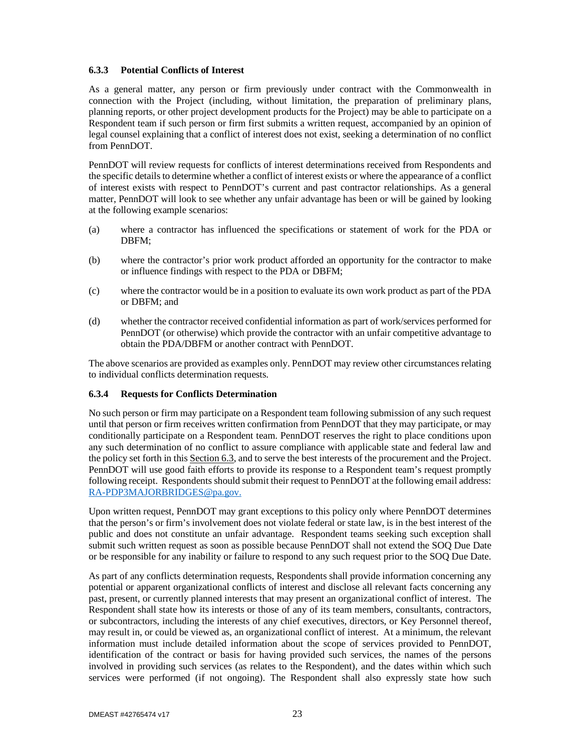## **6.3.3 Potential Conflicts of Interest**

As a general matter, any person or firm previously under contract with the Commonwealth in connection with the Project (including, without limitation, the preparation of preliminary plans, planning reports, or other project development products for the Project) may be able to participate on a Respondent team if such person or firm first submits a written request, accompanied by an opinion of legal counsel explaining that a conflict of interest does not exist, seeking a determination of no conflict from PennDOT.

PennDOT will review requests for conflicts of interest determinations received from Respondents and the specific details to determine whether a conflict of interest exists or where the appearance of a conflict of interest exists with respect to PennDOT's current and past contractor relationships. As a general matter, PennDOT will look to see whether any unfair advantage has been or will be gained by looking at the following example scenarios:

- (a) where a contractor has influenced the specifications or statement of work for the PDA or DBFM;
- (b) where the contractor's prior work product afforded an opportunity for the contractor to make or influence findings with respect to the PDA or DBFM;
- (c) where the contractor would be in a position to evaluate its own work product as part of the PDA or DBFM; and
- (d) whether the contractor received confidential information as part of work/services performed for PennDOT (or otherwise) which provide the contractor with an unfair competitive advantage to obtain the PDA/DBFM or another contract with PennDOT.

The above scenarios are provided as examples only. PennDOT may review other circumstances relating to individual conflicts determination requests.

### **6.3.4 Requests for Conflicts Determination**

No such person or firm may participate on a Respondent team following submission of any such request until that person or firm receives written confirmation from PennDOT that they may participate, or may conditionally participate on a Respondent team. PennDOT reserves the right to place conditions upon any such determination of no conflict to assure compliance with applicable state and federal law and the policy set forth in this Section 6.3, and to serve the best interests of the procurement and the Project. PennDOT will use good faith efforts to provide its response to a Respondent team's request promptly following receipt. Respondents should submit their request to PennDOT at the following email address: RA-PDP3MAJORBRIDGES@pa.gov.

Upon written request, PennDOT may grant exceptions to this policy only where PennDOT determines that the person's or firm's involvement does not violate federal or state law, is in the best interest of the public and does not constitute an unfair advantage. Respondent teams seeking such exception shall submit such written request as soon as possible because PennDOT shall not extend the SOQ Due Date or be responsible for any inability or failure to respond to any such request prior to the SOQ Due Date.

As part of any conflicts determination requests, Respondents shall provide information concerning any potential or apparent organizational conflicts of interest and disclose all relevant facts concerning any past, present, or currently planned interests that may present an organizational conflict of interest. The Respondent shall state how its interests or those of any of its team members, consultants, contractors, or subcontractors, including the interests of any chief executives, directors, or Key Personnel thereof, may result in, or could be viewed as, an organizational conflict of interest. At a minimum, the relevant information must include detailed information about the scope of services provided to PennDOT, identification of the contract or basis for having provided such services, the names of the persons involved in providing such services (as relates to the Respondent), and the dates within which such services were performed (if not ongoing). The Respondent shall also expressly state how such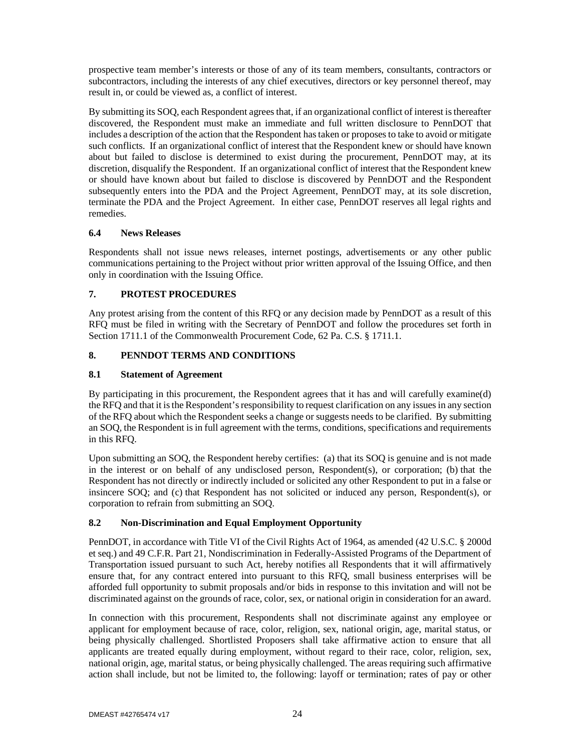prospective team member's interests or those of any of its team members, consultants, contractors or subcontractors, including the interests of any chief executives, directors or key personnel thereof, may result in, or could be viewed as, a conflict of interest.

By submitting its SOQ, each Respondent agrees that, if an organizational conflict of interest is thereafter discovered, the Respondent must make an immediate and full written disclosure to PennDOT that includes a description of the action that the Respondent has taken or proposes to take to avoid or mitigate such conflicts. If an organizational conflict of interest that the Respondent knew or should have known about but failed to disclose is determined to exist during the procurement, PennDOT may, at its discretion, disqualify the Respondent. If an organizational conflict of interest that the Respondent knew or should have known about but failed to disclose is discovered by PennDOT and the Respondent subsequently enters into the PDA and the Project Agreement, PennDOT may, at its sole discretion, terminate the PDA and the Project Agreement. In either case, PennDOT reserves all legal rights and remedies.

## **6.4 News Releases**

Respondents shall not issue news releases, internet postings, advertisements or any other public communications pertaining to the Project without prior written approval of the Issuing Office, and then only in coordination with the Issuing Office.

## **7. PROTEST PROCEDURES**

Any protest arising from the content of this RFQ or any decision made by PennDOT as a result of this RFQ must be filed in writing with the Secretary of PennDOT and follow the procedures set forth in Section 1711.1 of the Commonwealth Procurement Code, 62 Pa. C.S. § 1711.1.

## **8. PENNDOT TERMS AND CONDITIONS**

## **8.1 Statement of Agreement**

By participating in this procurement, the Respondent agrees that it has and will carefully examine(d) the RFQ and that it is the Respondent's responsibility to request clarification on any issues in any section of the RFQ about which the Respondent seeks a change or suggests needs to be clarified. By submitting an SOQ, the Respondent is in full agreement with the terms, conditions, specifications and requirements in this RFQ.

Upon submitting an SOQ, the Respondent hereby certifies: (a) that its SOQ is genuine and is not made in the interest or on behalf of any undisclosed person, Respondent(s), or corporation; (b) that the Respondent has not directly or indirectly included or solicited any other Respondent to put in a false or insincere SOQ; and (c) that Respondent has not solicited or induced any person, Respondent(s), or corporation to refrain from submitting an SOQ.

## **8.2 Non-Discrimination and Equal Employment Opportunity**

PennDOT, in accordance with Title VI of the Civil Rights Act of 1964, as amended (42 U.S.C. § 2000d et seq.) and 49 C.F.R. Part 21, Nondiscrimination in Federally-Assisted Programs of the Department of Transportation issued pursuant to such Act, hereby notifies all Respondents that it will affirmatively ensure that, for any contract entered into pursuant to this RFQ, small business enterprises will be afforded full opportunity to submit proposals and/or bids in response to this invitation and will not be discriminated against on the grounds of race, color, sex, or national origin in consideration for an award.

In connection with this procurement, Respondents shall not discriminate against any employee or applicant for employment because of race, color, religion, sex, national origin, age, marital status, or being physically challenged. Shortlisted Proposers shall take affirmative action to ensure that all applicants are treated equally during employment, without regard to their race, color, religion, sex, national origin, age, marital status, or being physically challenged. The areas requiring such affirmative action shall include, but not be limited to, the following: layoff or termination; rates of pay or other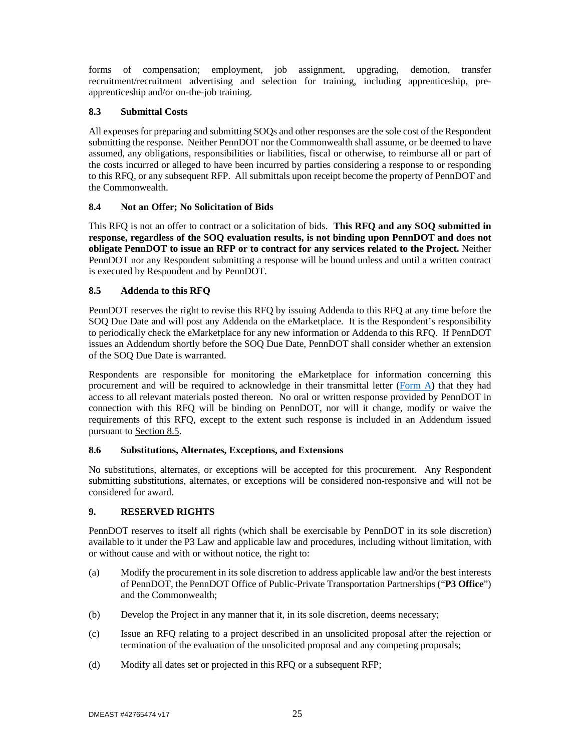forms of compensation; employment, job assignment, upgrading, demotion, transfer recruitment/recruitment advertising and selection for training, including apprenticeship, preapprenticeship and/or on-the-job training.

## **8.3 Submittal Costs**

All expenses for preparing and submitting SOQs and other responses are the sole cost of the Respondent submitting the response. Neither PennDOT nor the Commonwealth shall assume, or be deemed to have assumed, any obligations, responsibilities or liabilities, fiscal or otherwise, to reimburse all or part of the costs incurred or alleged to have been incurred by parties considering a response to or responding to this RFQ, or any subsequent RFP. All submittals upon receipt become the property of PennDOT and the Commonwealth.

## **8.4 Not an Offer; No Solicitation of Bids**

This RFQ is not an offer to contract or a solicitation of bids. **This RFQ and any SOQ submitted in response, regardless of the SOQ evaluation results, is not binding upon PennDOT and does not obligate PennDOT to issue an RFP or to contract for any services related to the Project.** Neither PennDOT nor any Respondent submitting a response will be bound unless and until a written contract is executed by Respondent and by PennDOT.

## **8.5 Addenda to this RFQ**

PennDOT reserves the right to revise this RFQ by issuing Addenda to this RFQ at any time before the SOQ Due Date and will post any Addenda on the eMarketplace. It is the Respondent's responsibility to periodically check the eMarketplace for any new information or Addenda to this RFQ. If PennDOT issues an Addendum shortly before the SOQ Due Date, PennDOT shall consider whether an extension of the SOQ Due Date is warranted.

Respondents are responsible for monitoring the eMarketplace for information concerning this procurement and will be required to acknowledge in their transmittal letter (Form A**)** that they had access to all relevant materials posted thereon. No oral or written response provided by PennDOT in connection with this RFQ will be binding on PennDOT, nor will it change, modify or waive the requirements of this RFQ, except to the extent such response is included in an Addendum issued pursuant to Section 8.5.

### **8.6 Substitutions, Alternates, Exceptions, and Extensions**

No substitutions, alternates, or exceptions will be accepted for this procurement. Any Respondent submitting substitutions, alternates, or exceptions will be considered non-responsive and will not be considered for award.

## **9. RESERVED RIGHTS**

PennDOT reserves to itself all rights (which shall be exercisable by PennDOT in its sole discretion) available to it under the P3 Law and applicable law and procedures, including without limitation, with or without cause and with or without notice, the right to:

- (a) Modify the procurement in its sole discretion to address applicable law and/or the best interests of PennDOT, the PennDOT Office of Public-Private Transportation Partnerships ("**P3 Office**") and the Commonwealth;
- (b) Develop the Project in any manner that it, in its sole discretion, deems necessary;
- (c) Issue an RFQ relating to a project described in an unsolicited proposal after the rejection or termination of the evaluation of the unsolicited proposal and any competing proposals;
- (d) Modify all dates set or projected in this RFQ or a subsequent RFP;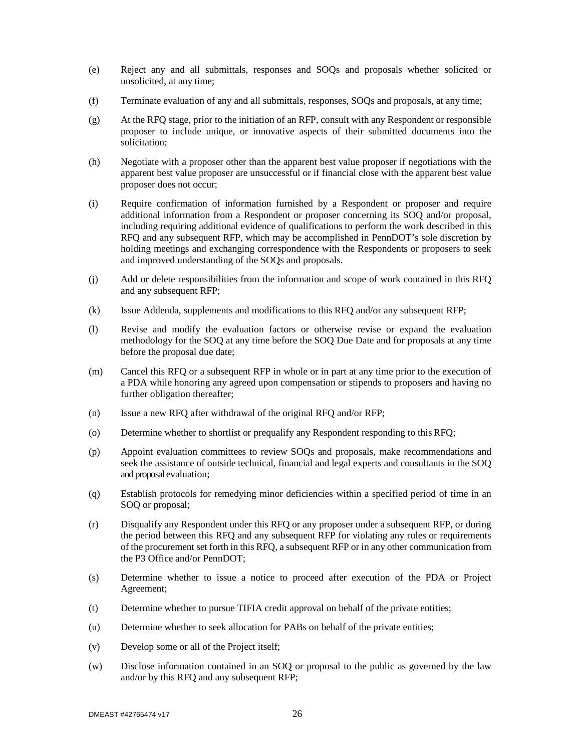- (e) Reject any and all submittals, responses and SOQs and proposals whether solicited or unsolicited, at any time;
- (f) Terminate evaluation of any and all submittals, responses, SOQs and proposals, at any time;
- (g) At the RFQ stage, prior to the initiation of an RFP, consult with any Respondent or responsible proposer to include unique, or innovative aspects of their submitted documents into the solicitation;
- (h) Negotiate with a proposer other than the apparent best value proposer if negotiations with the apparent best value proposer are unsuccessful or if financial close with the apparent best value proposer does not occur;
- (i) Require confirmation of information furnished by a Respondent or proposer and require additional information from a Respondent or proposer concerning its SOQ and/or proposal, including requiring additional evidence of qualifications to perform the work described in this RFQ and any subsequent RFP, which may be accomplished in PennDOT's sole discretion by holding meetings and exchanging correspondence with the Respondents or proposers to seek and improved understanding of the SOQs and proposals.
- (j) Add or delete responsibilities from the information and scope of work contained in this RFQ and any subsequent RFP;
- (k) Issue Addenda, supplements and modifications to this RFQ and/or any subsequent RFP;
- (l) Revise and modify the evaluation factors or otherwise revise or expand the evaluation methodology for the SOQ at any time before the SOQ Due Date and for proposals at any time before the proposal due date;
- (m) Cancel this RFQ or a subsequent RFP in whole or in part at any time prior to the execution of a PDA while honoring any agreed upon compensation or stipends to proposers and having no further obligation thereafter;
- (n) Issue a new RFQ after withdrawal of the original RFQ and/or RFP;
- (o) Determine whether to shortlist or prequalify any Respondent responding to this RFQ;
- (p) Appoint evaluation committees to review SOQs and proposals, make recommendations and seek the assistance of outside technical, financial and legal experts and consultants in the SOQ and proposal evaluation;
- (q) Establish protocols for remedying minor deficiencies within a specified period of time in an SOQ or proposal;
- (r) Disqualify any Respondent under this RFQ or any proposer under a subsequent RFP, or during the period between this RFQ and any subsequent RFP for violating any rules or requirements of the procurement set forth in this RFQ, a subsequent RFP or in any other communication from the P3 Office and/or PennDOT;
- (s) Determine whether to issue a notice to proceed after execution of the PDA or Project Agreement;
- (t) Determine whether to pursue TIFIA credit approval on behalf of the private entities;
- (u) Determine whether to seek allocation for PABs on behalf of the private entities;
- (v) Develop some or all of the Project itself;
- (w) Disclose information contained in an SOQ or proposal to the public as governed by the law and/or by this RFQ and any subsequent RFP;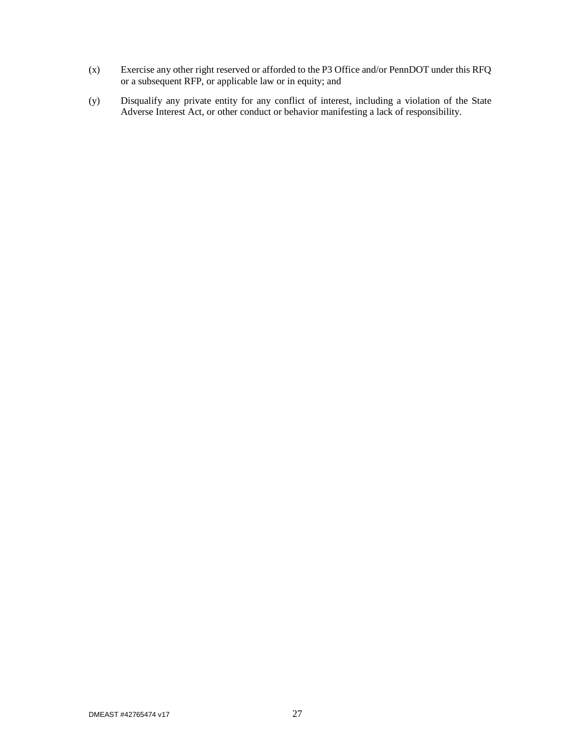- (x) Exercise any other right reserved or afforded to the P3 Office and/or PennDOT under this RFQ or a subsequent RFP, or applicable law or in equity; and
- (y) Disqualify any private entity for any conflict of interest, including a violation of the State Adverse Interest Act, or other conduct or behavior manifesting a lack of responsibility.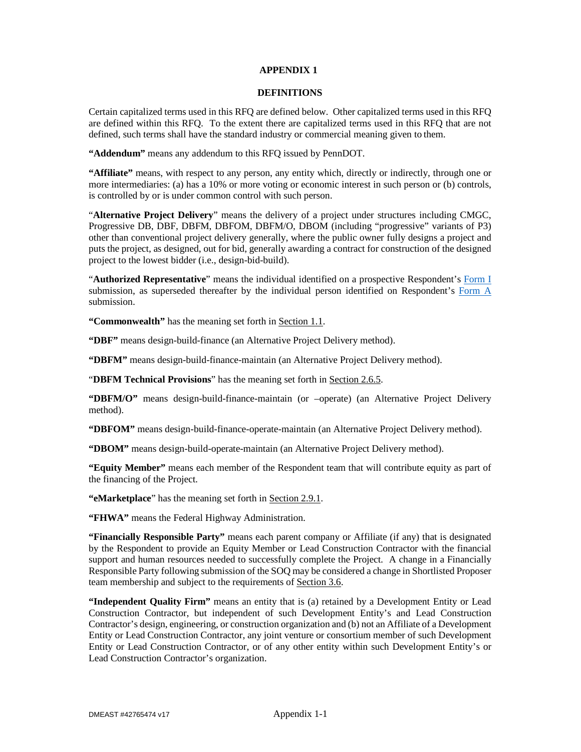#### **APPENDIX 1**

#### **DEFINITIONS**

Certain capitalized terms used in this RFQ are defined below. Other capitalized terms used in this RFQ are defined within this RFQ. To the extent there are capitalized terms used in this RFQ that are not defined, such terms shall have the standard industry or commercial meaning given to them.

**"Addendum"** means any addendum to this RFQ issued by PennDOT.

**"Affiliate"** means, with respect to any person, any entity which, directly or indirectly, through one or more intermediaries: (a) has a 10% or more voting or economic interest in such person or (b) controls, is controlled by or is under common control with such person.

"**Alternative Project Delivery**" means the delivery of a project under structures including CMGC, Progressive DB, DBF, DBFM, DBFOM, DBFM/O, DBOM (including "progressive" variants of P3) other than conventional project delivery generally, where the public owner fully designs a project and puts the project, as designed, out for bid, generally awarding a contract for construction of the designed project to the lowest bidder (i.e., design-bid-build).

"**Authorized Representative**" means the individual identified on a prospective Respondent's Form I submission, as superseded thereafter by the individual person identified on Respondent's Form A submission.

**"Commonwealth"** has the meaning set forth in Section 1.1.

**"DBF"** means design-build-finance (an Alternative Project Delivery method).

**"DBFM"** means design-build-finance-maintain (an Alternative Project Delivery method).

"**DBFM Technical Provisions**" has the meaning set forth in Section 2.6.5.

**"DBFM/O"** means design-build-finance-maintain (or –operate) (an Alternative Project Delivery method).

**"DBFOM"** means design-build-finance-operate-maintain (an Alternative Project Delivery method).

**"DBOM"** means design-build-operate-maintain (an Alternative Project Delivery method).

**"Equity Member"** means each member of the Respondent team that will contribute equity as part of the financing of the Project.

**"eMarketplace**" has the meaning set forth in Section 2.9.1.

**"FHWA"** means the Federal Highway Administration.

**"Financially Responsible Party"** means each parent company or Affiliate (if any) that is designated by the Respondent to provide an Equity Member or Lead Construction Contractor with the financial support and human resources needed to successfully complete the Project. A change in a Financially Responsible Party following submission of the SOQ may be considered a change in Shortlisted Proposer team membership and subject to the requirements of Section 3.6.

**"Independent Quality Firm"** means an entity that is (a) retained by a Development Entity or Lead Construction Contractor, but independent of such Development Entity's and Lead Construction Contractor's design, engineering, or construction organization and (b) not an Affiliate of a Development Entity or Lead Construction Contractor, any joint venture or consortium member of such Development Entity or Lead Construction Contractor, or of any other entity within such Development Entity's or Lead Construction Contractor's organization.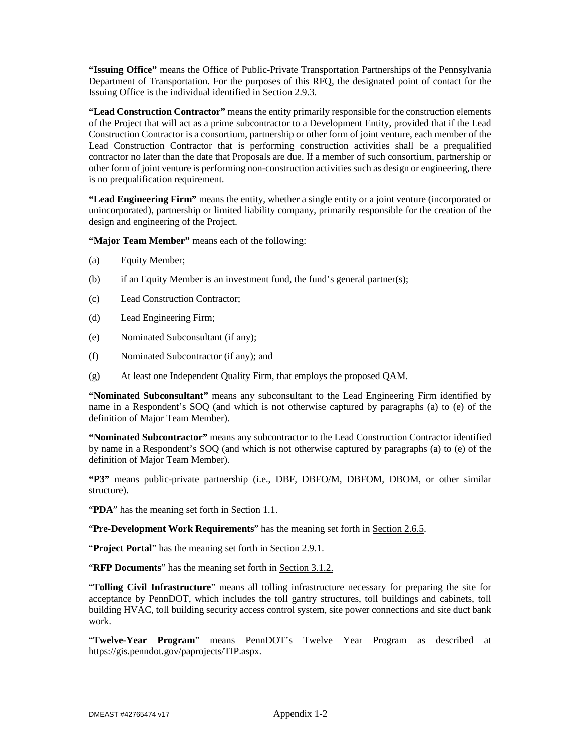**"Issuing Office"** means the Office of Public-Private Transportation Partnerships of the Pennsylvania Department of Transportation. For the purposes of this RFQ, the designated point of contact for the Issuing Office is the individual identified in Section 2.9.3.

**"Lead Construction Contractor"** means the entity primarily responsible for the construction elements of the Project that will act as a prime subcontractor to a Development Entity, provided that if the Lead Construction Contractor is a consortium, partnership or other form of joint venture, each member of the Lead Construction Contractor that is performing construction activities shall be a prequalified contractor no later than the date that Proposals are due. If a member of such consortium, partnership or other form of joint venture is performing non-construction activities such as design or engineering, there is no prequalification requirement.

**"Lead Engineering Firm"** means the entity, whether a single entity or a joint venture (incorporated or unincorporated), partnership or limited liability company, primarily responsible for the creation of the design and engineering of the Project.

**"Major Team Member"** means each of the following:

- (a) Equity Member;
- (b) if an Equity Member is an investment fund, the fund's general partner(s);
- (c) Lead Construction Contractor;
- (d) Lead Engineering Firm;
- (e) Nominated Subconsultant (if any);
- (f) Nominated Subcontractor (if any); and
- (g) At least one Independent Quality Firm, that employs the proposed QAM.

**"Nominated Subconsultant"** means any subconsultant to the Lead Engineering Firm identified by name in a Respondent's SOQ (and which is not otherwise captured by paragraphs (a) to (e) of the definition of Major Team Member).

**"Nominated Subcontractor"** means any subcontractor to the Lead Construction Contractor identified by name in a Respondent's SOQ (and which is not otherwise captured by paragraphs (a) to (e) of the definition of Major Team Member).

**"P3"** means public-private partnership (i.e., DBF, DBFO/M, DBFOM, DBOM, or other similar structure).

"**PDA**" has the meaning set forth in Section 1.1.

"**Pre-Development Work Requirements**" has the meaning set forth in Section 2.6.5.

"**Project Portal**" has the meaning set forth in **Section 2.9.1**.

"**RFP Documents**" has the meaning set forth in Section 3.1.2.

"**Tolling Civil Infrastructure**" means all tolling infrastructure necessary for preparing the site for acceptance by PennDOT, which includes the toll gantry structures, toll buildings and cabinets, toll building HVAC, toll building security access control system, site power connections and site duct bank work.

"**Twelve-Year Program**" means PennDOT's Twelve Year Program as described at https://gis.penndot.gov/paprojects/TIP.aspx.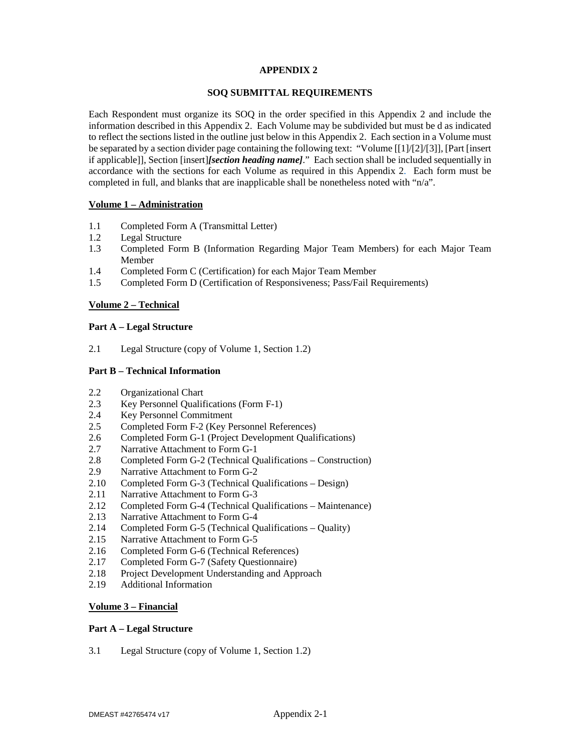### **APPENDIX 2**

#### **SOQ SUBMITTAL REQUIREMENTS**

Each Respondent must organize its SOQ in the order specified in this Appendix 2 and include the information described in this Appendix 2. Each Volume may be subdivided but must be d as indicated to reflect the sections listed in the outline just below in this Appendix 2. Each section in a Volume must be separated by a section divider page containing the following text: "Volume [[1]/[2]/[3]], [Part [insert if applicable]], Section [insert]*[section heading name]*." Each section shall be included sequentially in accordance with the sections for each Volume as required in this Appendix 2. Each form must be completed in full, and blanks that are inapplicable shall be nonetheless noted with "n/a".

### **Volume 1 – Administration**

- 1.1 Completed Form A (Transmittal Letter)
- 1.2 Legal Structure
- 1.3 Completed Form B (Information Regarding Major Team Members) for each Major Team Member
- 1.4 Completed Form C (Certification) for each Major Team Member
- 1.5 Completed Form D (Certification of Responsiveness; Pass/Fail Requirements)

### **Volume 2 – Technical**

#### **Part A – Legal Structure**

2.1 Legal Structure (copy of Volume 1, Section 1.2)

#### **Part B – Technical Information**

- 2.2 Organizational Chart
- 2.3 Key Personnel Qualifications (Form F-1)
- 2.4 Key Personnel Commitment
- 2.5 Completed Form F-2 (Key Personnel References)
- 2.6 Completed Form G-1 (Project Development Qualifications)
- 
- 2.7 Narrative Attachment to Form G-1<br>2.8 Completed Form G-2 (Technical Q 2.8 Completed Form G-2 (Technical Qualifications – Construction)
- 2.9 Narrative Attachment to Form G-2
- 2.10 Completed Form G-3 (Technical Qualifications Design)
- 2.11 Narrative Attachment to Form G-3
- 2.12 Completed Form G-4 (Technical Qualifications Maintenance)
- 2.13 Narrative Attachment to Form G-4
- 2.14 Completed Form G-5 (Technical Qualifications Quality)
- 2.15 Narrative Attachment to Form G-5
- 2.16 Completed Form G-6 (Technical References)
- 2.17 Completed Form G-7 (Safety Questionnaire)
- 2.18 Project Development Understanding and Approach
- 2.19 Additional Information

## **Volume 3 – Financial**

#### **Part A – Legal Structure**

3.1 Legal Structure (copy of Volume 1, Section 1.2)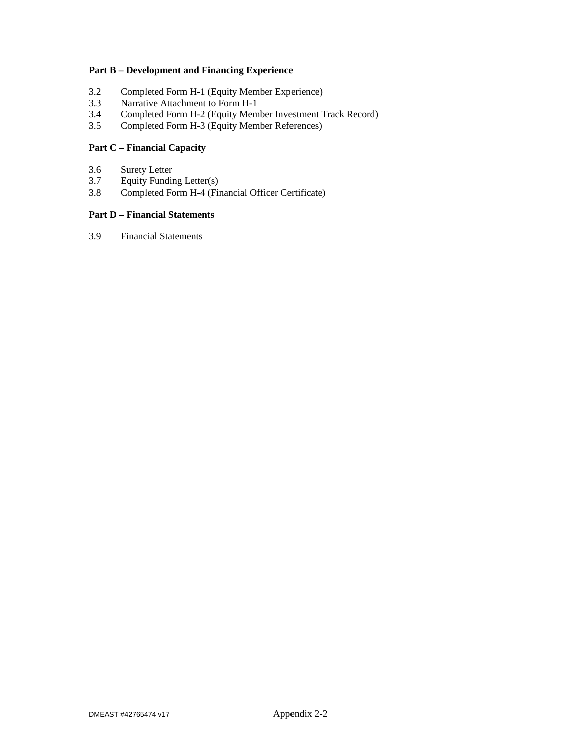## **Part B – Development and Financing Experience**

- 3.2 Completed Form H-1 (Equity Member Experience)
- 3.3 Narrative Attachment to Form H-1
- 3.4 Completed Form H-2 (Equity Member Investment Track Record)
- 3.5 Completed Form H-3 (Equity Member References)

## **Part C – Financial Capacity**

- 3.6 Surety Letter
- 3.7 Equity Funding Letter(s)
- 3.8 Completed Form H-4 (Financial Officer Certificate)

## **Part D – Financial Statements**

3.9 Financial Statements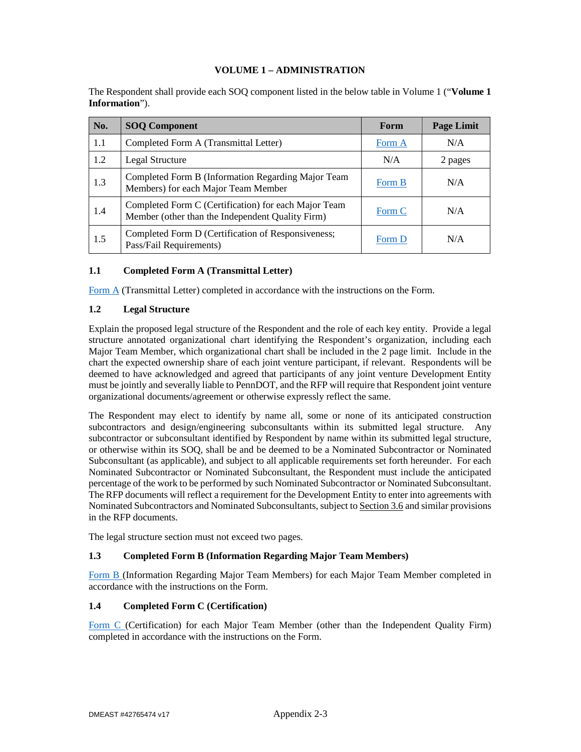#### **VOLUME 1 – ADMINISTRATION**

The Respondent shall provide each SOQ component listed in the below table in Volume 1 ("**Volume 1 Information**").

| No. | <b>SOQ Component</b>                                                                                     | Form   | <b>Page Limit</b> |
|-----|----------------------------------------------------------------------------------------------------------|--------|-------------------|
| 1.1 | Completed Form A (Transmittal Letter)                                                                    | Form A | N/A               |
| 1.2 | <b>Legal Structure</b>                                                                                   | N/A    | 2 pages           |
| 1.3 | Completed Form B (Information Regarding Major Team<br>Members) for each Major Team Member                | Form B | N/A               |
| 1.4 | Completed Form C (Certification) for each Major Team<br>Member (other than the Independent Quality Firm) | Form C | N/A               |
| 1.5 | Completed Form D (Certification of Responsiveness;<br>Pass/Fail Requirements)                            | Form D | N/A               |

### **1.1 Completed Form A (Transmittal Letter)**

Form A (Transmittal Letter) completed in accordance with the instructions on the Form.

### **1.2 Legal Structure**

Explain the proposed legal structure of the Respondent and the role of each key entity. Provide a legal structure annotated organizational chart identifying the Respondent's organization, including each Major Team Member, which organizational chart shall be included in the 2 page limit. Include in the chart the expected ownership share of each joint venture participant, if relevant. Respondents will be deemed to have acknowledged and agreed that participants of any joint venture Development Entity must be jointly and severally liable to PennDOT, and the RFP will require that Respondent joint venture organizational documents/agreement or otherwise expressly reflect the same.

The Respondent may elect to identify by name all, some or none of its anticipated construction subcontractors and design/engineering subconsultants within its submitted legal structure. Any subcontractor or subconsultant identified by Respondent by name within its submitted legal structure, or otherwise within its SOQ, shall be and be deemed to be a Nominated Subcontractor or Nominated Subconsultant (as applicable), and subject to all applicable requirements set forth hereunder. For each Nominated Subcontractor or Nominated Subconsultant, the Respondent must include the anticipated percentage of the work to be performed by such Nominated Subcontractor or Nominated Subconsultant. The RFP documents will reflect a requirement for the Development Entity to enter into agreements with Nominated Subcontractors and Nominated Subconsultants, subject to Section 3.6 and similar provisions in the RFP documents.

The legal structure section must not exceed two pages.

#### **1.3 Completed Form B (Information Regarding Major Team Members)**

Form B (Information Regarding Major Team Members) for each Major Team Member completed in accordance with the instructions on the Form.

### **1.4 Completed Form C (Certification)**

Form C (Certification) for each Major Team Member (other than the Independent Quality Firm) completed in accordance with the instructions on the Form.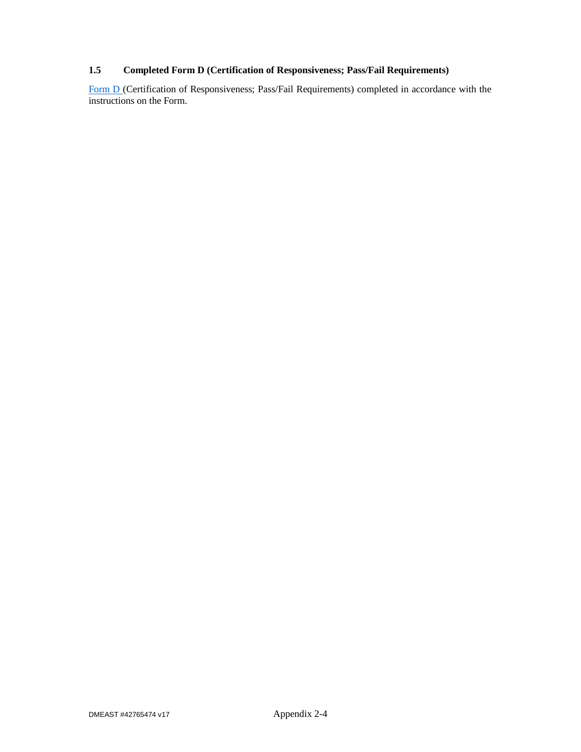# **1.5 Completed Form D (Certification of Responsiveness; Pass/Fail Requirements)**

Form D (Certification of Responsiveness; Pass/Fail Requirements) completed in accordance with the instructions on the Form.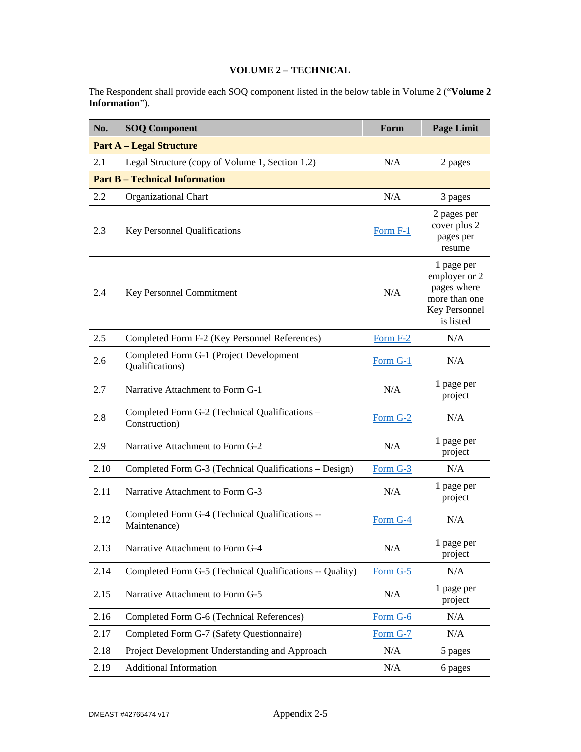# **VOLUME 2 – TECHNICAL**

The Respondent shall provide each SOQ component listed in the below table in Volume 2 ("**Volume 2 Information**").

| No.  | <b>SOQ Component</b>                                            | Form       | <b>Page Limit</b>                                                                         |  |  |
|------|-----------------------------------------------------------------|------------|-------------------------------------------------------------------------------------------|--|--|
|      | <b>Part A - Legal Structure</b>                                 |            |                                                                                           |  |  |
| 2.1  | Legal Structure (copy of Volume 1, Section 1.2)                 | N/A        | 2 pages                                                                                   |  |  |
|      | <b>Part B - Technical Information</b>                           |            |                                                                                           |  |  |
| 2.2  | <b>Organizational Chart</b>                                     | N/A        | 3 pages                                                                                   |  |  |
| 2.3  | Key Personnel Qualifications                                    | Form F-1   | 2 pages per<br>cover plus 2<br>pages per<br>resume                                        |  |  |
| 2.4  | N/A<br>Key Personnel Commitment                                 |            | 1 page per<br>employer or 2<br>pages where<br>more than one<br>Key Personnel<br>is listed |  |  |
| 2.5  | Completed Form F-2 (Key Personnel References)                   | Form F-2   | N/A                                                                                       |  |  |
| 2.6  | Completed Form G-1 (Project Development<br>Qualifications)      | Form G-1   | N/A                                                                                       |  |  |
| 2.7  | Narrative Attachment to Form G-1                                | N/A        | 1 page per<br>project                                                                     |  |  |
| 2.8  | Completed Form G-2 (Technical Qualifications -<br>Construction) | Form G-2   | N/A                                                                                       |  |  |
| 2.9  | Narrative Attachment to Form G-2                                | N/A        | 1 page per<br>project                                                                     |  |  |
| 2.10 | Completed Form G-3 (Technical Qualifications - Design)          | Form G-3   | N/A                                                                                       |  |  |
| 2.11 | Narrative Attachment to Form G-3                                | N/A        | 1 page per<br>project                                                                     |  |  |
| 2.12 | Completed Form G-4 (Technical Qualifications --<br>Maintenance) | Form G-4   | N/A                                                                                       |  |  |
| 2.13 | Narrative Attachment to Form G-4                                | N/A        | 1 page per<br>project                                                                     |  |  |
| 2.14 | Completed Form G-5 (Technical Qualifications -- Quality)        | Form G-5   | N/A                                                                                       |  |  |
| 2.15 | Narrative Attachment to Form G-5                                | N/A        | 1 page per<br>project                                                                     |  |  |
| 2.16 | Completed Form G-6 (Technical References)                       | Form $G-6$ | N/A                                                                                       |  |  |
| 2.17 | Completed Form G-7 (Safety Questionnaire)                       | Form G-7   | N/A                                                                                       |  |  |
| 2.18 | Project Development Understanding and Approach                  | N/A        | 5 pages                                                                                   |  |  |
| 2.19 | <b>Additional Information</b>                                   | N/A        | 6 pages                                                                                   |  |  |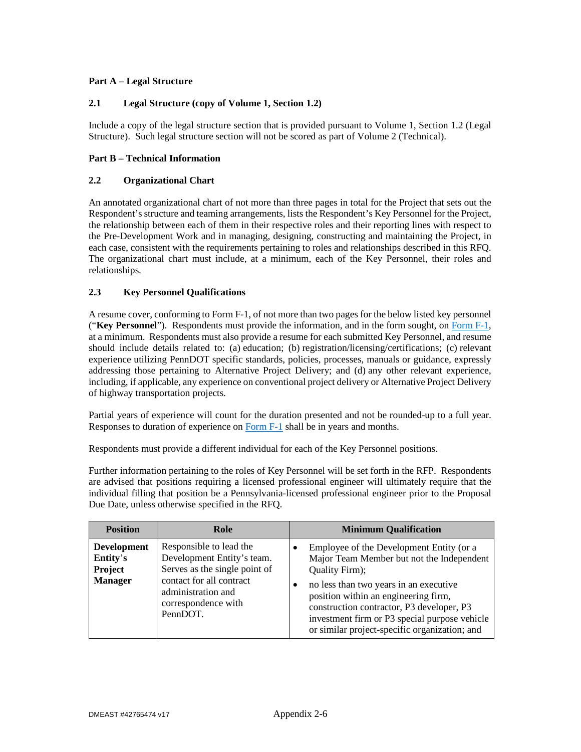# **Part A – Legal Structure**

## **2.1 Legal Structure (copy of Volume 1, Section 1.2)**

Include a copy of the legal structure section that is provided pursuant to Volume 1, Section 1.2 (Legal Structure). Such legal structure section will not be scored as part of Volume 2 (Technical).

## **Part B – Technical Information**

## **2.2 Organizational Chart**

An annotated organizational chart of not more than three pages in total for the Project that sets out the Respondent's structure and teaming arrangements, lists the Respondent's Key Personnel for the Project, the relationship between each of them in their respective roles and their reporting lines with respect to the Pre-Development Work and in managing, designing, constructing and maintaining the Project, in each case, consistent with the requirements pertaining to roles and relationships described in this RFQ. The organizational chart must include, at a minimum, each of the Key Personnel, their roles and relationships.

## **2.3 Key Personnel Qualifications**

A resume cover, conforming to Form F-1, of not more than two pages for the below listed key personnel ("**Key Personnel**"). Respondents must provide the information, and in the form sought, on Form F-1, at a minimum. Respondents must also provide a resume for each submitted Key Personnel, and resume should include details related to: (a) education; (b) registration/licensing/certifications; (c) relevant experience utilizing PennDOT specific standards, policies, processes, manuals or guidance, expressly addressing those pertaining to Alternative Project Delivery; and (d) any other relevant experience, including, if applicable, any experience on conventional project delivery or Alternative Project Delivery of highway transportation projects.

Partial years of experience will count for the duration presented and not be rounded-up to a full year. Responses to duration of experience on Form F-1 shall be in years and months.

Respondents must provide a different individual for each of the Key Personnel positions.

Further information pertaining to the roles of Key Personnel will be set forth in the RFP. Respondents are advised that positions requiring a licensed professional engineer will ultimately require that the individual filling that position be a Pennsylvania-licensed professional engineer prior to the Proposal Due Date, unless otherwise specified in the RFQ.

| <b>Position</b>                                             | Role                                                                                                                                                                        | <b>Minimum Qualification</b>                                                                                                                                                                                                                                                                                                             |
|-------------------------------------------------------------|-----------------------------------------------------------------------------------------------------------------------------------------------------------------------------|------------------------------------------------------------------------------------------------------------------------------------------------------------------------------------------------------------------------------------------------------------------------------------------------------------------------------------------|
| <b>Development</b><br>Entity's<br>Project<br><b>Manager</b> | Responsible to lead the<br>Development Entity's team.<br>Serves as the single point of<br>contact for all contract<br>administration and<br>correspondence with<br>PennDOT. | Employee of the Development Entity (or a<br>Major Team Member but not the Independent<br>Quality Firm);<br>no less than two years in an executive<br>position within an engineering firm,<br>construction contractor, P3 developer, P3<br>investment firm or P3 special purpose vehicle<br>or similar project-specific organization; and |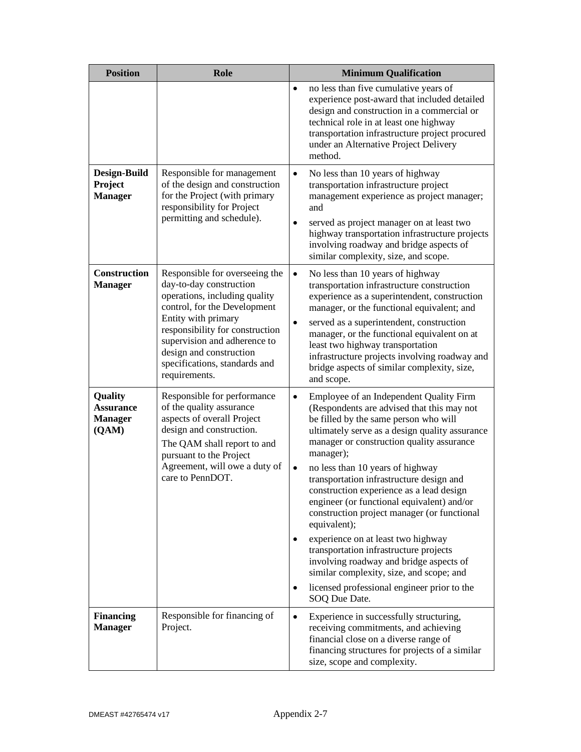| <b>Position</b>                                               | Role                                                                                                                                                                                                                                                                                              | <b>Minimum Qualification</b>                                                                                                                                                                                                                                                                                                                                                                                                                                                                                                                                                                                                                                                                                                                                   |  |
|---------------------------------------------------------------|---------------------------------------------------------------------------------------------------------------------------------------------------------------------------------------------------------------------------------------------------------------------------------------------------|----------------------------------------------------------------------------------------------------------------------------------------------------------------------------------------------------------------------------------------------------------------------------------------------------------------------------------------------------------------------------------------------------------------------------------------------------------------------------------------------------------------------------------------------------------------------------------------------------------------------------------------------------------------------------------------------------------------------------------------------------------------|--|
|                                                               |                                                                                                                                                                                                                                                                                                   | no less than five cumulative years of<br>$\bullet$<br>experience post-award that included detailed<br>design and construction in a commercial or<br>technical role in at least one highway<br>transportation infrastructure project procured<br>under an Alternative Project Delivery<br>method.                                                                                                                                                                                                                                                                                                                                                                                                                                                               |  |
| Design-Build<br>Project<br><b>Manager</b>                     | Responsible for management<br>of the design and construction<br>for the Project (with primary<br>responsibility for Project<br>permitting and schedule).                                                                                                                                          | No less than 10 years of highway<br>$\bullet$<br>transportation infrastructure project<br>management experience as project manager;<br>and<br>served as project manager on at least two<br>$\bullet$<br>highway transportation infrastructure projects<br>involving roadway and bridge aspects of<br>similar complexity, size, and scope.                                                                                                                                                                                                                                                                                                                                                                                                                      |  |
| <b>Construction</b><br><b>Manager</b>                         | Responsible for overseeing the<br>day-to-day construction<br>operations, including quality<br>control, for the Development<br>Entity with primary<br>responsibility for construction<br>supervision and adherence to<br>design and construction<br>specifications, standards and<br>requirements. | $\bullet$<br>No less than 10 years of highway<br>transportation infrastructure construction<br>experience as a superintendent, construction<br>manager, or the functional equivalent; and<br>served as a superintendent, construction<br>$\bullet$<br>manager, or the functional equivalent on at<br>least two highway transportation<br>infrastructure projects involving roadway and<br>bridge aspects of similar complexity, size,<br>and scope.                                                                                                                                                                                                                                                                                                            |  |
| <b>Quality</b><br><b>Assurance</b><br><b>Manager</b><br>(QAM) | Responsible for performance<br>of the quality assurance<br>aspects of overall Project<br>design and construction.<br>The QAM shall report to and<br>pursuant to the Project<br>Agreement, will owe a duty of<br>care to PennDOT.                                                                  | Employee of an Independent Quality Firm<br>$\bullet$<br>(Respondents are advised that this may not<br>be filled by the same person who will<br>ultimately serve as a design quality assurance<br>manager or construction quality assurance<br>manager);<br>no less than 10 years of highway<br>$\bullet$<br>transportation infrastructure design and<br>construction experience as a lead design<br>engineer (or functional equivalent) and/or<br>construction project manager (or functional<br>equivalent);<br>experience on at least two highway<br>٠<br>transportation infrastructure projects<br>involving roadway and bridge aspects of<br>similar complexity, size, and scope; and<br>licensed professional engineer prior to the<br>٠<br>SOQ Due Date. |  |
| <b>Financing</b><br><b>Manager</b>                            | Responsible for financing of<br>Project.                                                                                                                                                                                                                                                          | Experience in successfully structuring,<br>٠<br>receiving commitments, and achieving<br>financial close on a diverse range of<br>financing structures for projects of a similar<br>size, scope and complexity.                                                                                                                                                                                                                                                                                                                                                                                                                                                                                                                                                 |  |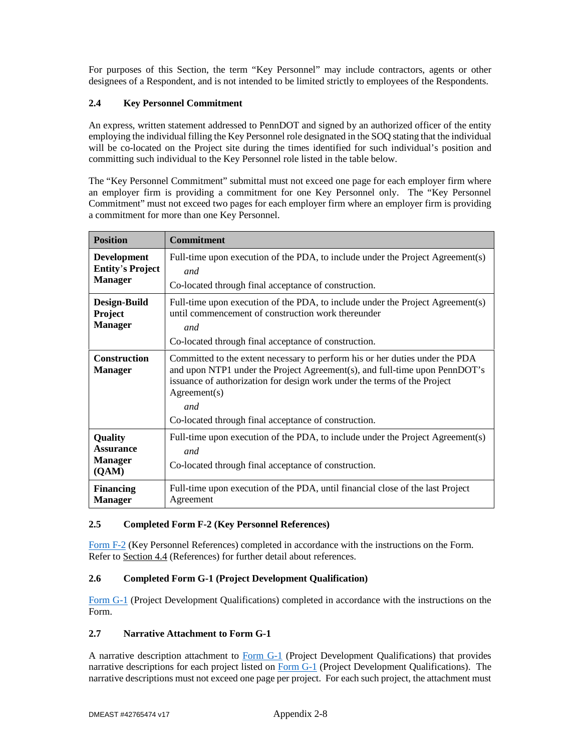For purposes of this Section, the term "Key Personnel" may include contractors, agents or other designees of a Respondent, and is not intended to be limited strictly to employees of the Respondents.

## **2.4 Key Personnel Commitment**

An express, written statement addressed to PennDOT and signed by an authorized officer of the entity employing the individual filling the Key Personnel role designated in the SOQ stating that the individual will be co-located on the Project site during the times identified for such individual's position and committing such individual to the Key Personnel role listed in the table below.

The "Key Personnel Commitment" submittal must not exceed one page for each employer firm where an employer firm is providing a commitment for one Key Personnel only. The "Key Personnel Commitment" must not exceed two pages for each employer firm where an employer firm is providing a commitment for more than one Key Personnel.

| <b>Position</b>                                                 | Commitment                                                                                                                                                                                                                                                                                                            |  |
|-----------------------------------------------------------------|-----------------------------------------------------------------------------------------------------------------------------------------------------------------------------------------------------------------------------------------------------------------------------------------------------------------------|--|
| <b>Development</b><br><b>Entity's Project</b><br><b>Manager</b> | Full-time upon execution of the PDA, to include under the Project Agreement(s)<br>and<br>Co-located through final acceptance of construction.                                                                                                                                                                         |  |
| Design-Build<br><b>Project</b><br><b>Manager</b>                | Full-time upon execution of the PDA, to include under the Project Agreement(s)<br>until commencement of construction work thereunder<br>and<br>Co-located through final acceptance of construction.                                                                                                                   |  |
| <b>Construction</b><br><b>Manager</b>                           | Committed to the extent necessary to perform his or her duties under the PDA<br>and upon NTP1 under the Project Agreement(s), and full-time upon PennDOT's<br>issuance of authorization for design work under the terms of the Project<br>Agreement(s)<br>and<br>Co-located through final acceptance of construction. |  |
| <b>Quality</b><br><b>Assurance</b><br><b>Manager</b><br>(QAM)   | Full-time upon execution of the PDA, to include under the Project Agreement(s)<br>and<br>Co-located through final acceptance of construction.                                                                                                                                                                         |  |
| <b>Financing</b><br><b>Manager</b>                              | Full-time upon execution of the PDA, until financial close of the last Project<br>Agreement                                                                                                                                                                                                                           |  |

# **2.5 Completed Form F-2 (Key Personnel References)**

Form F-2 (Key Personnel References) completed in accordance with the instructions on the Form. Refer to Section 4.4 (References) for further detail about references.

# **2.6 Completed Form G-1 (Project Development Qualification)**

Form G-1 (Project Development Qualifications) completed in accordance with the instructions on the Form.

## **2.7 Narrative Attachment to Form G-1**

A narrative description attachment to Form G-1 (Project Development Qualifications) that provides narrative descriptions for each project listed on Form G-1 (Project Development Qualifications). The narrative descriptions must not exceed one page per project. For each such project, the attachment must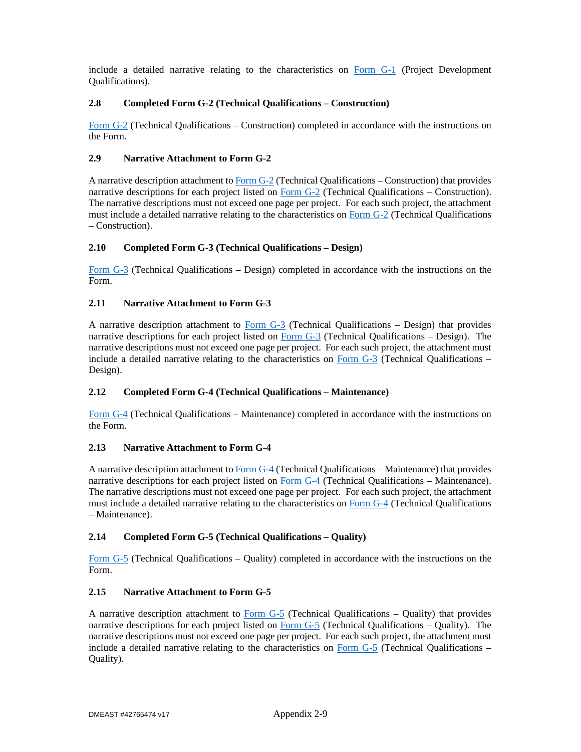include a detailed narrative relating to the characteristics on Form G-1 (Project Development Qualifications).

## **2.8 Completed Form G-2 (Technical Qualifications – Construction)**

Form G-2 (Technical Qualifications – Construction) completed in accordance with the instructions on the Form.

## **2.9 Narrative Attachment to Form G-2**

A narrative description attachment to Form G-2 (Technical Qualifications – Construction) that provides narrative descriptions for each project listed on  $\underline{Form G-2}$  (Technical Qualifications – Construction). The narrative descriptions must not exceed one page per project. For each such project, the attachment must include a detailed narrative relating to the characteristics on Form G-2 (Technical Qualifications – Construction).

## **2.10 Completed Form G-3 (Technical Qualifications – Design)**

Form G-3 (Technical Qualifications – Design) completed in accordance with the instructions on the Form.

## **2.11 Narrative Attachment to Form G-3**

A narrative description attachment to Form G-3 (Technical Qualifications – Design) that provides narrative descriptions for each project listed on Form G-3 (Technical Qualifications – Design). The narrative descriptions must not exceed one page per project. For each such project, the attachment must include a detailed narrative relating to the characteristics on Form G-3 (Technical Qualifications – Design).

## **2.12 Completed Form G-4 (Technical Qualifications – Maintenance)**

Form G-4 (Technical Qualifications – Maintenance) completed in accordance with the instructions on the Form.

## **2.13 Narrative Attachment to Form G-4**

A narrative description attachment to Form G-4 (Technical Qualifications – Maintenance) that provides narrative descriptions for each project listed on Form G-4 (Technical Qualifications – Maintenance). The narrative descriptions must not exceed one page per project. For each such project, the attachment must include a detailed narrative relating to the characteristics on Form G-4 (Technical Qualifications – Maintenance).

## **2.14 Completed Form G-5 (Technical Qualifications – Quality)**

Form G-5 (Technical Qualifications – Quality) completed in accordance with the instructions on the Form.

## **2.15 Narrative Attachment to Form G-5**

A narrative description attachment to Form G-5 (Technical Qualifications – Quality) that provides narrative descriptions for each project listed on Form  $G-5$  (Technical Qualifications – Quality). The narrative descriptions must not exceed one page per project. For each such project, the attachment must include a detailed narrative relating to the characteristics on Form  $G-5$  (Technical Qualifications – Quality).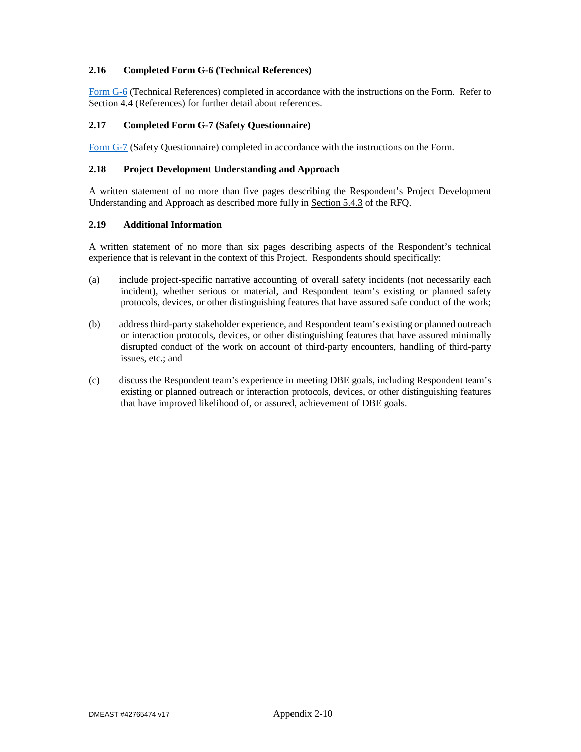## **2.16 Completed Form G-6 (Technical References)**

Form G-6 (Technical References) completed in accordance with the instructions on the Form. Refer to Section 4.4 (References) for further detail about references.

## **2.17 Completed Form G-7 (Safety Questionnaire)**

Form G-7 (Safety Questionnaire) completed in accordance with the instructions on the Form.

### **2.18 Project Development Understanding and Approach**

A written statement of no more than five pages describing the Respondent's Project Development Understanding and Approach as described more fully in Section 5.4.3 of the RFQ.

## **2.19 Additional Information**

A written statement of no more than six pages describing aspects of the Respondent's technical experience that is relevant in the context of this Project. Respondents should specifically:

- (a) include project-specific narrative accounting of overall safety incidents (not necessarily each incident), whether serious or material, and Respondent team's existing or planned safety protocols, devices, or other distinguishing features that have assured safe conduct of the work;
- (b) address third-party stakeholder experience, and Respondent team's existing or planned outreach or interaction protocols, devices, or other distinguishing features that have assured minimally disrupted conduct of the work on account of third-party encounters, handling of third-party issues, etc.; and
- (c) discuss the Respondent team's experience in meeting DBE goals, including Respondent team's existing or planned outreach or interaction protocols, devices, or other distinguishing features that have improved likelihood of, or assured, achievement of DBE goals.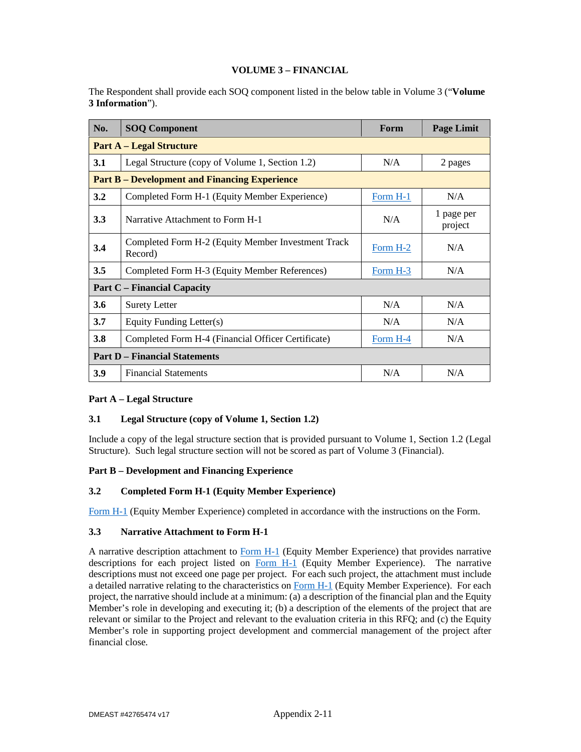## **VOLUME 3 – FINANCIAL**

2. The Respondent shall provide each SOQ component listed in the below table in Volume 3 ("**Volume 3 Information**").

| No.                                  | <b>SOQ Component</b>                                           | Form            | <b>Page Limit</b>     |  |  |
|--------------------------------------|----------------------------------------------------------------|-----------------|-----------------------|--|--|
|                                      | <b>Part A – Legal Structure</b>                                |                 |                       |  |  |
| 3.1                                  | Legal Structure (copy of Volume 1, Section 1.2)                | N/A             | 2 pages               |  |  |
|                                      | <b>Part B – Development and Financing Experience</b>           |                 |                       |  |  |
| 3.2                                  | Completed Form H-1 (Equity Member Experience)                  | Form H-1        | N/A                   |  |  |
| 3.3                                  | Narrative Attachment to Form H-1                               | N/A             | 1 page per<br>project |  |  |
| 3.4                                  | Completed Form H-2 (Equity Member Investment Track<br>Record)  | Form H-2        | N/A                   |  |  |
| 3.5                                  | Completed Form H-3 (Equity Member References)                  | N/A<br>Form H-3 |                       |  |  |
| <b>Part C</b> – Financial Capacity   |                                                                |                 |                       |  |  |
| 3.6                                  | <b>Surety Letter</b>                                           | N/A             | N/A                   |  |  |
| 3.7                                  | Equity Funding Letter(s)                                       | N/A             | N/A                   |  |  |
| 3.8                                  | Completed Form H-4 (Financial Officer Certificate)<br>Form H-4 |                 | N/A                   |  |  |
| <b>Part D</b> – Financial Statements |                                                                |                 |                       |  |  |
| 3.9                                  | <b>Financial Statements</b>                                    | N/A             | N/A                   |  |  |

## **Part A – Legal Structure**

## **3.1 Legal Structure (copy of Volume 1, Section 1.2)**

Include a copy of the legal structure section that is provided pursuant to Volume 1, Section 1.2 (Legal Structure). Such legal structure section will not be scored as part of Volume 3 (Financial).

## **Part B – Development and Financing Experience**

## **3.2 Completed Form H-1 (Equity Member Experience)**

Form H-1 (Equity Member Experience) completed in accordance with the instructions on the Form.

## **3.3 Narrative Attachment to Form H-1**

A narrative description attachment to Form H-1 (Equity Member Experience) that provides narrative descriptions for each project listed on Form H-1 (Equity Member Experience). The narrative descriptions must not exceed one page per project. For each such project, the attachment must include a detailed narrative relating to the characteristics on Form H-1 (Equity Member Experience). For each project, the narrative should include at a minimum: (a) a description of the financial plan and the Equity Member's role in developing and executing it; (b) a description of the elements of the project that are relevant or similar to the Project and relevant to the evaluation criteria in this RFQ; and (c) the Equity Member's role in supporting project development and commercial management of the project after financial close.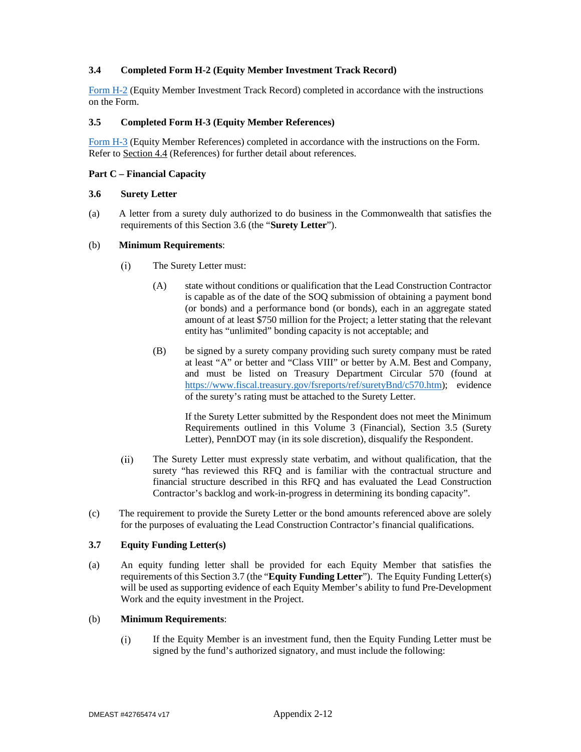## **3.4 Completed Form H-2 (Equity Member Investment Track Record)**

Form H-2 (Equity Member Investment Track Record) completed in accordance with the instructions on the Form.

### **3.5 Completed Form H-3 (Equity Member References)**

Form H-3 (Equity Member References) completed in accordance with the instructions on the Form. Refer to Section 4.4 (References) for further detail about references.

### **Part C – Financial Capacity**

### **3.6 Surety Letter**

(a) A letter from a surety duly authorized to do business in the Commonwealth that satisfies the requirements of this Section 3.6 (the "**Surety Letter**").

### (b) **Minimum Requirements**:

- $(i)$ The Surety Letter must:
	- (A) state without conditions or qualification that the Lead Construction Contractor is capable as of the date of the SOQ submission of obtaining a payment bond (or bonds) and a performance bond (or bonds), each in an aggregate stated amount of at least \$750 million for the Project; a letter stating that the relevant entity has "unlimited" bonding capacity is not acceptable; and
	- (B) be signed by a surety company providing such surety company must be rated at least "A" or better and "Class VIII" or better by A.M. Best and Company, and must be listed on Treasury Department Circular 570 (found at https://www.fiscal.treasury.gov/fsreports/ref/suretyBnd/c570.htm); evidence of the surety's rating must be attached to the Surety Letter.

If the Surety Letter submitted by the Respondent does not meet the Minimum Requirements outlined in this Volume 3 (Financial), Section 3.5 (Surety Letter), PennDOT may (in its sole discretion), disqualify the Respondent.

- The Surety Letter must expressly state verbatim, and without qualification, that the  $(ii)$ surety "has reviewed this RFQ and is familiar with the contractual structure and financial structure described in this RFQ and has evaluated the Lead Construction Contractor's backlog and work-in-progress in determining its bonding capacity".
- (c) The requirement to provide the Surety Letter or the bond amounts referenced above are solely for the purposes of evaluating the Lead Construction Contractor's financial qualifications.

## **3.7 Equity Funding Letter(s)**

(a) An equity funding letter shall be provided for each Equity Member that satisfies the requirements of this Section 3.7 (the "**Equity Funding Letter**"). The Equity Funding Letter(s) will be used as supporting evidence of each Equity Member's ability to fund Pre-Development Work and the equity investment in the Project.

## (b) **Minimum Requirements**:

 $(i)$ If the Equity Member is an investment fund, then the Equity Funding Letter must be signed by the fund's authorized signatory, and must include the following: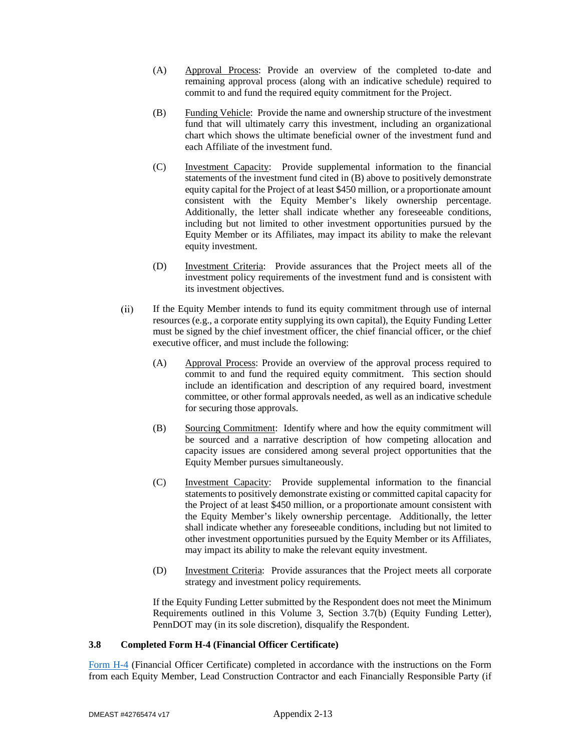- (A) Approval Process: Provide an overview of the completed to-date and remaining approval process (along with an indicative schedule) required to commit to and fund the required equity commitment for the Project.
- (B) Funding Vehicle: Provide the name and ownership structure of the investment fund that will ultimately carry this investment, including an organizational chart which shows the ultimate beneficial owner of the investment fund and each Affiliate of the investment fund.
- (C) Investment Capacity: Provide supplemental information to the financial statements of the investment fund cited in (B) above to positively demonstrate equity capital for the Project of at least \$450 million, or a proportionate amount consistent with the Equity Member's likely ownership percentage. Additionally, the letter shall indicate whether any foreseeable conditions, including but not limited to other investment opportunities pursued by the Equity Member or its Affiliates, may impact its ability to make the relevant equity investment.
- (D) Investment Criteria: Provide assurances that the Project meets all of the investment policy requirements of the investment fund and is consistent with its investment objectives.
- $(ii)$ If the Equity Member intends to fund its equity commitment through use of internal resources (e.g., a corporate entity supplying its own capital), the Equity Funding Letter must be signed by the chief investment officer, the chief financial officer, or the chief executive officer, and must include the following:
	- (A) Approval Process: Provide an overview of the approval process required to commit to and fund the required equity commitment. This section should include an identification and description of any required board, investment committee, or other formal approvals needed, as well as an indicative schedule for securing those approvals.
	- (B) Sourcing Commitment: Identify where and how the equity commitment will be sourced and a narrative description of how competing allocation and capacity issues are considered among several project opportunities that the Equity Member pursues simultaneously.
	- (C) Investment Capacity: Provide supplemental information to the financial statements to positively demonstrate existing or committed capital capacity for the Project of at least \$450 million, or a proportionate amount consistent with the Equity Member's likely ownership percentage. Additionally, the letter shall indicate whether any foreseeable conditions, including but not limited to other investment opportunities pursued by the Equity Member or its Affiliates, may impact its ability to make the relevant equity investment.
	- (D) Investment Criteria: Provide assurances that the Project meets all corporate strategy and investment policy requirements.

If the Equity Funding Letter submitted by the Respondent does not meet the Minimum Requirements outlined in this Volume 3, Section 3.7(b) (Equity Funding Letter), PennDOT may (in its sole discretion), disqualify the Respondent.

## **3.8 Completed Form H-4 (Financial Officer Certificate)**

Form H-4 (Financial Officer Certificate) completed in accordance with the instructions on the Form from each Equity Member, Lead Construction Contractor and each Financially Responsible Party (if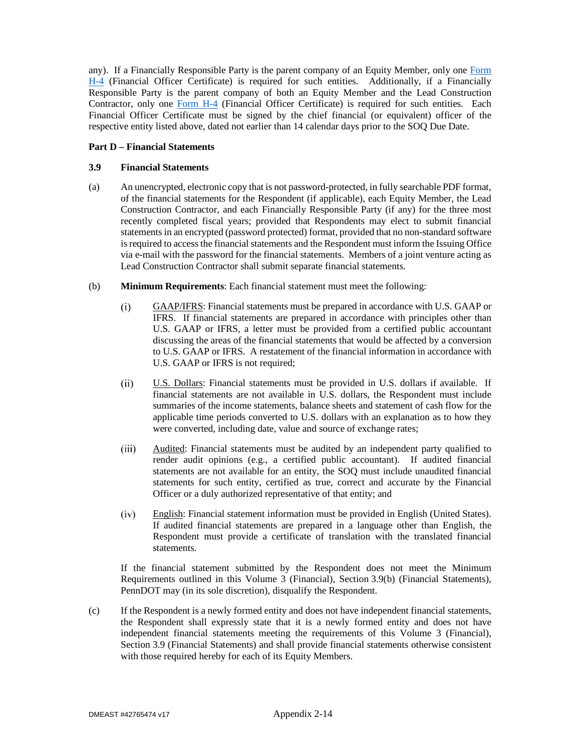any). If a Financially Responsible Party is the parent company of an Equity Member, only one Form H-4 (Financial Officer Certificate) is required for such entities. Additionally, if a Financially Responsible Party is the parent company of both an Equity Member and the Lead Construction Contractor, only one Form H-4 (Financial Officer Certificate) is required for such entities. Each Financial Officer Certificate must be signed by the chief financial (or equivalent) officer of the respective entity listed above, dated not earlier than 14 calendar days prior to the SOQ Due Date.

## **Part D – Financial Statements**

## **3.9 Financial Statements**

- (a) An unencrypted, electronic copy that is not password-protected, in fully searchable PDF format, of the financial statements for the Respondent (if applicable), each Equity Member, the Lead Construction Contractor, and each Financially Responsible Party (if any) for the three most recently completed fiscal years; provided that Respondents may elect to submit financial statements in an encrypted (password protected) format, provided that no non-standard software is required to access the financial statements and the Respondent must inform the Issuing Office via e-mail with the password for the financial statements. Members of a joint venture acting as Lead Construction Contractor shall submit separate financial statements.
- (b) **Minimum Requirements**: Each financial statement must meet the following:
	- $(i)$ GAAP/IFRS: Financial statements must be prepared in accordance with U.S. GAAP or IFRS. If financial statements are prepared in accordance with principles other than U.S. GAAP or IFRS, a letter must be provided from a certified public accountant discussing the areas of the financial statements that would be affected by a conversion to U.S. GAAP or IFRS. A restatement of the financial information in accordance with U.S. GAAP or IFRS is not required;
	- $(ii)$ U.S. Dollars: Financial statements must be provided in U.S. dollars if available. If financial statements are not available in U.S. dollars, the Respondent must include summaries of the income statements, balance sheets and statement of cash flow for the applicable time periods converted to U.S. dollars with an explanation as to how they were converted, including date, value and source of exchange rates;
	- Audited: Financial statements must be audited by an independent party qualified to  $(iii)$ render audit opinions (e.g., a certified public accountant). If audited financial statements are not available for an entity, the SOQ must include unaudited financial statements for such entity, certified as true, correct and accurate by the Financial Officer or a duly authorized representative of that entity; and
	- English: Financial statement information must be provided in English (United States).  $(iv)$ If audited financial statements are prepared in a language other than English, the Respondent must provide a certificate of translation with the translated financial statements.

If the financial statement submitted by the Respondent does not meet the Minimum Requirements outlined in this Volume 3 (Financial), Section 3.9(b) (Financial Statements), PennDOT may (in its sole discretion), disqualify the Respondent.

(c) If the Respondent is a newly formed entity and does not have independent financial statements, the Respondent shall expressly state that it is a newly formed entity and does not have independent financial statements meeting the requirements of this Volume 3 (Financial), Section 3.9 (Financial Statements) and shall provide financial statements otherwise consistent with those required hereby for each of its Equity Members.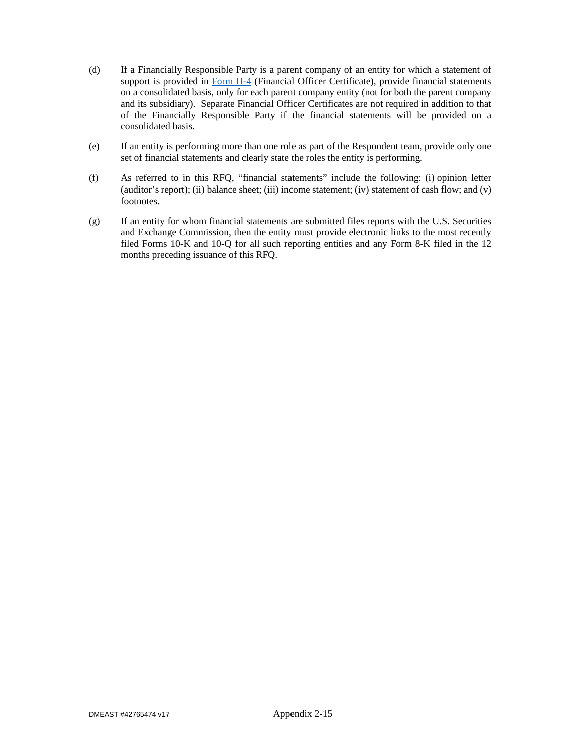- (d) If a Financially Responsible Party is a parent company of an entity for which a statement of support is provided in Form H-4 (Financial Officer Certificate), provide financial statements on a consolidated basis, only for each parent company entity (not for both the parent company and its subsidiary). Separate Financial Officer Certificates are not required in addition to that of the Financially Responsible Party if the financial statements will be provided on a consolidated basis.
- (e) If an entity is performing more than one role as part of the Respondent team, provide only one set of financial statements and clearly state the roles the entity is performing.
- (f) As referred to in this RFQ, "financial statements" include the following: (i) opinion letter (auditor's report); (ii) balance sheet; (iii) income statement; (iv) statement of cash flow; and (v) footnotes.
- (g) If an entity for whom financial statements are submitted files reports with the U.S. Securities and Exchange Commission, then the entity must provide electronic links to the most recently filed Forms 10-K and 10-Q for all such reporting entities and any Form 8-K filed in the 12 months preceding issuance of this RFQ.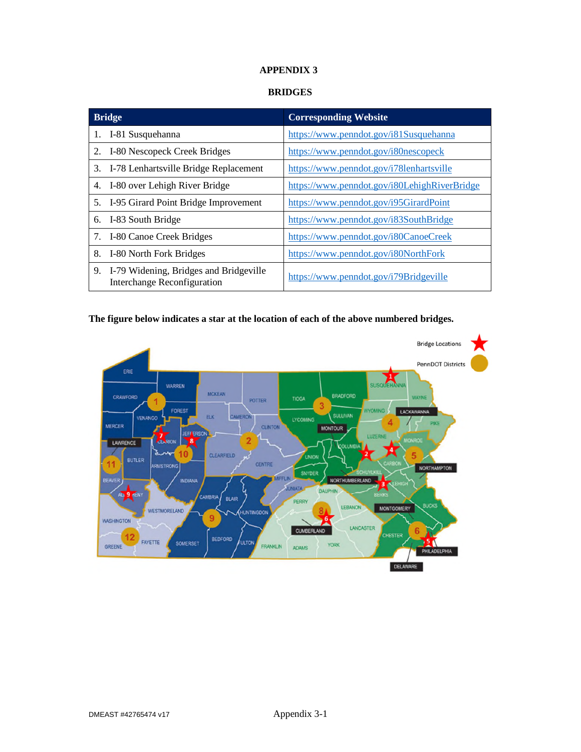# **APPENDIX 3**

# **BRIDGES**

| <b>Bridge</b>                                                                      | <b>Corresponding Website</b>                 |
|------------------------------------------------------------------------------------|----------------------------------------------|
| I-81 Susquehanna<br>1.                                                             | https://www.penndot.gov/i81Susquehanna       |
| I-80 Nescopeck Creek Bridges<br>2.                                                 | https://www.penndot.gov/i80nescopeck         |
| I-78 Lenhartsville Bridge Replacement<br>3.                                        | https://www.penndot.gov/i78lenhartsville     |
| I-80 over Lehigh River Bridge<br>4.                                                | https://www.penndot.gov/i80LehighRiverBridge |
| I-95 Girard Point Bridge Improvement<br>5.                                         | https://www.penndot.gov/i95GirardPoint       |
| I-83 South Bridge<br>6.                                                            | https://www.penndot.gov/i83SouthBridge       |
| I-80 Canoe Creek Bridges<br>7.                                                     | https://www.penndot.gov/i80CanoeCreek        |
| I-80 North Fork Bridges<br>8.                                                      | https://www.penndot.gov/i80NorthFork         |
| I-79 Widening, Bridges and Bridgeville<br>9.<br><b>Interchange Reconfiguration</b> | https://www.penndot.gov/i79Bridgeville       |

# **The figure below indicates a star at the location of each of the above numbered bridges.**

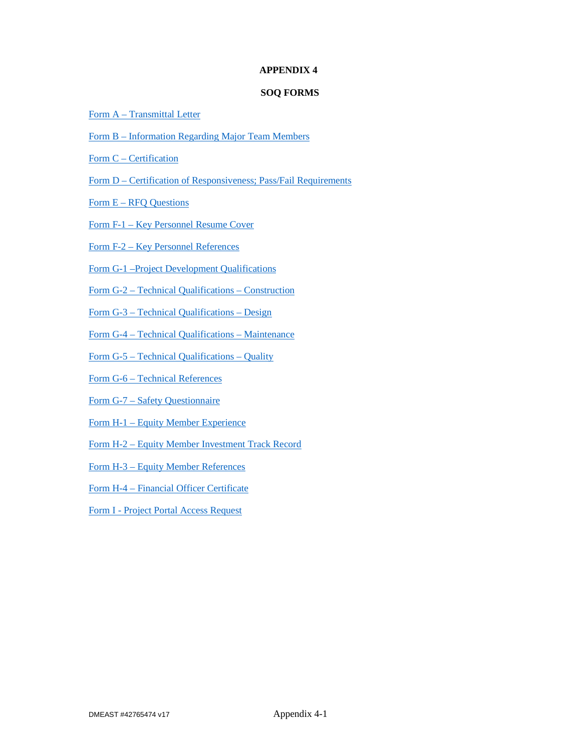## **APPENDIX 4**

# **SOQ FORMS**

- Form A Transmittal Letter
- Form B Information Regarding Major Team Members
- Form C Certification
- Form D Certification of Responsiveness; Pass/Fail Requirements
- Form E RFQ Questions
- Form F-1 Key Personnel Resume Cover
- Form F-2 Key Personnel References
- Form G-1 –Project Development Qualifications
- Form G-2 Technical Qualifications Construction
- Form G-3 Technical Qualifications Design
- Form G-4 Technical Qualifications Maintenance
- Form G-5 Technical Qualifications Quality
- Form G-6 Technical References
- Form G-7 Safety Questionnaire
- Form H-1 Equity Member Experience
- Form H-2 Equity Member Investment Track Record
- Form H-3 Equity Member References
- Form H-4 Financial Officer Certificate
- Form I Project Portal Access Request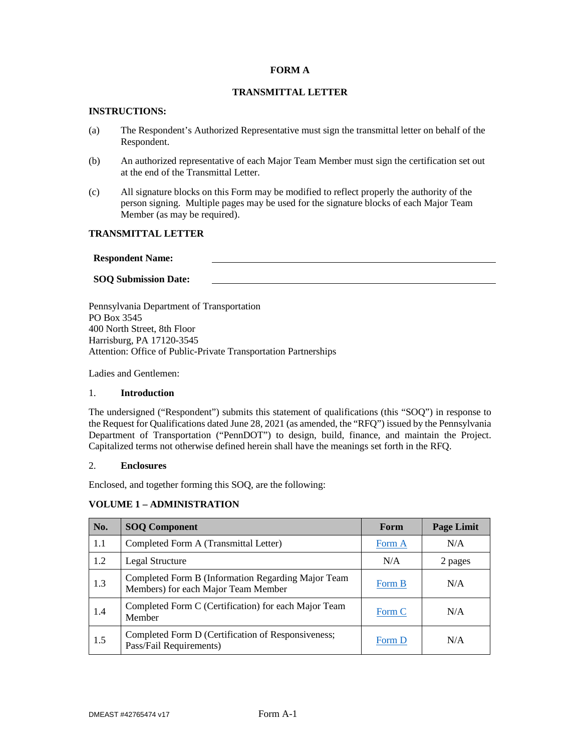## **FORM A**

# **TRANSMITTAL LETTER**

## **INSTRUCTIONS:**

- (a) The Respondent's Authorized Representative must sign the transmittal letter on behalf of the Respondent.
- (b) An authorized representative of each Major Team Member must sign the certification set out at the end of the Transmittal Letter.
- (c) All signature blocks on this Form may be modified to reflect properly the authority of the person signing. Multiple pages may be used for the signature blocks of each Major Team Member (as may be required).

### **TRANSMITTAL LETTER**

#### **Respondent Name:**

### **SOQ Submission Date:**

Pennsylvania Department of Transportation PO Box 3545 400 North Street, 8th Floor Harrisburg, PA 17120-3545 Attention: Office of Public-Private Transportation Partnerships

Ladies and Gentlemen:

### 1. **Introduction**

The undersigned ("Respondent") submits this statement of qualifications (this "SOQ") in response to the Request for Qualifications dated June 28, 2021 (as amended, the "RFQ") issued by the Pennsylvania Department of Transportation ("PennDOT") to design, build, finance, and maintain the Project. Capitalized terms not otherwise defined herein shall have the meanings set forth in the RFQ.

### 2. **Enclosures**

Enclosed, and together forming this SOQ, are the following:

## **VOLUME 1 – ADMINISTRATION**

| No. | <b>SOQ Component</b>                                                                      | Form   | <b>Page Limit</b> |
|-----|-------------------------------------------------------------------------------------------|--------|-------------------|
| 1.1 | Completed Form A (Transmittal Letter)                                                     | Form A | N/A               |
| 1.2 | Legal Structure                                                                           | N/A    | 2 pages           |
| 1.3 | Completed Form B (Information Regarding Major Team<br>Members) for each Major Team Member | Form B | N/A               |
| 1.4 | Completed Form C (Certification) for each Major Team<br>Member                            | Form C | N/A               |
| 1.5 | Completed Form D (Certification of Responsiveness;<br>Pass/Fail Requirements)             | Form D | N/A               |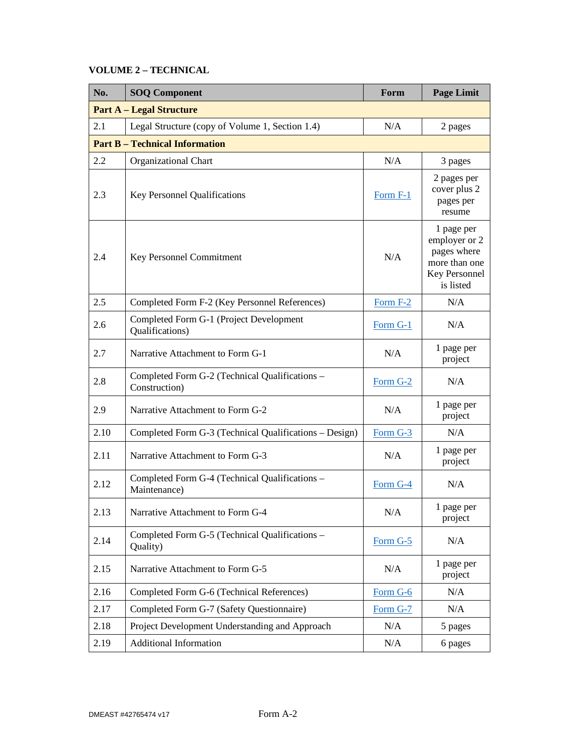# **VOLUME 2 – TECHNICAL**

| No.  | <b>SOQ Component</b>                                            | Form      | <b>Page Limit</b>                                                                         |  |  |
|------|-----------------------------------------------------------------|-----------|-------------------------------------------------------------------------------------------|--|--|
|      | <b>Part A - Legal Structure</b>                                 |           |                                                                                           |  |  |
| 2.1  | Legal Structure (copy of Volume 1, Section 1.4)                 | N/A       | 2 pages                                                                                   |  |  |
|      | <b>Part B - Technical Information</b>                           |           |                                                                                           |  |  |
| 2.2  | Organizational Chart                                            | N/A       | 3 pages                                                                                   |  |  |
| 2.3  | Key Personnel Qualifications                                    | Form F-1  | 2 pages per<br>cover plus 2<br>pages per<br>resume                                        |  |  |
| 2.4  | N/A<br>Key Personnel Commitment                                 |           | 1 page per<br>employer or 2<br>pages where<br>more than one<br>Key Personnel<br>is listed |  |  |
| 2.5  | Completed Form F-2 (Key Personnel References)                   | Form F-2  | N/A                                                                                       |  |  |
| 2.6  | Completed Form G-1 (Project Development<br>Qualifications)      | Form G-1  | N/A                                                                                       |  |  |
| 2.7  | Narrative Attachment to Form G-1                                | N/A       | 1 page per<br>project                                                                     |  |  |
| 2.8  | Completed Form G-2 (Technical Qualifications -<br>Construction) | Form G-2  | N/A                                                                                       |  |  |
| 2.9  | Narrative Attachment to Form G-2                                | N/A       | 1 page per<br>project                                                                     |  |  |
| 2.10 | Completed Form G-3 (Technical Qualifications - Design)          | Form G-3  | N/A                                                                                       |  |  |
| 2.11 | Narrative Attachment to Form G-3                                | N/A       | 1 page per<br>project                                                                     |  |  |
| 2.12 | Completed Form G-4 (Technical Qualifications -<br>Maintenance)  | Form G-4  | N/A                                                                                       |  |  |
| 2.13 | Narrative Attachment to Form G-4                                | $\rm N/A$ | 1 page per<br>project                                                                     |  |  |
| 2.14 | Completed Form G-5 (Technical Qualifications -<br>Quality)      | Form G-5  | N/A                                                                                       |  |  |
| 2.15 | Narrative Attachment to Form G-5                                | N/A       | 1 page per<br>project                                                                     |  |  |
| 2.16 | Completed Form G-6 (Technical References)                       | Form G-6  | N/A                                                                                       |  |  |
| 2.17 | Completed Form G-7 (Safety Questionnaire)                       | Form G-7  | N/A                                                                                       |  |  |
| 2.18 | Project Development Understanding and Approach                  | N/A       | 5 pages                                                                                   |  |  |
| 2.19 | <b>Additional Information</b>                                   | N/A       | 6 pages                                                                                   |  |  |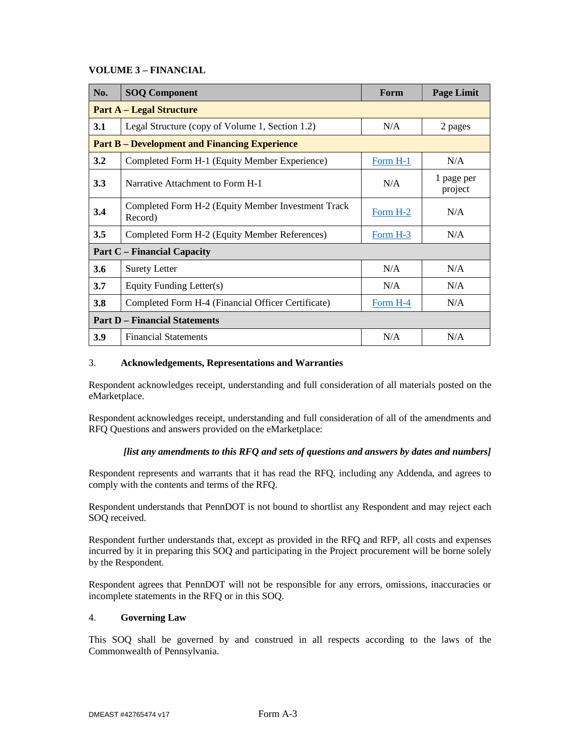## **VOLUME 3 – FINANCIAL**

| No.                                  | <b>SOQ Component</b>                                          | Form              | <b>Page Limit</b>     |  |
|--------------------------------------|---------------------------------------------------------------|-------------------|-----------------------|--|
|                                      | <b>Part A – Legal Structure</b>                               |                   |                       |  |
| 3.1                                  | Legal Structure (copy of Volume 1, Section 1.2)               | N/A               | 2 pages               |  |
|                                      | <b>Part B</b> – Development and Financing Experience          |                   |                       |  |
| 3.2                                  | Completed Form H-1 (Equity Member Experience)                 | Form H-1          | N/A                   |  |
| 3.3                                  | Narrative Attachment to Form H-1                              | N/A               | 1 page per<br>project |  |
| 3.4                                  | Completed Form H-2 (Equity Member Investment Track<br>Record) | Form H-2          | N/A                   |  |
| 3.5                                  | Completed Form H-2 (Equity Member References)                 | N/A<br>Form $H-3$ |                       |  |
| <b>Part C</b> – Financial Capacity   |                                                               |                   |                       |  |
| 3.6                                  | <b>Surety Letter</b>                                          | N/A               | N/A                   |  |
| 3.7                                  | Equity Funding Letter(s)                                      | N/A               | N/A                   |  |
| 3.8                                  | Completed Form H-4 (Financial Officer Certificate)            | Form H-4          | N/A                   |  |
| <b>Part D</b> – Financial Statements |                                                               |                   |                       |  |
| 3.9                                  | <b>Financial Statements</b>                                   | N/A               | N/A                   |  |

### 3. **Acknowledgements, Representations and Warranties**

Respondent acknowledges receipt, understanding and full consideration of all materials posted on the eMarketplace.

Respondent acknowledges receipt, understanding and full consideration of all of the amendments and RFQ Questions and answers provided on the eMarketplace:

## *[list any amendments to this RFQ and sets of questions and answers by dates and numbers]*

Respondent represents and warrants that it has read the RFQ, including any Addenda, and agrees to comply with the contents and terms of the RFQ.

Respondent understands that PennDOT is not bound to shortlist any Respondent and may reject each SOQ received.

Respondent further understands that, except as provided in the RFQ and RFP, all costs and expenses incurred by it in preparing this SOQ and participating in the Project procurement will be borne solely by the Respondent.

Respondent agrees that PennDOT will not be responsible for any errors, omissions, inaccuracies or incomplete statements in the RFQ or in this SOQ.

## 4. **Governing Law**

This SOQ shall be governed by and construed in all respects according to the laws of the Commonwealth of Pennsylvania.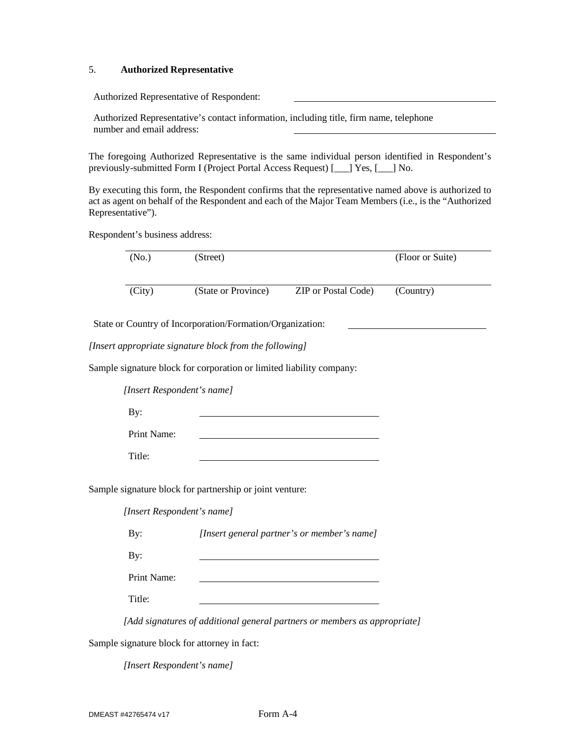## 5. **Authorized Representative**

Authorized Representative of Respondent:

Authorized Representative's contact information, including title, firm name, telephone number and email address:

The foregoing Authorized Representative is the same individual person identified in Respondent's previously-submitted Form I (Project Portal Access Request) [\_\_\_] Yes, [\_\_\_] No.

By executing this form, the Respondent confirms that the representative named above is authorized to act as agent on behalf of the Respondent and each of the Major Team Members (i.e., is the "Authorized Representative").

Respondent's business address:

| (No.)                      | (Street)                                                             |                                             | (Floor or Suite) |
|----------------------------|----------------------------------------------------------------------|---------------------------------------------|------------------|
| (City)                     | (State or Province)                                                  | ZIP or Postal Code)                         | (Country)        |
|                            | State or Country of Incorporation/Formation/Organization:            |                                             |                  |
|                            | [Insert appropriate signature block from the following]              |                                             |                  |
|                            | Sample signature block for corporation or limited liability company: |                                             |                  |
| [Insert Respondent's name] |                                                                      |                                             |                  |
| By:                        |                                                                      |                                             |                  |
| Print Name:                |                                                                      |                                             |                  |
| Title:                     |                                                                      |                                             |                  |
|                            | Sample signature block for partnership or joint venture:             |                                             |                  |
| [Insert Respondent's name] |                                                                      |                                             |                  |
| By:                        |                                                                      | [Insert general partner's or member's name] |                  |
| By:                        |                                                                      |                                             |                  |
| Print Name:                |                                                                      |                                             |                  |
| Title:                     |                                                                      |                                             |                  |

Sample signature block for attorney in fact:

*[Insert Respondent's name]*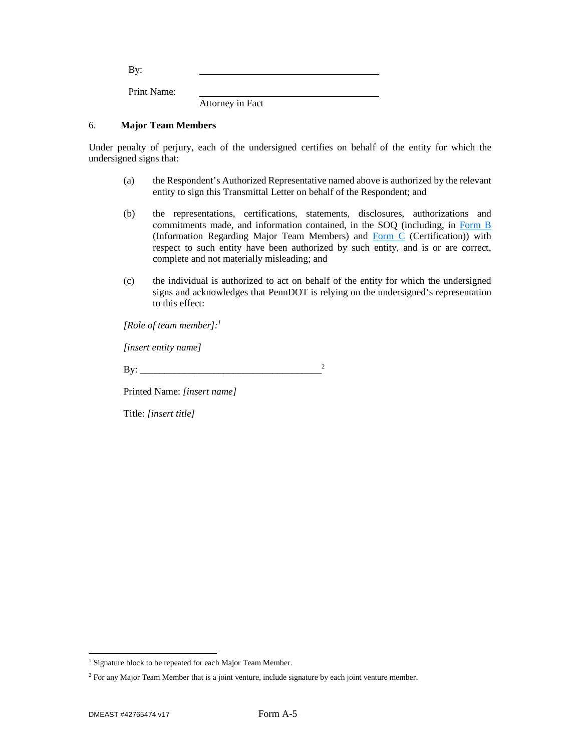By: Print Name:

Attorney in Fact

## 6. **Major Team Members**

Under penalty of perjury, each of the undersigned certifies on behalf of the entity for which the undersigned signs that:

- (a) the Respondent's Authorized Representative named above is authorized by the relevant entity to sign this Transmittal Letter on behalf of the Respondent; and
- (b) the representations, certifications, statements, disclosures, authorizations and commitments made, and information contained, in the SOQ (including, in Form B (Information Regarding Major Team Members) and Form C (Certification)) with respect to such entity have been authorized by such entity, and is or are correct, complete and not materially misleading; and
- (c) the individual is authorized to act on behalf of the entity for which the undersigned signs and acknowledges that PennDOT is relying on the undersigned's representation to this effect:

*[Role of team member]:<sup>1</sup>*

*[insert entity name]* 

By: \_\_\_\_\_\_\_\_\_\_\_\_\_\_\_\_\_\_\_\_\_\_\_\_\_\_\_\_\_\_\_\_\_\_\_\_\_<sup>2</sup>

Printed Name: *[insert name]*

Title: *[insert title]*

<sup>&</sup>lt;sup>1</sup> Signature block to be repeated for each Major Team Member.

<sup>&</sup>lt;sup>2</sup> For any Major Team Member that is a joint venture, include signature by each joint venture member.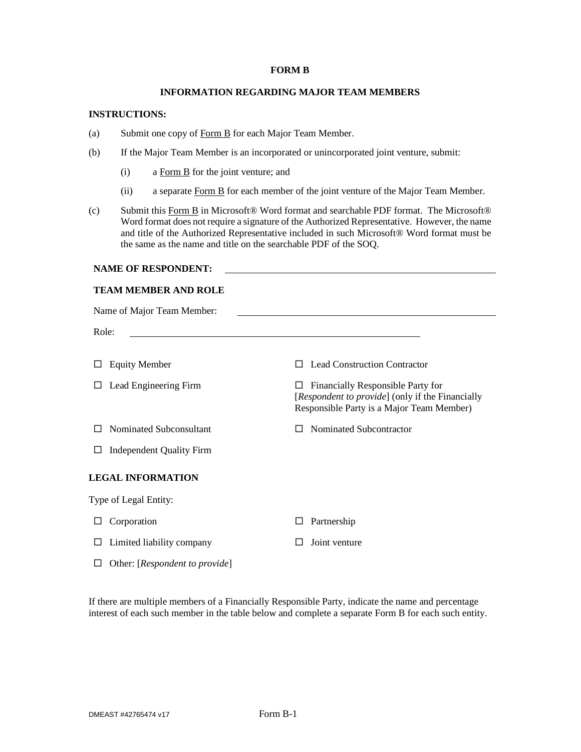#### **FORM B**

## **INFORMATION REGARDING MAJOR TEAM MEMBERS**

#### **INSTRUCTIONS:**

- (a) Submit one copy of Form B for each Major Team Member.
- (b) If the Major Team Member is an incorporated or unincorporated joint venture, submit:
	- (i) a Form B for the joint venture; and
	- (ii) a separate Form B for each member of the joint venture of the Major Team Member.
- (c) Submit this Form B in Microsoft® Word format and searchable PDF format. The Microsoft® Word format does not require a signature of the Authorized Representative. However, the name and title of the Authorized Representative included in such Microsoft® Word format must be the same as the name and title on the searchable PDF of the SOQ.

## **NAME OF RESPONDENT:**

### **TEAM MEMBER AND ROLE**

| Name of Major Team Member:                |                                                                                                                                                                                                                               |  |  |
|-------------------------------------------|-------------------------------------------------------------------------------------------------------------------------------------------------------------------------------------------------------------------------------|--|--|
| Role:                                     | the control of the control of the control of the control of the control of the control of the control of the control of the control of the control of the control of the control of the control of the control of the control |  |  |
| <b>Equity Member</b>                      | <b>Lead Construction Contractor</b>                                                                                                                                                                                           |  |  |
| Lead Engineering Firm                     | Financially Responsible Party for<br>ப<br>[Respondent to provide] (only if the Financially<br>Responsible Party is a Major Team Member)                                                                                       |  |  |
| Nominated Subconsultant                   | Nominated Subcontractor                                                                                                                                                                                                       |  |  |
| <b>Independent Quality Firm</b><br>$\Box$ |                                                                                                                                                                                                                               |  |  |
| <b>LEGAL INFORMATION</b>                  |                                                                                                                                                                                                                               |  |  |
| Type of Legal Entity:                     |                                                                                                                                                                                                                               |  |  |
| Corporation                               | Partnership<br>L                                                                                                                                                                                                              |  |  |
| Limited liability company                 | Joint venture                                                                                                                                                                                                                 |  |  |
| Other: [Respondent to provide]            |                                                                                                                                                                                                                               |  |  |

If there are multiple members of a Financially Responsible Party, indicate the name and percentage interest of each such member in the table below and complete a separate Form B for each such entity.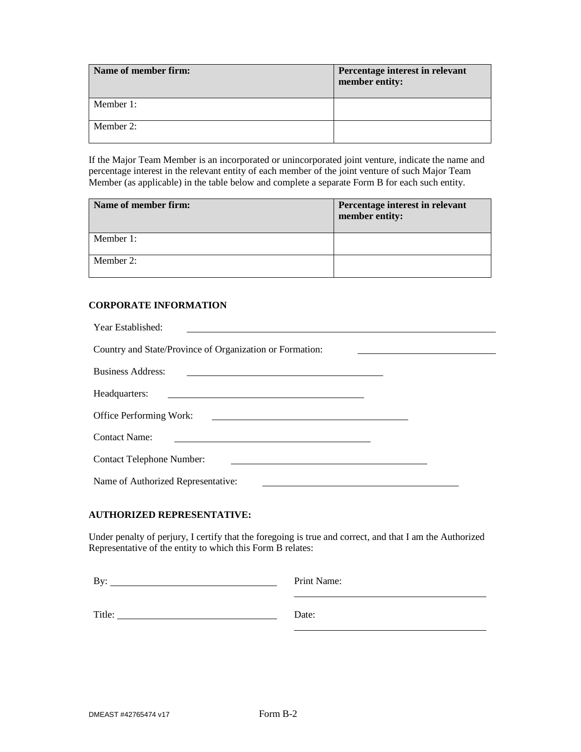| Name of member firm: | Percentage interest in relevant<br>member entity: |
|----------------------|---------------------------------------------------|
| Member 1:            |                                                   |
| Member 2:            |                                                   |

If the Major Team Member is an incorporated or unincorporated joint venture, indicate the name and percentage interest in the relevant entity of each member of the joint venture of such Major Team Member (as applicable) in the table below and complete a separate Form B for each such entity.

| Name of member firm: | Percentage interest in relevant<br>member entity: |  |
|----------------------|---------------------------------------------------|--|
| Member 1:            |                                                   |  |
| Member 2:            |                                                   |  |

# **CORPORATE INFORMATION**

| Year Established:                                                                                                                                                                                                                                         |
|-----------------------------------------------------------------------------------------------------------------------------------------------------------------------------------------------------------------------------------------------------------|
| Country and State/Province of Organization or Formation:                                                                                                                                                                                                  |
| <b>Business Address:</b><br>the control of the control of the control of the control of the control of the control of the control of the control of the control of the control of the control of the control of the control of the control of the control |
| Headquarters:<br><u> 1989 - Johann John Stein, markin film yn y brenin y brenin y brenin y brenin y brenin y brenin y brenin y br</u>                                                                                                                     |
| <b>Office Performing Work:</b><br><u> 1980 - Andrea Andrew Maria (h. 1980).</u>                                                                                                                                                                           |
| <b>Contact Name:</b>                                                                                                                                                                                                                                      |
| <b>Contact Telephone Number:</b>                                                                                                                                                                                                                          |
| Name of Authorized Representative:                                                                                                                                                                                                                        |

# **AUTHORIZED REPRESENTATIVE:**

Under penalty of perjury, I certify that the foregoing is true and correct, and that I am the Authorized Representative of the entity to which this Form B relates:

| By:    | Print Name: |
|--------|-------------|
| Title: | Date:       |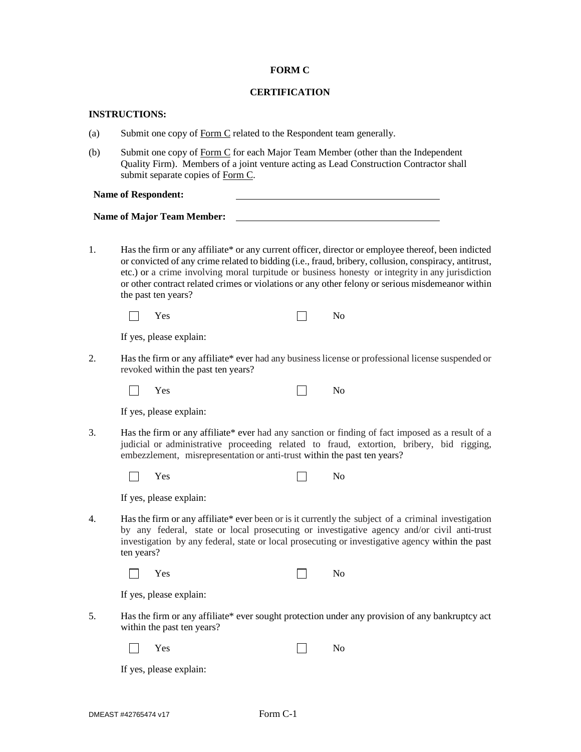### **FORM C**

## **CERTIFICATION**

### **INSTRUCTIONS:**

- (a) Submit one copy of Form C related to the Respondent team generally.
- (b) Submit one copy of Form C for each Major Team Member (other than the Independent Quality Firm). Members of a joint venture acting as Lead Construction Contractor shall submit separate copies of Form C.

**Name of Respondent:** 

**Name of Major Team Member:** 

1. Has the firm or any affiliate\* or any current officer, director or employee thereof, been indicted or convicted of any crime related to bidding (i.e., fraud, bribery, collusion, conspiracy, antitrust, etc.) or a crime involving moral turpitude or business honesty or integrity in any jurisdiction or other contract related crimes or violations or any other felony or serious misdemeanor within the past ten years?

| $\overline{\phantom{0}}$<br>Yes<br>ັ<br>- - - | $N_{\Omega}$ |
|-----------------------------------------------|--------------|
|-----------------------------------------------|--------------|

If yes, please explain:

2. Has the firm or any affiliate\* ever had any business license or professional license suspended or revoked within the past ten years?

| V.<br>es |  | <b>No</b> |
|----------|--|-----------|
|----------|--|-----------|

If yes, please explain:

3. Has the firm or any affiliate\* ever had any sanction or finding of fact imposed as a result of a judicial or administrative proceeding related to fraud, extortion, bribery, bid rigging, embezzlement, misrepresentation or anti-trust within the past ten years?

| Y<br>Y es |  | - -<br>N <sub>0</sub> |
|-----------|--|-----------------------|
|-----------|--|-----------------------|

If yes, please explain:

4. Has the firm or any affiliate\* ever been or is it currently the subject of a criminal investigation by any federal, state or local prosecuting or investigative agency and/or civil anti-trust investigation by any federal, state or local prosecuting or investigative agency within the past ten years?

|  | Yes |  |  |  | - -<br>No. |
|--|-----|--|--|--|------------|
|--|-----|--|--|--|------------|

If yes, please explain:

5. Has the firm or any affiliate\* ever sought protection under any provision of any bankruptcy act within the past ten years?

|  | Yes |  |  | No |
|--|-----|--|--|----|
|--|-----|--|--|----|

If yes, please explain: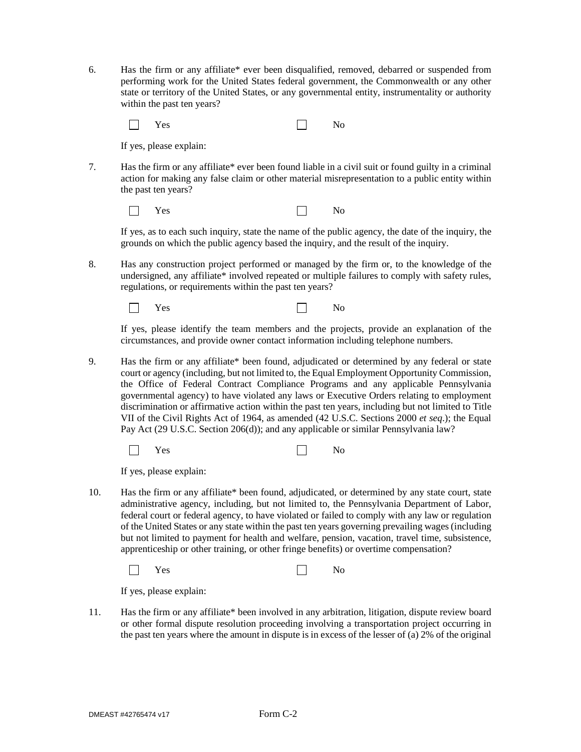6. Has the firm or any affiliate\* ever been disqualified, removed, debarred or suspended from performing work for the United States federal government, the Commonwealth or any other state or territory of the United States, or any governmental entity, instrumentality or authority within the past ten years?

 $\Box$ Yes No

If yes, please explain:

7. Has the firm or any affiliate\* ever been found liable in a civil suit or found guilty in a criminal action for making any false claim or other material misrepresentation to a public entity within the past ten years?

Yes No

If yes, as to each such inquiry, state the name of the public agency, the date of the inquiry, the grounds on which the public agency based the inquiry, and the result of the inquiry.

8. Has any construction project performed or managed by the firm or, to the knowledge of the undersigned, any affiliate\* involved repeated or multiple failures to comply with safety rules, regulations, or requirements within the past ten years?

Yes No

If yes, please identify the team members and the projects, provide an explanation of the circumstances, and provide owner contact information including telephone numbers.

9. Has the firm or any affiliate\* been found, adjudicated or determined by any federal or state court or agency (including, but not limited to, the Equal Employment Opportunity Commission, the Office of Federal Contract Compliance Programs and any applicable Pennsylvania governmental agency) to have violated any laws or Executive Orders relating to employment discrimination or affirmative action within the past ten years, including but not limited to Title VII of the Civil Rights Act of 1964, as amended (42 U.S.C. Sections 2000 *et seq*.); the Equal Pay Act (29 U.S.C. Section 206(d)); and any applicable or similar Pennsylvania law?

| $\Box$ Yes | No |
|------------|----|
|------------|----|

If yes, please explain:

10. Has the firm or any affiliate\* been found, adjudicated, or determined by any state court, state administrative agency, including, but not limited to, the Pennsylvania Department of Labor, federal court or federal agency, to have violated or failed to comply with any law or regulation of the United States or any state within the past ten years governing prevailing wages (including but not limited to payment for health and welfare, pension, vacation, travel time, subsistence, apprenticeship or other training, or other fringe benefits) or overtime compensation?

|  | Yes<br>$-$ |  | No |
|--|------------|--|----|
|--|------------|--|----|

If yes, please explain:

11. Has the firm or any affiliate\* been involved in any arbitration, litigation, dispute review board or other formal dispute resolution proceeding involving a transportation project occurring in the past ten years where the amount in dispute is in excess of the lesser of (a) 2% of the original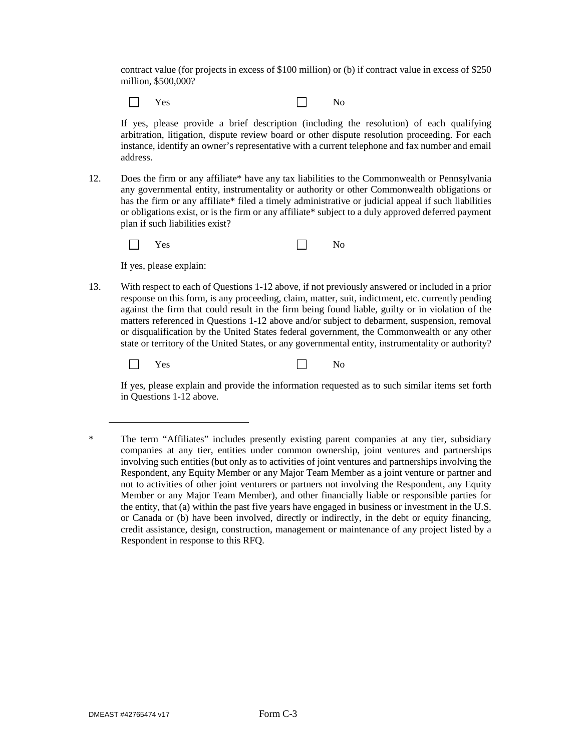contract value (for projects in excess of \$100 million) or (b) if contract value in excess of \$250 million, \$500,000?

Yes No  $\mathbf{L}$ 

If yes, please provide a brief description (including the resolution) of each qualifying arbitration, litigation, dispute review board or other dispute resolution proceeding. For each instance, identify an owner's representative with a current telephone and fax number and email address.

12. Does the firm or any affiliate\* have any tax liabilities to the Commonwealth or Pennsylvania any governmental entity, instrumentality or authority or other Commonwealth obligations or has the firm or any affiliate\* filed a timely administrative or judicial appeal if such liabilities or obligations exist, or is the firm or any affiliate\* subject to a duly approved deferred payment plan if such liabilities exist?

| $\Box$ | Yes |  | No |
|--------|-----|--|----|
|--------|-----|--|----|

If yes, please explain:

13. With respect to each of Questions 1-12 above, if not previously answered or included in a prior response on this form, is any proceeding, claim, matter, suit, indictment, etc. currently pending against the firm that could result in the firm being found liable, guilty or in violation of the matters referenced in Questions 1-12 above and/or subject to debarment, suspension, removal or disqualification by the United States federal government, the Commonwealth or any other state or territory of the United States, or any governmental entity, instrumentality or authority?

 $\Box$ Yes No

If yes, please explain and provide the information requested as to such similar items set forth in Questions 1-12 above.

<sup>\*</sup> The term "Affiliates" includes presently existing parent companies at any tier, subsidiary companies at any tier, entities under common ownership, joint ventures and partnerships involving such entities (but only as to activities of joint ventures and partnerships involving the Respondent, any Equity Member or any Major Team Member as a joint venture or partner and not to activities of other joint venturers or partners not involving the Respondent, any Equity Member or any Major Team Member), and other financially liable or responsible parties for the entity, that (a) within the past five years have engaged in business or investment in the U.S. or Canada or (b) have been involved, directly or indirectly, in the debt or equity financing, credit assistance, design, construction, management or maintenance of any project listed by a Respondent in response to this RFQ.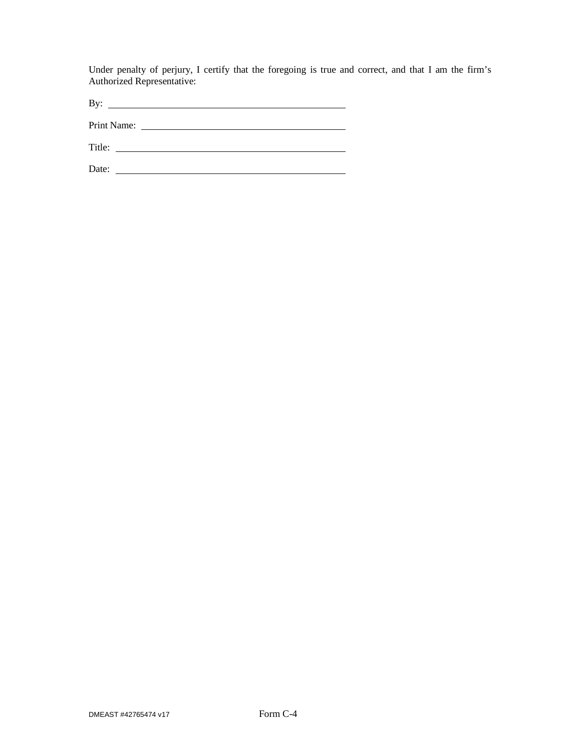Under penalty of perjury, I certify that the foregoing is true and correct, and that I am the firm's Authorized Representative:

By:

Print Name:

Title: Date: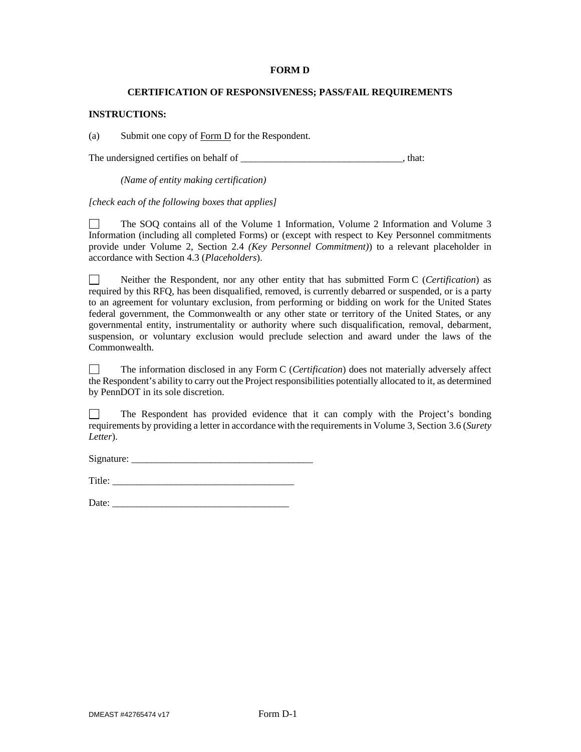## **FORM D**

## **CERTIFICATION OF RESPONSIVENESS; PASS/FAIL REQUIREMENTS**

## **INSTRUCTIONS:**

(a) Submit one copy of Form D for the Respondent.

The undersigned certifies on behalf of  $\blacksquare$ , that:

*(Name of entity making certification)* 

*[check each of the following boxes that applies]* 

 $\Box$ The SOQ contains all of the Volume 1 Information, Volume 2 Information and Volume 3 Information (including all completed Forms) or (except with respect to Key Personnel commitments provide under Volume 2, Section 2.4 *(Key Personnel Commitment)*) to a relevant placeholder in accordance with Section 4.3 (*Placeholders*).

Neither the Respondent, nor any other entity that has submitted Form C (*Certification*) as  $\Box$ required by this RFQ, has been disqualified, removed, is currently debarred or suspended, or is a party to an agreement for voluntary exclusion, from performing or bidding on work for the United States federal government, the Commonwealth or any other state or territory of the United States, or any governmental entity, instrumentality or authority where such disqualification, removal, debarment, suspension, or voluntary exclusion would preclude selection and award under the laws of the Commonwealth.

П The information disclosed in any Form C (*Certification*) does not materially adversely affect the Respondent's ability to carry out the Project responsibilities potentially allocated to it, as determined by PennDOT in its sole discretion.

The Respondent has provided evidence that it can comply with the Project's bonding  $\Box$ requirements by providing a letter in accordance with the requirements in Volume 3, Section 3.6 (*Surety Letter*).

Signature: \_\_\_\_\_\_\_\_\_\_\_\_\_\_\_\_\_\_\_\_\_\_\_\_\_\_\_\_\_\_\_\_\_\_\_\_\_

Title:  $\Box$ 

Date: \_\_\_\_\_\_\_\_\_\_\_\_\_\_\_\_\_\_\_\_\_\_\_\_\_\_\_\_\_\_\_\_\_\_\_\_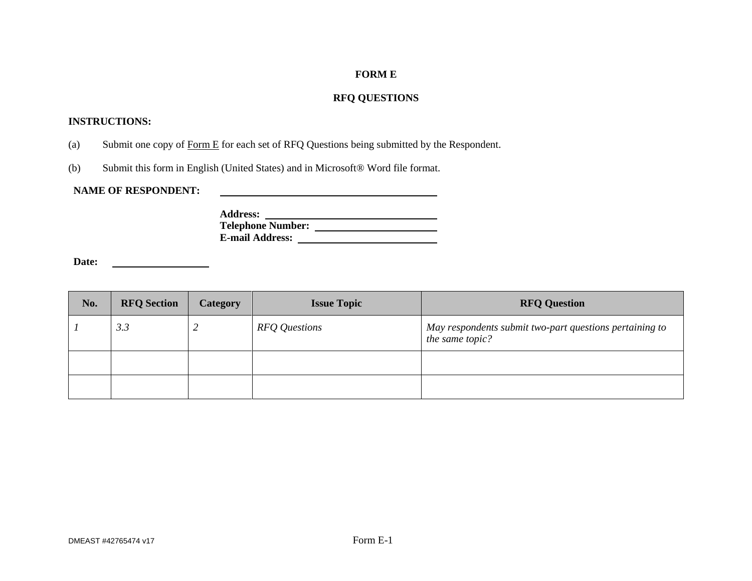# **FORM E**

# **RFQ QUESTIONS**

# **INSTRUCTIONS:**

- (a) Submit one copy of Form  $E$  for each set of RFQ Questions being submitted by the Respondent.
- (b) Submit this form in English (United States) and in Microsoft® Word file format.

# **NAME OF RESPONDENT:**

**Address: Telephone Number: E-mail Address:** 

<u> 1989 - Johann Barbara, martin amerikan basar dan berasal dalam basa dalam basar dalam basar dalam basar dala</u>

**Date:** <u> 1980 - Johann Barbara, martin a</u>

| No. | <b>RFQ</b> Section | Category | <b>Issue Topic</b> | <b>RFQ Question</b>                                                        |
|-----|--------------------|----------|--------------------|----------------------------------------------------------------------------|
|     | 3.3                | ∼        | RFQ Questions      | May respondents submit two-part questions pertaining to<br>the same topic? |
|     |                    |          |                    |                                                                            |
|     |                    |          |                    |                                                                            |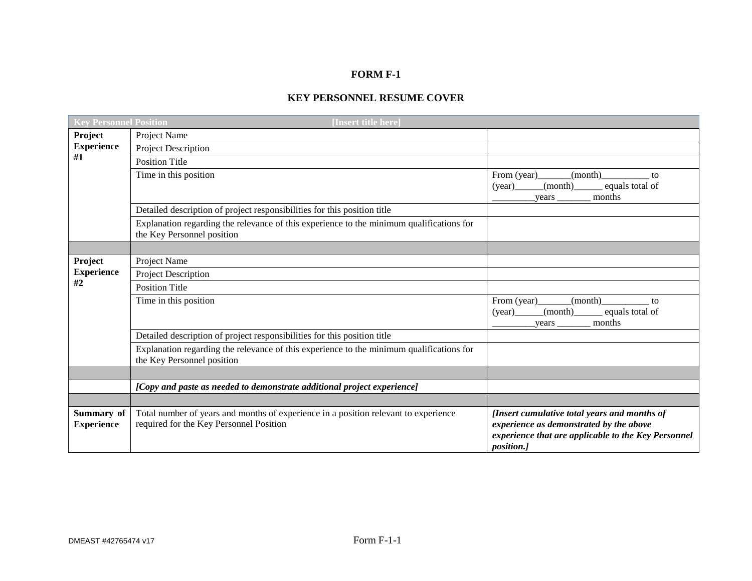# **FORM F-1**

# **KEY PERSONNEL RESUME COVER**

| <b>Key Personnel Position</b>   | [Insert title here]                                                                                                            |                                                                                                                                                                     |
|---------------------------------|--------------------------------------------------------------------------------------------------------------------------------|---------------------------------------------------------------------------------------------------------------------------------------------------------------------|
| Project                         | Project Name                                                                                                                   |                                                                                                                                                                     |
| <b>Experience</b>               | Project Description                                                                                                            |                                                                                                                                                                     |
| #1                              | <b>Position Title</b>                                                                                                          |                                                                                                                                                                     |
|                                 | Time in this position                                                                                                          | (month)<br>to<br>(month)<br>equals total of<br>(year)<br>months                                                                                                     |
|                                 | Detailed description of project responsibilities for this position title                                                       |                                                                                                                                                                     |
|                                 | Explanation regarding the relevance of this experience to the minimum qualifications for<br>the Key Personnel position         |                                                                                                                                                                     |
|                                 |                                                                                                                                |                                                                                                                                                                     |
| Project                         | Project Name                                                                                                                   |                                                                                                                                                                     |
| <b>Experience</b>               | Project Description                                                                                                            |                                                                                                                                                                     |
| #2                              | <b>Position Title</b>                                                                                                          |                                                                                                                                                                     |
|                                 | Time in this position                                                                                                          | From $(year)$<br>(month)<br>to<br>(month)<br>equals total of<br>(year)<br>months<br>years                                                                           |
|                                 | Detailed description of project responsibilities for this position title                                                       |                                                                                                                                                                     |
|                                 | Explanation regarding the relevance of this experience to the minimum qualifications for<br>the Key Personnel position         |                                                                                                                                                                     |
|                                 |                                                                                                                                |                                                                                                                                                                     |
|                                 | [Copy and paste as needed to demonstrate additional project experience]                                                        |                                                                                                                                                                     |
|                                 |                                                                                                                                |                                                                                                                                                                     |
| Summary of<br><b>Experience</b> | Total number of years and months of experience in a position relevant to experience<br>required for the Key Personnel Position | [Insert cumulative total years and months of<br>experience as demonstrated by the above<br>experience that are applicable to the Key Personnel<br><i>position.]</i> |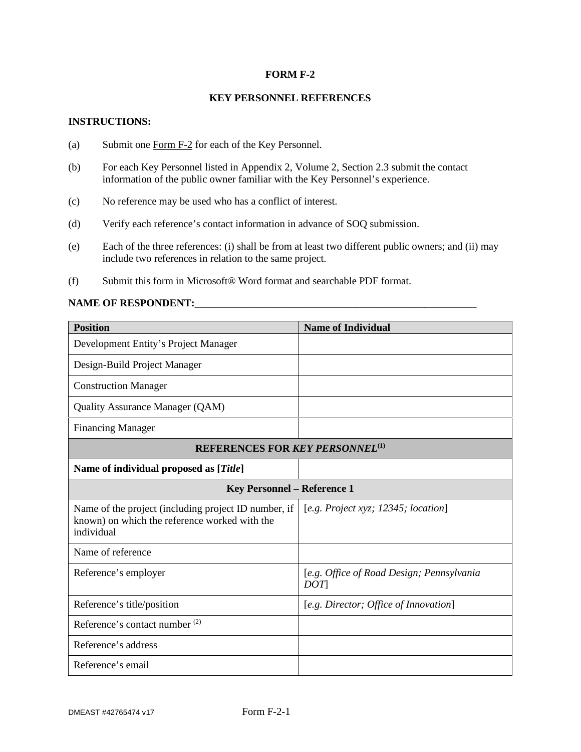## **FORM F-2**

## **KEY PERSONNEL REFERENCES**

## **INSTRUCTIONS:**

- (a) Submit one Form F-2 for each of the Key Personnel.
- (b) For each Key Personnel listed in Appendix 2, Volume 2, Section 2.3 submit the contact information of the public owner familiar with the Key Personnel's experience.
- (c) No reference may be used who has a conflict of interest.
- (d) Verify each reference's contact information in advance of SOQ submission.
- (e) Each of the three references: (i) shall be from at least two different public owners; and (ii) may include two references in relation to the same project.
- (f) Submit this form in Microsoft® Word format and searchable PDF format.

## **NAME OF RESPONDENT:**

| <b>Position</b>                                                                                                     | <b>Name of Individual</b>                        |  |  |  |  |  |  |
|---------------------------------------------------------------------------------------------------------------------|--------------------------------------------------|--|--|--|--|--|--|
| Development Entity's Project Manager                                                                                |                                                  |  |  |  |  |  |  |
| Design-Build Project Manager                                                                                        |                                                  |  |  |  |  |  |  |
| <b>Construction Manager</b>                                                                                         |                                                  |  |  |  |  |  |  |
| Quality Assurance Manager (QAM)                                                                                     |                                                  |  |  |  |  |  |  |
| <b>Financing Manager</b>                                                                                            |                                                  |  |  |  |  |  |  |
| <b>REFERENCES FOR KEY PERSONNEL(1)</b>                                                                              |                                                  |  |  |  |  |  |  |
| Name of individual proposed as [Title]                                                                              |                                                  |  |  |  |  |  |  |
|                                                                                                                     | <b>Key Personnel - Reference 1</b>               |  |  |  |  |  |  |
| Name of the project (including project ID number, if<br>known) on which the reference worked with the<br>individual | [e.g. Project xyz; $12345$ ; location]           |  |  |  |  |  |  |
| Name of reference                                                                                                   |                                                  |  |  |  |  |  |  |
| Reference's employer                                                                                                | [e.g. Office of Road Design; Pennsylvania<br>DOT |  |  |  |  |  |  |
| Reference's title/position                                                                                          | [e.g. Director; Office of Innovation]            |  |  |  |  |  |  |
| Reference's contact number <sup>(2)</sup>                                                                           |                                                  |  |  |  |  |  |  |
| Reference's address                                                                                                 |                                                  |  |  |  |  |  |  |
| Reference's email                                                                                                   |                                                  |  |  |  |  |  |  |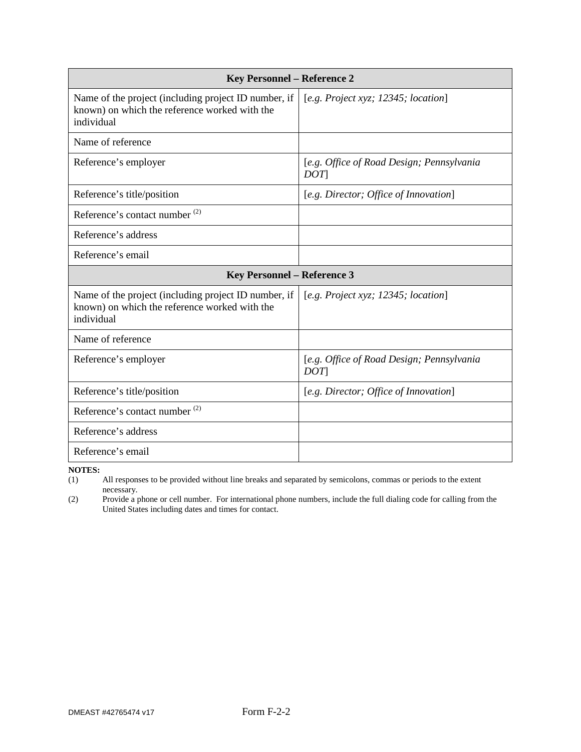| <b>Key Personnel - Reference 2</b>                                                                                  |                                                  |  |  |  |  |  |
|---------------------------------------------------------------------------------------------------------------------|--------------------------------------------------|--|--|--|--|--|
| Name of the project (including project ID number, if<br>known) on which the reference worked with the<br>individual | [e.g. Project xyz; 12345; location]              |  |  |  |  |  |
| Name of reference                                                                                                   |                                                  |  |  |  |  |  |
| Reference's employer                                                                                                | [e.g. Office of Road Design; Pennsylvania<br>DOT |  |  |  |  |  |
| Reference's title/position                                                                                          | [e.g. Director; Office of Innovation]            |  |  |  |  |  |
| Reference's contact number <sup>(2)</sup>                                                                           |                                                  |  |  |  |  |  |
| Reference's address                                                                                                 |                                                  |  |  |  |  |  |
| Reference's email                                                                                                   |                                                  |  |  |  |  |  |
| <b>Key Personnel - Reference 3</b>                                                                                  |                                                  |  |  |  |  |  |
| Name of the project (including project ID number, if<br>known) on which the reference worked with the<br>individual | [e.g. Project xyz; 12345; location]              |  |  |  |  |  |
| Name of reference                                                                                                   |                                                  |  |  |  |  |  |
| Reference's employer                                                                                                | [e.g. Office of Road Design; Pennsylvania<br>DOT |  |  |  |  |  |
| Reference's title/position                                                                                          | [e.g. Director; Office of Innovation]            |  |  |  |  |  |
| Reference's contact number <sup>(2)</sup>                                                                           |                                                  |  |  |  |  |  |
| Reference's address                                                                                                 |                                                  |  |  |  |  |  |
| Reference's email                                                                                                   |                                                  |  |  |  |  |  |

**NOTES:** (1) All responses to be provided without line breaks and separated by semicolons, commas or periods to the extent necessary.

(2) Provide a phone or cell number. For international phone numbers, include the full dialing code for calling from the United States including dates and times for contact.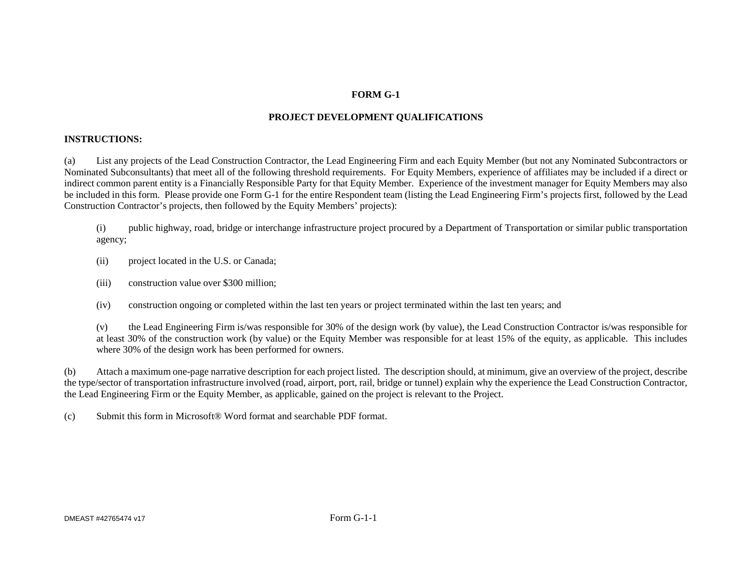# **FORM G-1**

# **PROJECT DEVELOPMENT QUALIFICATIONS**

# **INSTRUCTIONS:**

(a) List any projects of the Lead Construction Contractor, the Lead Engineering Firm and each Equity Member (but not any Nominated Subcontractors or Nominated Subconsultants) that meet all of the following threshold requirements. For Equity Members, experience of affiliates may be included if a direct or indirect common parent entity is a Financially Responsible Party for that Equity Member. Experience of the investment manager for Equity Members may also be included in this form. Please provide one Form G-1 for the entire Respondent team (listing the Lead Engineering Firm's projects first, followed by the Lead Construction Contractor's projects, then followed by the Equity Members' projects):

(i) public highway, road, bridge or interchange infrastructure project procured by a Department of Transportation or similar public transportation agency;

- (ii) project located in the U.S. or Canada;
- (iii) construction value over \$300 million;
- (iv) construction ongoing or completed within the last ten years or project terminated within the last ten years; and

(v) the Lead Engineering Firm is/was responsible for 30% of the design work (by value), the Lead Construction Contractor is/was responsible for at least 30% of the construction work (by value) or the Equity Member was responsible for at least 15% of the equity, as applicable. This includes where 30% of the design work has been performed for owners.

(b) Attach a maximum one-page narrative description for each project listed. The description should, at minimum, give an overview of the project, describe the type/sector of transportation infrastructure involved (road, airport, port, rail, bridge or tunnel) explain why the experience the Lead Construction Contractor, the Lead Engineering Firm or the Equity Member, as applicable, gained on the project is relevant to the Project.

(c) Submit this form in Microsoft® Word format and searchable PDF format.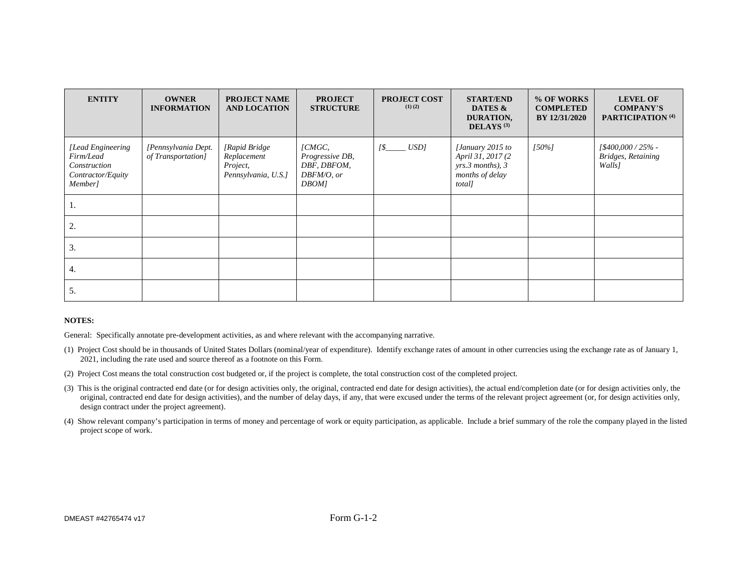| <b>ENTITY</b>                                                                  | <b>OWNER</b><br><b>INFORMATION</b>        | <b>PROJECT NAME</b><br><b>AND LOCATION</b>                      | <b>PROJECT</b><br><b>STRUCTURE</b>                                 | <b>PROJECT COST</b><br>$(1)$ $(2)$ | <b>START/END</b><br>DATES &<br>DURATION,<br>DELAYS $(3)$                               | % OF WORKS<br><b>COMPLETED</b><br>BY 12/31/2020 | <b>LEVEL OF</b><br><b>COMPANY'S</b><br>PARTICIPATION <sup>(4)</sup> |
|--------------------------------------------------------------------------------|-------------------------------------------|-----------------------------------------------------------------|--------------------------------------------------------------------|------------------------------------|----------------------------------------------------------------------------------------|-------------------------------------------------|---------------------------------------------------------------------|
| [Lead Engineering<br>Firm/Lead<br>Construction<br>Contractor/Equity<br>Member] | [Pennsylvania Dept.<br>of Transportation] | [Rapid Bridge<br>Replacement<br>Project,<br>Pennsylvania, U.S.] | $/CMGC$ ,<br>Progressive DB,<br>DBF, DBFOM,<br>DBFM/O, or<br>DBOM] | USD]<br>1\$                        | [January 2015 to<br>April 31, 2017 (2<br>yrs.3 months), 3<br>months of delay<br>total] | $150%$ ]                                        | [\$400,000 / 25% -<br><b>Bridges, Retaining</b><br>Walls]           |
| -1.                                                                            |                                           |                                                                 |                                                                    |                                    |                                                                                        |                                                 |                                                                     |
| 2.                                                                             |                                           |                                                                 |                                                                    |                                    |                                                                                        |                                                 |                                                                     |
| 3.                                                                             |                                           |                                                                 |                                                                    |                                    |                                                                                        |                                                 |                                                                     |
| 4.                                                                             |                                           |                                                                 |                                                                    |                                    |                                                                                        |                                                 |                                                                     |
| 5.                                                                             |                                           |                                                                 |                                                                    |                                    |                                                                                        |                                                 |                                                                     |

#### **NOTES:**

General: Specifically annotate pre-development activities, as and where relevant with the accompanying narrative.

- (1) Project Cost should be in thousands of United States Dollars (nominal/year of expenditure). Identify exchange rates of amount in other currencies using the exchange rate as of January 1, 2021, including the rate used and source thereof as a footnote on this Form.
- (2) Project Cost means the total construction cost budgeted or, if the project is complete, the total construction cost of the completed project.
- (3) This is the original contracted end date (or for design activities only, the original, contracted end date for design activities), the actual end/completion date (or for design activities only, the original, contracted end date for design activities), and the number of delay days, if any, that were excused under the terms of the relevant project agreement (or, for design activities only, design contract under the project agreement).
- (4) Show relevant company's participation in terms of money and percentage of work or equity participation, as applicable. Include a brief summary of the role the company played in the listed project scope of work.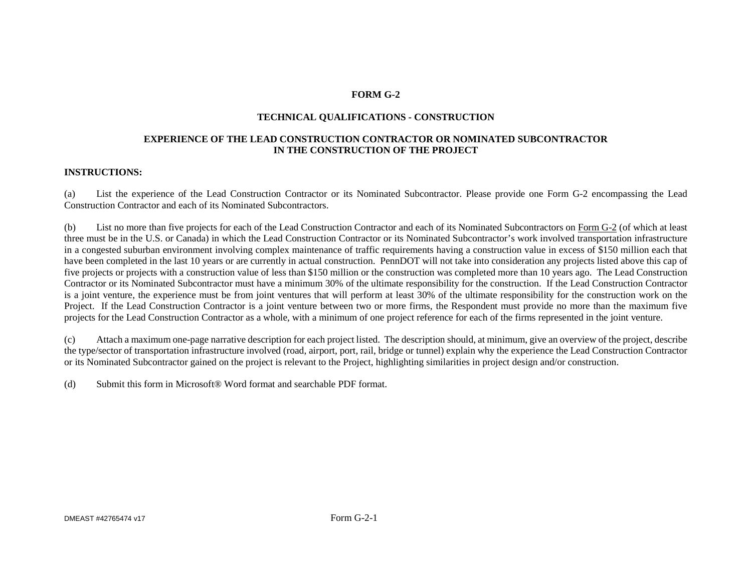# **FORM G-2**

## **TECHNICAL QUALIFICATIONS - CONSTRUCTION**

## **EXPERIENCE OF THE LEAD CONSTRUCTION CONTRACTOR OR NOMINATED SUBCONTRACTOR IN THE CONSTRUCTION OF THE PROJECT**

## **INSTRUCTIONS:**

(a) List the experience of the Lead Construction Contractor or its Nominated Subcontractor. Please provide one Form G-2 encompassing the Lead Construction Contractor and each of its Nominated Subcontractors.

(b) List no more than five projects for each of the Lead Construction Contractor and each of its Nominated Subcontractors on Form G-2 (of which at least three must be in the U.S. or Canada) in which the Lead Construction Contractor or its Nominated Subcontractor's work involved transportation infrastructure in a congested suburban environment involving complex maintenance of traffic requirements having a construction value in excess of \$150 million each that have been completed in the last 10 years or are currently in actual construction. PennDOT will not take into consideration any projects listed above this cap of five projects or projects with a construction value of less than \$150 million or the construction was completed more than 10 years ago. The Lead Construction Contractor or its Nominated Subcontractor must have a minimum 30% of the ultimate responsibility for the construction. If the Lead Construction Contractor is a joint venture, the experience must be from joint ventures that will perform at least 30% of the ultimate responsibility for the construction work on the Project. If the Lead Construction Contractor is a joint venture between two or more firms, the Respondent must provide no more than the maximum five projects for the Lead Construction Contractor as a whole, with a minimum of one project reference for each of the firms represented in the joint venture.

(c) Attach a maximum one-page narrative description for each project listed. The description should, at minimum, give an overview of the project, describe the type/sector of transportation infrastructure involved (road, airport, port, rail, bridge or tunnel) explain why the experience the Lead Construction Contractor or its Nominated Subcontractor gained on the project is relevant to the Project, highlighting similarities in project design and/or construction.

(d) Submit this form in Microsoft® Word format and searchable PDF format.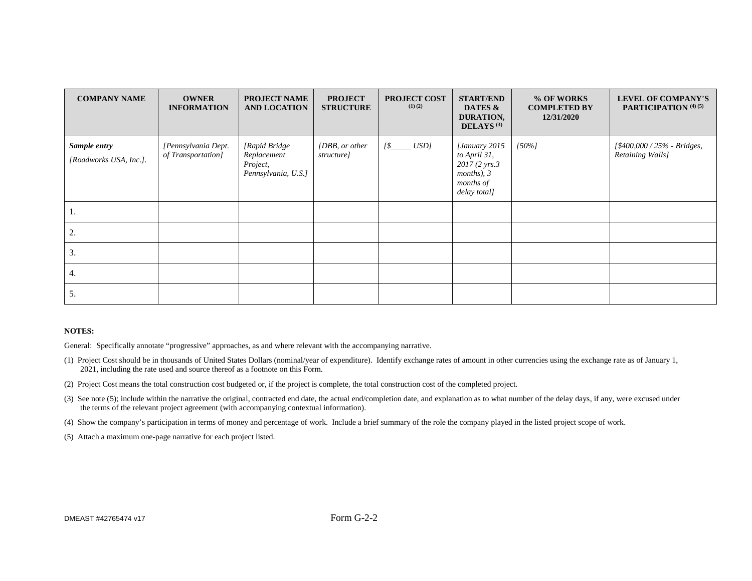| <b>COMPANY NAME</b>                    | <b>OWNER</b><br><b>INFORMATION</b>        | <b>PROJECT NAME</b><br><b>AND LOCATION</b>                      | <b>PROJECT</b><br><b>STRUCTURE</b> | <b>PROJECT COST</b><br>$(1)$ $(2)$ | <b>START/END</b><br>DATES &<br>DURATION,<br>DELAYS <sup>(3)</sup>                              | % OF WORKS<br><b>COMPLETED BY</b><br>12/31/2020 | <b>LEVEL OF COMPANY'S</b><br>PARTICIPATION <sup>(4)(5)</sup> |
|----------------------------------------|-------------------------------------------|-----------------------------------------------------------------|------------------------------------|------------------------------------|------------------------------------------------------------------------------------------------|-------------------------------------------------|--------------------------------------------------------------|
| Sample entry<br>[Roadworks USA, Inc.]. | [Pennsylvania Dept.<br>of Transportation] | [Rapid Bridge<br>Replacement<br>Project,<br>Pennsylvania, U.S.] | [DBB, or other<br>structure]       | $[$_$                              | [January 2015<br>to April 31,<br>2017 (2 yrs.3)<br>$months$ , $3$<br>months of<br>delay total] | $[50\%]$                                        | [\$400,000 / 25% - Bridges,<br>Retaining Walls]              |
| Ι.                                     |                                           |                                                                 |                                    |                                    |                                                                                                |                                                 |                                                              |
| 2.                                     |                                           |                                                                 |                                    |                                    |                                                                                                |                                                 |                                                              |
| 3.                                     |                                           |                                                                 |                                    |                                    |                                                                                                |                                                 |                                                              |
| 4.                                     |                                           |                                                                 |                                    |                                    |                                                                                                |                                                 |                                                              |
| 5.                                     |                                           |                                                                 |                                    |                                    |                                                                                                |                                                 |                                                              |

#### **NOTES:**

General: Specifically annotate "progressive" approaches, as and where relevant with the accompanying narrative.

- (1) Project Cost should be in thousands of United States Dollars (nominal/year of expenditure). Identify exchange rates of amount in other currencies using the exchange rate as of January 1, 2021, including the rate used and source thereof as a footnote on this Form.
- (2) Project Cost means the total construction cost budgeted or, if the project is complete, the total construction cost of the completed project.
- (3) See note (5); include within the narrative the original, contracted end date, the actual end/completion date, and explanation as to what number of the delay days, if any, were excused under the terms of the relevant project agreement (with accompanying contextual information).
- (4) Show the company's participation in terms of money and percentage of work. Include a brief summary of the role the company played in the listed project scope of work.
- (5) Attach a maximum one-page narrative for each project listed.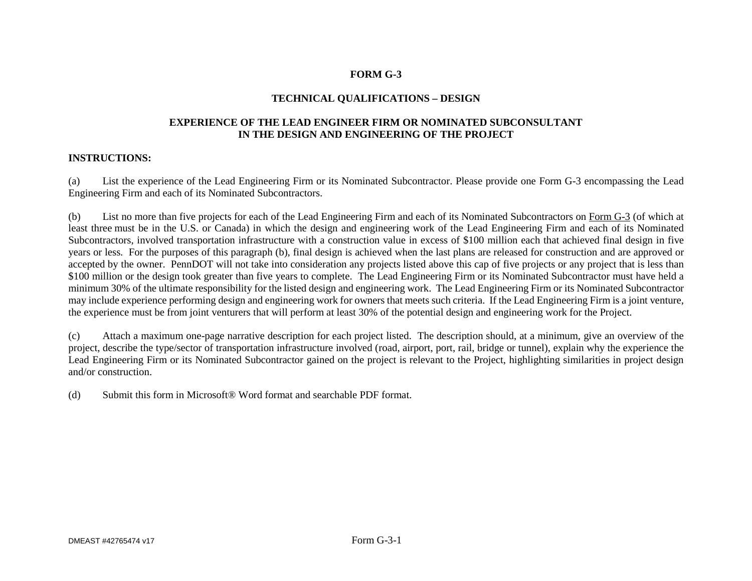# **FORM G-3**

# **TECHNICAL QUALIFICATIONS – DESIGN**

# **EXPERIENCE OF THE LEAD ENGINEER FIRM OR NOMINATED SUBCONSULTANT IN THE DESIGN AND ENGINEERING OF THE PROJECT**

## **INSTRUCTIONS:**

(a) List the experience of the Lead Engineering Firm or its Nominated Subcontractor. Please provide one Form G-3 encompassing the Lead Engineering Firm and each of its Nominated Subcontractors.

(b) List no more than five projects for each of the Lead Engineering Firm and each of its Nominated Subcontractors on Form G-3 (of which at least three must be in the U.S. or Canada) in which the design and engineering work of the Lead Engineering Firm and each of its Nominated Subcontractors, involved transportation infrastructure with a construction value in excess of \$100 million each that achieved final design in five years or less. For the purposes of this paragraph (b), final design is achieved when the last plans are released for construction and are approved or accepted by the owner. PennDOT will not take into consideration any projects listed above this cap of five projects or any project that is less than \$100 million or the design took greater than five years to complete. The Lead Engineering Firm or its Nominated Subcontractor must have held a minimum 30% of the ultimate responsibility for the listed design and engineering work. The Lead Engineering Firm or its Nominated Subcontractor may include experience performing design and engineering work for owners that meets such criteria. If the Lead Engineering Firm is a joint venture, the experience must be from joint venturers that will perform at least 30% of the potential design and engineering work for the Project.

(c) Attach a maximum one-page narrative description for each project listed. The description should, at a minimum, give an overview of the project, describe the type/sector of transportation infrastructure involved (road, airport, port, rail, bridge or tunnel), explain why the experience the Lead Engineering Firm or its Nominated Subcontractor gained on the project is relevant to the Project, highlighting similarities in project design and/or construction.

(d) Submit this form in Microsoft® Word format and searchable PDF format.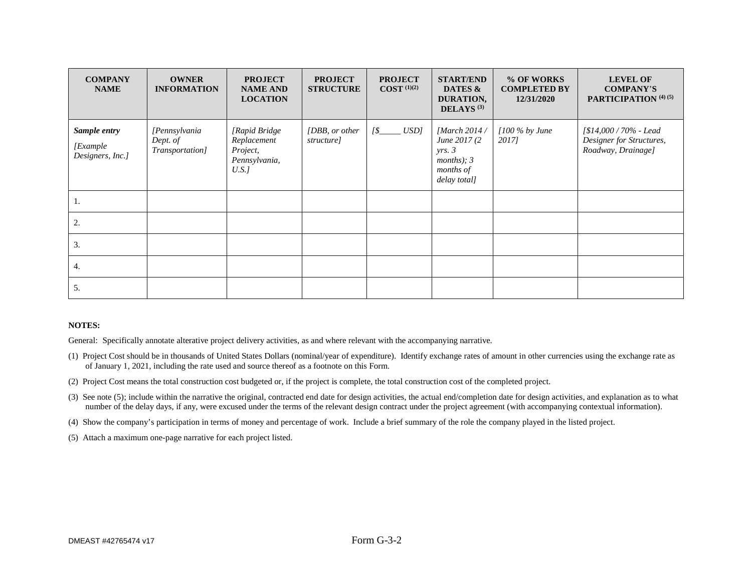| <b>COMPANY</b><br><b>NAME</b>                | <b>OWNER</b><br><b>INFORMATION</b>           | <b>PROJECT</b><br><b>NAME AND</b><br><b>LOCATION</b>              | <b>PROJECT</b><br><b>STRUCTURE</b> | <b>PROJECT</b><br>$COST$ <sup>(1)(2)</sup> | <b>START/END</b><br>DATES &<br>DURATION,<br>DELAYS <sup>(3)</sup>                      | % OF WORKS<br><b>COMPLETED BY</b><br>12/31/2020 | <b>LEVEL OF</b><br><b>COMPANY'S</b><br>PARTICIPATION <sup>(4)(5)</sup>   |
|----------------------------------------------|----------------------------------------------|-------------------------------------------------------------------|------------------------------------|--------------------------------------------|----------------------------------------------------------------------------------------|-------------------------------------------------|--------------------------------------------------------------------------|
| Sample entry<br>[Example<br>Designers, Inc.] | [Pennsylvania<br>Dept. of<br>Transportation] | [Rapid Bridge<br>Replacement<br>Project,<br>Pennsylvania,<br>U.S. | [DBB, or other]<br>structure]      | $[$$ <sub>_____</sub> $USD]$               | [March $2014/$<br>June 2017 (2)<br>yrs. 3<br>months); $3$<br>months of<br>delay total] | $[100\%$ by June<br>2017]                       | [\$14,000 / 70% - Lead<br>Designer for Structures,<br>Roadway, Drainage] |
|                                              |                                              |                                                                   |                                    |                                            |                                                                                        |                                                 |                                                                          |
| 2.                                           |                                              |                                                                   |                                    |                                            |                                                                                        |                                                 |                                                                          |
| 3.                                           |                                              |                                                                   |                                    |                                            |                                                                                        |                                                 |                                                                          |
| 4.                                           |                                              |                                                                   |                                    |                                            |                                                                                        |                                                 |                                                                          |
| 5.                                           |                                              |                                                                   |                                    |                                            |                                                                                        |                                                 |                                                                          |

#### **NOTES:**

General: Specifically annotate alterative project delivery activities, as and where relevant with the accompanying narrative.

- (1) Project Cost should be in thousands of United States Dollars (nominal/year of expenditure). Identify exchange rates of amount in other currencies using the exchange rate as of January 1, 2021, including the rate used and source thereof as a footnote on this Form.
- (2) Project Cost means the total construction cost budgeted or, if the project is complete, the total construction cost of the completed project.
- (3) See note (5); include within the narrative the original, contracted end date for design activities, the actual end/completion date for design activities, and explanation as to what number of the delay days, if any, were excused under the terms of the relevant design contract under the project agreement (with accompanying contextual information).
- (4) Show the company's participation in terms of money and percentage of work. Include a brief summary of the role the company played in the listed project.
- (5) Attach a maximum one-page narrative for each project listed.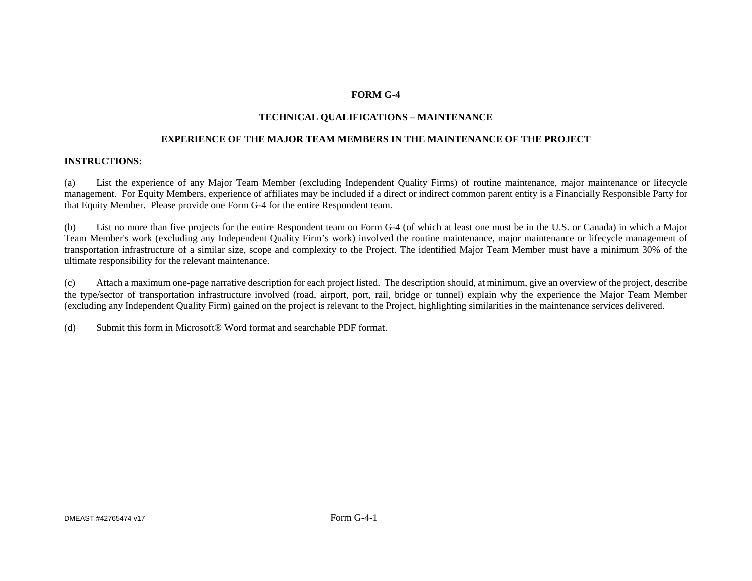# **FORM G-4**

## **TECHNICAL QUALIFICATIONS – MAINTENANCE**

#### **EXPERIENCE OF THE MAJOR TEAM MEMBERS IN THE MAINTENANCE OF THE PROJECT**

#### **INSTRUCTIONS:**

(a) List the experience of any Major Team Member (excluding Independent Quality Firms) of routine maintenance, major maintenance or lifecycle management. For Equity Members, experience of affiliates may be included if a direct or indirect common parent entity is a Financially Responsible Party for that Equity Member. Please provide one Form G-4 for the entire Respondent team.

(b) List no more than five projects for the entire Respondent team on Form G-4 (of which at least one must be in the U.S. or Canada) in which a Major Team Member's work (excluding any Independent Quality Firm's work) involved the routine maintenance, major maintenance or lifecycle management of transportation infrastructure of a similar size, scope and complexity to the Project. The identified Major Team Member must have a minimum 30% of the ultimate responsibility for the relevant maintenance.

(c) Attach a maximum one-page narrative description for each project listed. The description should, at minimum, give an overview of the project, describe the type/sector of transportation infrastructure involved (road, airport, port, rail, bridge or tunnel) explain why the experience the Major Team Member (excluding any Independent Quality Firm) gained on the project is relevant to the Project, highlighting similarities in the maintenance services delivered.

(d) Submit this form in Microsoft® Word format and searchable PDF format.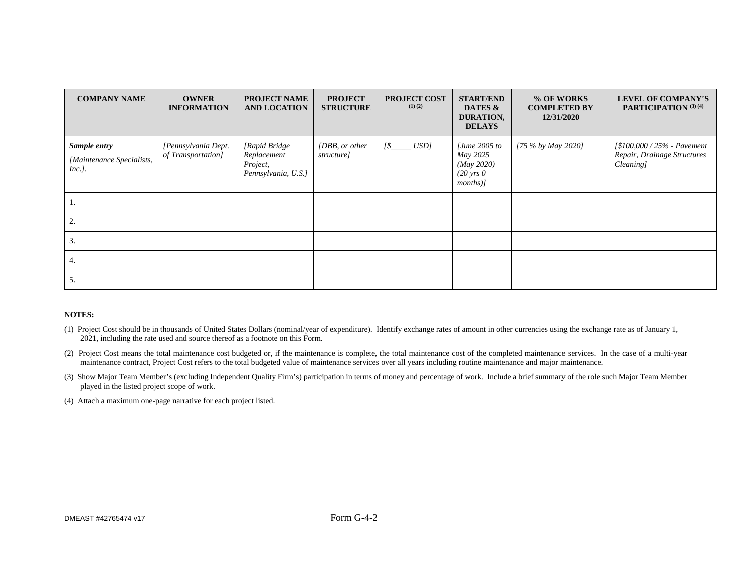| <b>COMPANY NAME</b>                                    | <b>OWNER</b><br><b>INFORMATION</b>        | <b>PROJECT NAME</b><br><b>AND LOCATION</b>                      | <b>PROJECT</b><br><b>STRUCTURE</b> | <b>PROJECT COST</b><br>$(1)$ $(2)$ | <b>START/END</b><br>DATES &<br>DURATION,<br><b>DELAYS</b>                           | % OF WORKS<br><b>COMPLETED BY</b><br>12/31/2020 | <b>LEVEL OF COMPANY'S</b><br>PARTICIPATION (3) (4)                                |
|--------------------------------------------------------|-------------------------------------------|-----------------------------------------------------------------|------------------------------------|------------------------------------|-------------------------------------------------------------------------------------|-------------------------------------------------|-----------------------------------------------------------------------------------|
| Sample entry<br>[Maintenance Specialists,<br>$Inc.$ ]. | [Pennsylvania Dept.<br>of Transportation] | [Rapid Bridge<br>Replacement<br>Project,<br>Pennsylvania, U.S.] | [DBB, or other]<br>structure]      | $[\frac{\$$ <sub>______</sub> USD] | $[June\ 2005\ to$<br>May 2025<br>(May 2020)<br>$(20 \text{ yrs } 0)$<br>$months)$ ] | [75 % by May 2020]                              | $\frac{1}{8100,000}$ / 25% - Pavement<br>Repair, Drainage Structures<br>Cleaning] |
|                                                        |                                           |                                                                 |                                    |                                    |                                                                                     |                                                 |                                                                                   |
| 2.                                                     |                                           |                                                                 |                                    |                                    |                                                                                     |                                                 |                                                                                   |
| 3.                                                     |                                           |                                                                 |                                    |                                    |                                                                                     |                                                 |                                                                                   |
| 4.                                                     |                                           |                                                                 |                                    |                                    |                                                                                     |                                                 |                                                                                   |
| 5.                                                     |                                           |                                                                 |                                    |                                    |                                                                                     |                                                 |                                                                                   |

#### **NOTES:**

- (1) Project Cost should be in thousands of United States Dollars (nominal/year of expenditure). Identify exchange rates of amount in other currencies using the exchange rate as of January 1, 2021, including the rate used and source thereof as a footnote on this Form.
- (2) Project Cost means the total maintenance cost budgeted or, if the maintenance is complete, the total maintenance cost of the completed maintenance services. In the case of a multi-year maintenance contract, Project Cost refers to the total budgeted value of maintenance services over all years including routine maintenance and major maintenance.
- (3) Show Major Team Member's (excluding Independent Quality Firm's) participation in terms of money and percentage of work. Include a brief summary of the role such Major Team Member played in the listed project scope of work.
- (4) Attach a maximum one-page narrative for each project listed.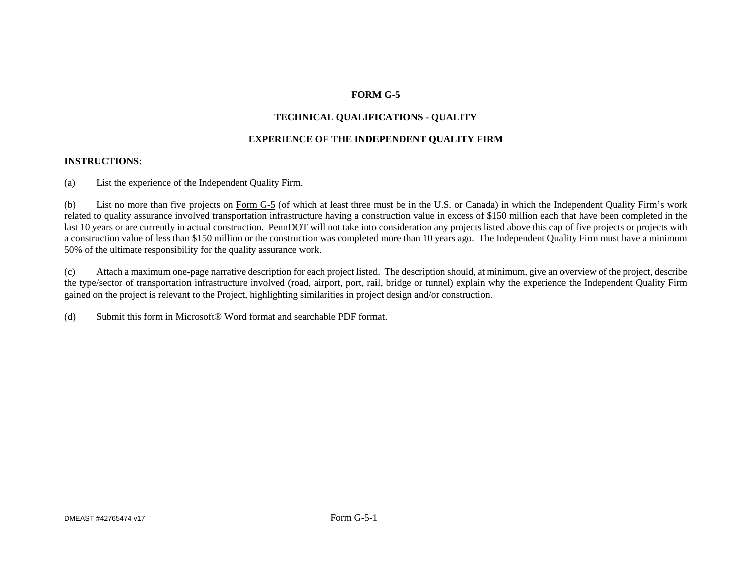# **FORM G-5**

# **TECHNICAL QUALIFICATIONS - QUALITY**

# **EXPERIENCE OF THE INDEPENDENT QUALITY FIRM**

## **INSTRUCTIONS:**

(a) List the experience of the Independent Quality Firm.

(b) List no more than five projects on Form G-5 (of which at least three must be in the U.S. or Canada) in which the Independent Quality Firm's work related to quality assurance involved transportation infrastructure having a construction value in excess of \$150 million each that have been completed in the last 10 years or are currently in actual construction. PennDOT will not take into consideration any projects listed above this cap of five projects or projects with a construction value of less than \$150 million or the construction was completed more than 10 years ago. The Independent Quality Firm must have a minimum 50% of the ultimate responsibility for the quality assurance work.

(c) Attach a maximum one-page narrative description for each project listed. The description should, at minimum, give an overview of the project, describe the type/sector of transportation infrastructure involved (road, airport, port, rail, bridge or tunnel) explain why the experience the Independent Quality Firm gained on the project is relevant to the Project, highlighting similarities in project design and/or construction.

(d) Submit this form in Microsoft® Word format and searchable PDF format.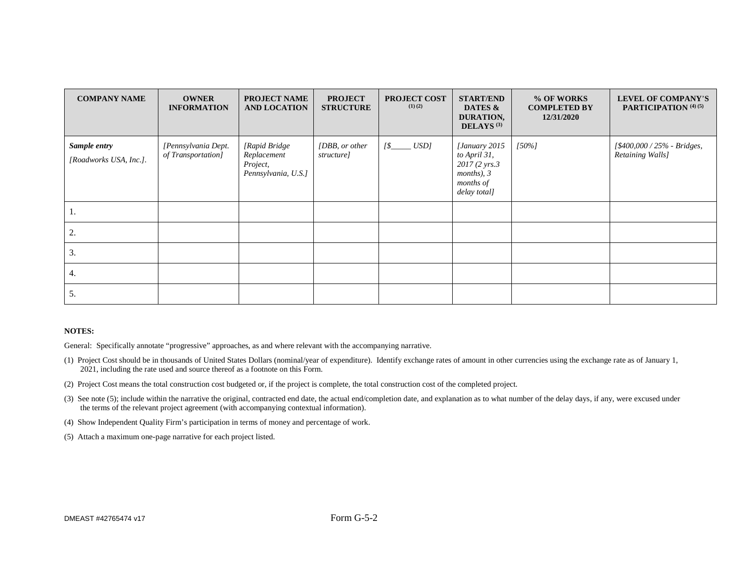| <b>COMPANY NAME</b>                    | <b>OWNER</b><br><b>INFORMATION</b>        | <b>PROJECT NAME</b><br><b>AND LOCATION</b>                      | <b>PROJECT</b><br><b>STRUCTURE</b> | <b>PROJECT COST</b><br>$(1)$ $(2)$ | <b>START/END</b><br>DATES &<br>DURATION,<br>DELAYS <sup>(3)</sup>                              | % OF WORKS<br><b>COMPLETED BY</b><br>12/31/2020 | <b>LEVEL OF COMPANY'S</b><br>PARTICIPATION <sup>(4)(5)</sup> |
|----------------------------------------|-------------------------------------------|-----------------------------------------------------------------|------------------------------------|------------------------------------|------------------------------------------------------------------------------------------------|-------------------------------------------------|--------------------------------------------------------------|
| Sample entry<br>[Roadworks USA, Inc.]. | [Pennsylvania Dept.<br>of Transportation] | [Rapid Bridge<br>Replacement<br>Project,<br>Pennsylvania, U.S.] | [DBB, or other<br>structure]       | $[$_$                              | [January 2015<br>to April 31,<br>2017 (2 yrs.3)<br>$months$ , $3$<br>months of<br>delay total] | $[50\%]$                                        | [\$400,000 / 25% - Bridges,<br>Retaining Walls]              |
| Ι.                                     |                                           |                                                                 |                                    |                                    |                                                                                                |                                                 |                                                              |
| 2.                                     |                                           |                                                                 |                                    |                                    |                                                                                                |                                                 |                                                              |
| 3.                                     |                                           |                                                                 |                                    |                                    |                                                                                                |                                                 |                                                              |
| 4.                                     |                                           |                                                                 |                                    |                                    |                                                                                                |                                                 |                                                              |
| 5.                                     |                                           |                                                                 |                                    |                                    |                                                                                                |                                                 |                                                              |

#### **NOTES:**

General: Specifically annotate "progressive" approaches, as and where relevant with the accompanying narrative.

- (1) Project Cost should be in thousands of United States Dollars (nominal/year of expenditure). Identify exchange rates of amount in other currencies using the exchange rate as of January 1, 2021, including the rate used and source thereof as a footnote on this Form.
- (2) Project Cost means the total construction cost budgeted or, if the project is complete, the total construction cost of the completed project.
- (3) See note (5); include within the narrative the original, contracted end date, the actual end/completion date, and explanation as to what number of the delay days, if any, were excused under the terms of the relevant project agreement (with accompanying contextual information).
- (4) Show Independent Quality Firm's participation in terms of money and percentage of work.
- (5) Attach a maximum one-page narrative for each project listed.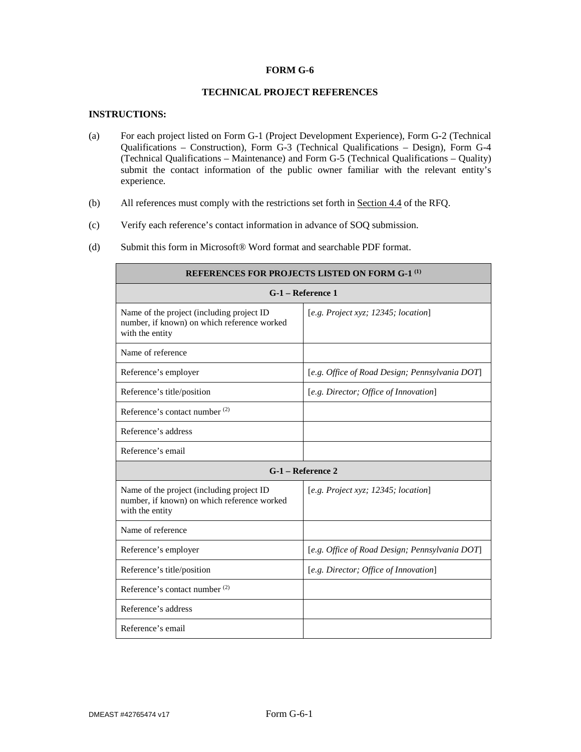#### **FORM G-6**

### **TECHNICAL PROJECT REFERENCES**

#### **INSTRUCTIONS:**

Ē

- (a) For each project listed on Form G-1 (Project Development Experience), Form G-2 (Technical Qualifications – Construction), Form G-3 (Technical Qualifications – Design), Form G-4 (Technical Qualifications – Maintenance) and Form G-5 (Technical Qualifications – Quality) submit the contact information of the public owner familiar with the relevant entity's experience.
- (b) All references must comply with the restrictions set forth in Section 4.4 of the RFQ.
- (c) Verify each reference's contact information in advance of SOQ submission.
- (d) Submit this form in Microsoft® Word format and searchable PDF format.

| <b>REFERENCES FOR PROJECTS LISTED ON FORM G-1<sup>(1)</sup></b>                                             |                                                |  |  |
|-------------------------------------------------------------------------------------------------------------|------------------------------------------------|--|--|
| G-1 – Reference 1                                                                                           |                                                |  |  |
| Name of the project (including project ID<br>number, if known) on which reference worked<br>with the entity | [e.g. Project xyz; 12345; location]            |  |  |
| Name of reference                                                                                           |                                                |  |  |
| Reference's employer                                                                                        | [e.g. Office of Road Design; Pennsylvania DOT] |  |  |
| Reference's title/position                                                                                  | [e.g. Director; Office of Innovation]          |  |  |
| Reference's contact number <sup>(2)</sup>                                                                   |                                                |  |  |
| Reference's address                                                                                         |                                                |  |  |
| Reference's email                                                                                           |                                                |  |  |
| G-1 – Reference 2                                                                                           |                                                |  |  |
| Name of the project (including project ID<br>number, if known) on which reference worked<br>with the entity | [e.g. Project xyz; 12345; location]            |  |  |
| Name of reference                                                                                           |                                                |  |  |
| Reference's employer                                                                                        | [e.g. Office of Road Design; Pennsylvania DOT] |  |  |
| Reference's title/position                                                                                  | [e.g. Director; Office of Innovation]          |  |  |
| Reference's contact number <sup>(2)</sup>                                                                   |                                                |  |  |
| Reference's address                                                                                         |                                                |  |  |
| Reference's email                                                                                           |                                                |  |  |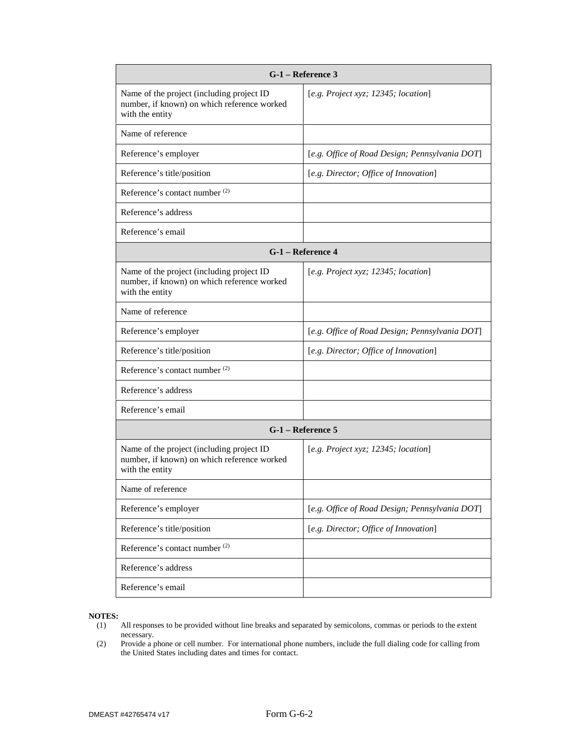| G-1 – Reference 3                                                                                           |                                                |  |  |  |
|-------------------------------------------------------------------------------------------------------------|------------------------------------------------|--|--|--|
| Name of the project (including project ID<br>number, if known) on which reference worked<br>with the entity | [e.g. Project xyz; 12345; location]            |  |  |  |
| Name of reference                                                                                           |                                                |  |  |  |
| Reference's employer                                                                                        | [e.g. Office of Road Design; Pennsylvania DOT] |  |  |  |
| Reference's title/position                                                                                  | [e.g. Director; Office of Innovation]          |  |  |  |
| Reference's contact number <sup>(2)</sup>                                                                   |                                                |  |  |  |
| Reference's address                                                                                         |                                                |  |  |  |
| Reference's email                                                                                           |                                                |  |  |  |
|                                                                                                             | G-1 - Reference 4                              |  |  |  |
| Name of the project (including project ID<br>number, if known) on which reference worked<br>with the entity | [e.g. Project xyz; 12345; location]            |  |  |  |
| Name of reference                                                                                           |                                                |  |  |  |
| Reference's employer                                                                                        | [e.g. Office of Road Design; Pennsylvania DOT] |  |  |  |
| Reference's title/position                                                                                  | [e.g. Director; Office of Innovation]          |  |  |  |
| Reference's contact number <sup>(2)</sup>                                                                   |                                                |  |  |  |
| Reference's address                                                                                         |                                                |  |  |  |
| Reference's email                                                                                           |                                                |  |  |  |
| G-1 - Reference 5                                                                                           |                                                |  |  |  |
| Name of the project (including project ID<br>number, if known) on which reference worked<br>with the entity | [e.g. Project xyz; 12345; location]            |  |  |  |
| Name of reference                                                                                           |                                                |  |  |  |
| Reference's employer                                                                                        | [e.g. Office of Road Design; Pennsylvania DOT] |  |  |  |
| Reference's title/position                                                                                  | [e.g. Director; Office of Innovation]          |  |  |  |
| Reference's contact number <sup>(2)</sup>                                                                   |                                                |  |  |  |
| Reference's address                                                                                         |                                                |  |  |  |
| Reference's email                                                                                           |                                                |  |  |  |

# **NOTES:**

- All responses to be provided without line breaks and separated by semicolons, commas or periods to the extent necessary.
- (2) Provide a phone or cell number. For international phone numbers, include the full dialing code for calling from the United States including dates and times for contact.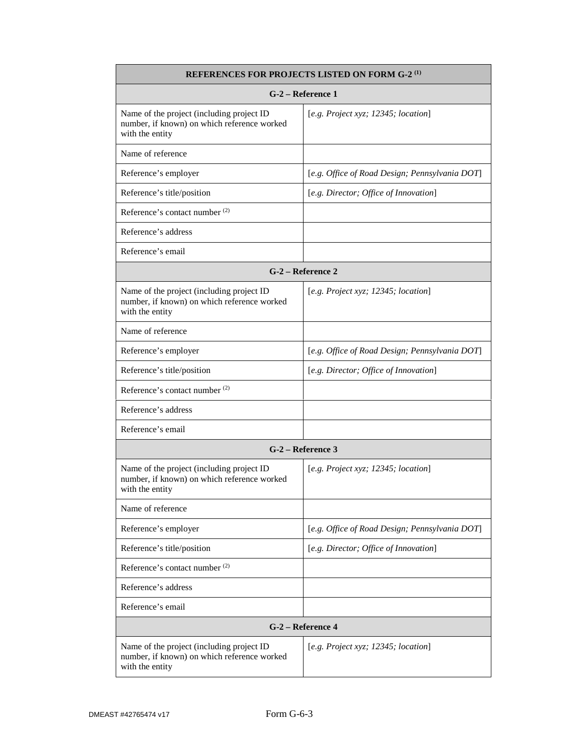| <b>REFERENCES FOR PROJECTS LISTED ON FORM G-2<sup>(1)</sup></b>                                             |                                                |  |  |  |
|-------------------------------------------------------------------------------------------------------------|------------------------------------------------|--|--|--|
| G-2 – Reference 1                                                                                           |                                                |  |  |  |
| Name of the project (including project ID<br>number, if known) on which reference worked<br>with the entity | [e.g. Project xyz; 12345; location]            |  |  |  |
| Name of reference                                                                                           |                                                |  |  |  |
| Reference's employer                                                                                        | [e.g. Office of Road Design; Pennsylvania DOT] |  |  |  |
| Reference's title/position                                                                                  | [e.g. Director; Office of Innovation]          |  |  |  |
| Reference's contact number <sup>(2)</sup>                                                                   |                                                |  |  |  |
| Reference's address                                                                                         |                                                |  |  |  |
| Reference's email                                                                                           |                                                |  |  |  |
|                                                                                                             | G-2 – Reference 2                              |  |  |  |
| Name of the project (including project ID<br>number, if known) on which reference worked<br>with the entity | [e.g. Project xyz; 12345; location]            |  |  |  |
| Name of reference                                                                                           |                                                |  |  |  |
| Reference's employer                                                                                        | [e.g. Office of Road Design; Pennsylvania DOT] |  |  |  |
| Reference's title/position                                                                                  | [e.g. Director; Office of Innovation]          |  |  |  |
| Reference's contact number <sup>(2)</sup>                                                                   |                                                |  |  |  |
| Reference's address                                                                                         |                                                |  |  |  |
| Reference's email                                                                                           |                                                |  |  |  |
| G-2 – Reference 3                                                                                           |                                                |  |  |  |
| Name of the project (including project ID<br>number, if known) on which reference worked<br>with the entity | [e.g. Project xyz; 12345; location]            |  |  |  |
| Name of reference                                                                                           |                                                |  |  |  |
| Reference's employer                                                                                        | [e.g. Office of Road Design; Pennsylvania DOT] |  |  |  |
| Reference's title/position                                                                                  | [e.g. Director; Office of Innovation]          |  |  |  |
| Reference's contact number <sup>(2)</sup>                                                                   |                                                |  |  |  |
| Reference's address                                                                                         |                                                |  |  |  |
| Reference's email                                                                                           |                                                |  |  |  |
| G-2 – Reference 4                                                                                           |                                                |  |  |  |
| Name of the project (including project ID<br>number, if known) on which reference worked<br>with the entity | [e.g. Project xyz; 12345; location]            |  |  |  |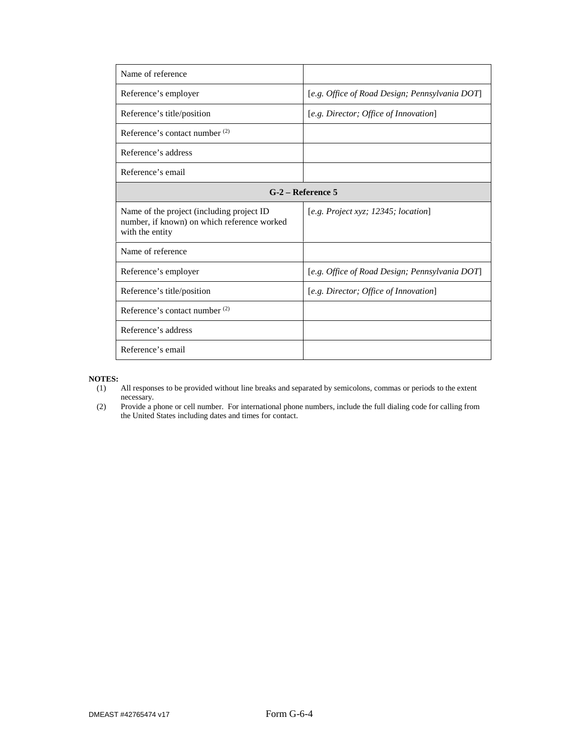| Name of reference                                                                                           |                                                |
|-------------------------------------------------------------------------------------------------------------|------------------------------------------------|
| Reference's employer                                                                                        | [e.g. Office of Road Design; Pennsylvania DOT] |
| Reference's title/position                                                                                  | [e.g. Director; Office of Innovation]          |
| Reference's contact number <sup>(2)</sup>                                                                   |                                                |
| Reference's address                                                                                         |                                                |
| Reference's email                                                                                           |                                                |
|                                                                                                             | $G-2$ – Reference 5                            |
| Name of the project (including project ID<br>number, if known) on which reference worked<br>with the entity | [e.g. Project xyz; 12345; location]            |
| Name of reference                                                                                           |                                                |
| Reference's employer                                                                                        | [e.g. Office of Road Design; Pennsylvania DOT] |
| Reference's title/position                                                                                  | [e.g. Director; Office of Innovation]          |
| Reference's contact number $(2)$                                                                            |                                                |
| Reference's address                                                                                         |                                                |
| Reference's email                                                                                           |                                                |

- All responses to be provided without line breaks and separated by semicolons, commas or periods to the extent necessary.
- (2) Provide a phone or cell number. For international phone numbers, include the full dialing code for calling from the United States including dates and times for contact.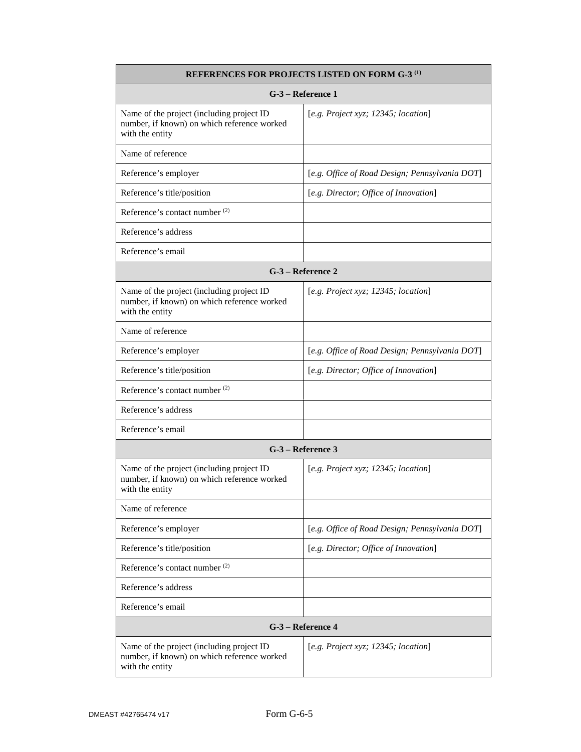| REFERENCES FOR PROJECTS LISTED ON FORM G-3 <sup>(1)</sup>                                                   |                                                |  |  |  |  |
|-------------------------------------------------------------------------------------------------------------|------------------------------------------------|--|--|--|--|
| G-3 - Reference 1                                                                                           |                                                |  |  |  |  |
| Name of the project (including project ID<br>number, if known) on which reference worked<br>with the entity | [e.g. Project xyz; 12345; location]            |  |  |  |  |
| Name of reference                                                                                           |                                                |  |  |  |  |
| Reference's employer                                                                                        | [e.g. Office of Road Design; Pennsylvania DOT] |  |  |  |  |
| Reference's title/position                                                                                  | [e.g. Director; Office of Innovation]          |  |  |  |  |
| Reference's contact number <sup>(2)</sup>                                                                   |                                                |  |  |  |  |
| Reference's address                                                                                         |                                                |  |  |  |  |
| Reference's email                                                                                           |                                                |  |  |  |  |
|                                                                                                             | G-3 - Reference 2                              |  |  |  |  |
| Name of the project (including project ID<br>number, if known) on which reference worked<br>with the entity | [e.g. Project xyz; $12345$ ; location]         |  |  |  |  |
| Name of reference                                                                                           |                                                |  |  |  |  |
| Reference's employer                                                                                        | [e.g. Office of Road Design; Pennsylvania DOT] |  |  |  |  |
| Reference's title/position                                                                                  | [e.g. Director; Office of Innovation]          |  |  |  |  |
| Reference's contact number <sup>(2)</sup>                                                                   |                                                |  |  |  |  |
| Reference's address                                                                                         |                                                |  |  |  |  |
| Reference's email                                                                                           |                                                |  |  |  |  |
|                                                                                                             | G-3 – Reference 3                              |  |  |  |  |
| Name of the project (including project ID<br>number, if known) on which reference worked<br>with the entity | [e.g. Project xyz; 12345; location]            |  |  |  |  |
| Name of reference                                                                                           |                                                |  |  |  |  |
| Reference's employer                                                                                        | [e.g. Office of Road Design; Pennsylvania DOT] |  |  |  |  |
| Reference's title/position                                                                                  | [e.g. Director; Office of Innovation]          |  |  |  |  |
| Reference's contact number <sup>(2)</sup>                                                                   |                                                |  |  |  |  |
| Reference's address                                                                                         |                                                |  |  |  |  |
| Reference's email                                                                                           |                                                |  |  |  |  |
|                                                                                                             | G-3 - Reference 4                              |  |  |  |  |
| Name of the project (including project ID<br>number, if known) on which reference worked<br>with the entity | [e.g. Project xyz; 12345; location]            |  |  |  |  |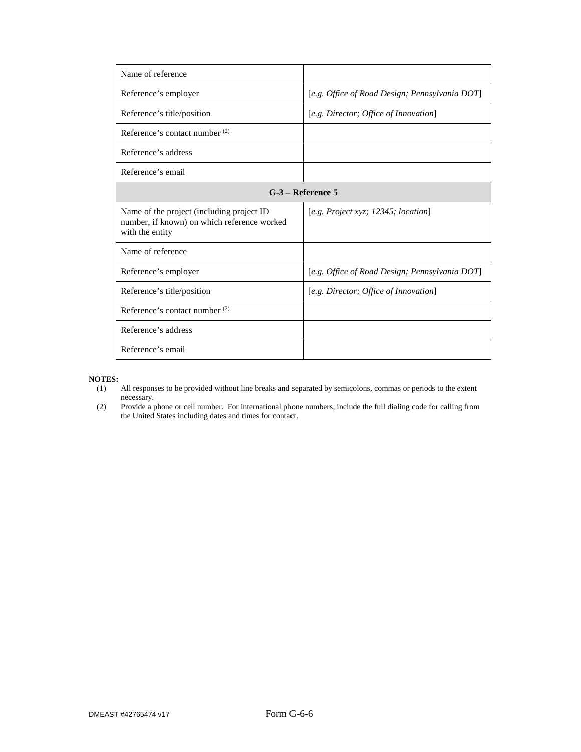| Name of reference                                                                                           |                                                |
|-------------------------------------------------------------------------------------------------------------|------------------------------------------------|
| Reference's employer                                                                                        | [e.g. Office of Road Design; Pennsylvania DOT] |
| Reference's title/position                                                                                  | [e.g. Director; Office of Innovation]          |
| Reference's contact number <sup>(2)</sup>                                                                   |                                                |
| Reference's address                                                                                         |                                                |
| Reference's email                                                                                           |                                                |
|                                                                                                             | $G-3$ – Reference 5                            |
| Name of the project (including project ID<br>number, if known) on which reference worked<br>with the entity | [e.g. Project xyz; 12345; location]            |
| Name of reference                                                                                           |                                                |
| Reference's employer                                                                                        | [e.g. Office of Road Design; Pennsylvania DOT] |
| Reference's title/position                                                                                  | [e.g. Director; Office of Innovation]          |
| Reference's contact number $(2)$                                                                            |                                                |
| Reference's address                                                                                         |                                                |
| Reference's email                                                                                           |                                                |

- All responses to be provided without line breaks and separated by semicolons, commas or periods to the extent necessary.
- (2) Provide a phone or cell number. For international phone numbers, include the full dialing code for calling from the United States including dates and times for contact.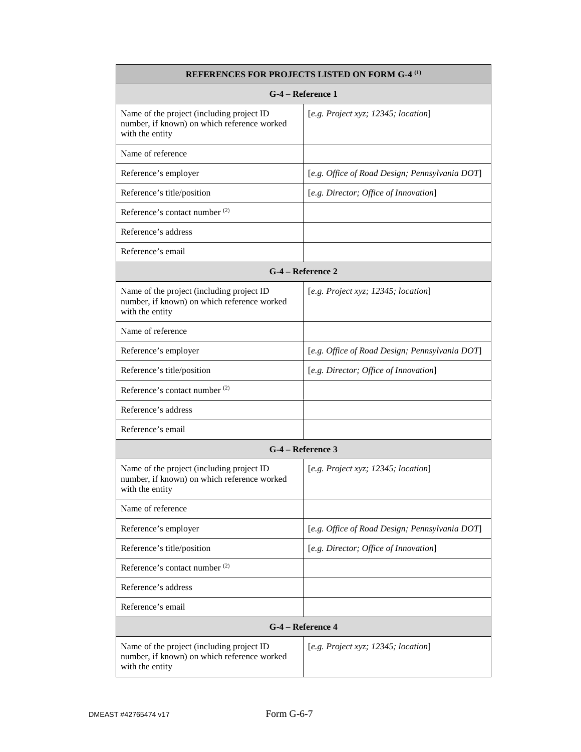| <b>REFERENCES FOR PROJECTS LISTED ON FORM G-4<sup>(1)</sup></b>                                             |                                                |  |  |  |
|-------------------------------------------------------------------------------------------------------------|------------------------------------------------|--|--|--|
| G-4 – Reference 1                                                                                           |                                                |  |  |  |
| Name of the project (including project ID<br>number, if known) on which reference worked<br>with the entity | [e.g. Project xyz; 12345; location]            |  |  |  |
| Name of reference                                                                                           |                                                |  |  |  |
| Reference's employer                                                                                        | [e.g. Office of Road Design; Pennsylvania DOT] |  |  |  |
| Reference's title/position                                                                                  | [e.g. Director; Office of Innovation]          |  |  |  |
| Reference's contact number <sup>(2)</sup>                                                                   |                                                |  |  |  |
| Reference's address                                                                                         |                                                |  |  |  |
| Reference's email                                                                                           |                                                |  |  |  |
|                                                                                                             | G-4 – Reference 2                              |  |  |  |
| Name of the project (including project ID<br>number, if known) on which reference worked<br>with the entity | [e.g. Project xyz; 12345; location]            |  |  |  |
| Name of reference                                                                                           |                                                |  |  |  |
| Reference's employer                                                                                        | [e.g. Office of Road Design; Pennsylvania DOT] |  |  |  |
| Reference's title/position                                                                                  | [e.g. Director; Office of Innovation]          |  |  |  |
| Reference's contact number <sup>(2)</sup>                                                                   |                                                |  |  |  |
| Reference's address                                                                                         |                                                |  |  |  |
| Reference's email                                                                                           |                                                |  |  |  |
| G-4 – Reference 3                                                                                           |                                                |  |  |  |
| Name of the project (including project ID<br>number, if known) on which reference worked<br>with the entity | [e.g. Project xyz; 12345; location]            |  |  |  |
| Name of reference                                                                                           |                                                |  |  |  |
| Reference's employer                                                                                        | [e.g. Office of Road Design; Pennsylvania DOT] |  |  |  |
| Reference's title/position                                                                                  | [e.g. Director; Office of Innovation]          |  |  |  |
| Reference's contact number <sup>(2)</sup>                                                                   |                                                |  |  |  |
| Reference's address                                                                                         |                                                |  |  |  |
| Reference's email                                                                                           |                                                |  |  |  |
| G-4 - Reference 4                                                                                           |                                                |  |  |  |
| Name of the project (including project ID<br>number, if known) on which reference worked<br>with the entity | [e.g. Project xyz; 12345; location]            |  |  |  |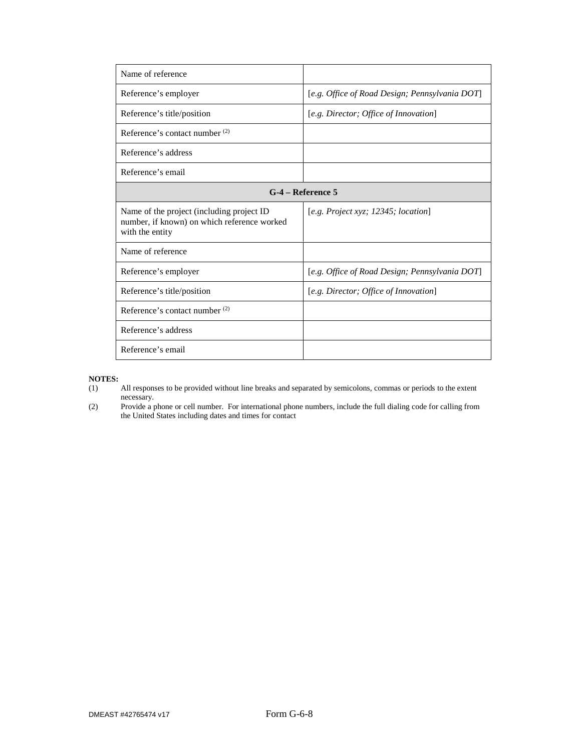| Name of reference                                                                                           |                                                |
|-------------------------------------------------------------------------------------------------------------|------------------------------------------------|
| Reference's employer                                                                                        | [e.g. Office of Road Design; Pennsylvania DOT] |
| Reference's title/position                                                                                  | [e.g. Director; Office of Innovation]          |
| Reference's contact number <sup>(2)</sup>                                                                   |                                                |
| Reference's address                                                                                         |                                                |
| Reference's email                                                                                           |                                                |
|                                                                                                             | $G-4$ – Reference 5                            |
| Name of the project (including project ID<br>number, if known) on which reference worked<br>with the entity | [e.g. Project xyz; 12345; location]            |
| Name of reference                                                                                           |                                                |
| Reference's employer                                                                                        | [e.g. Office of Road Design; Pennsylvania DOT] |
| Reference's title/position                                                                                  | [e.g. Director; Office of Innovation]          |
| Reference's contact number $(2)$                                                                            |                                                |
| Reference's address                                                                                         |                                                |
| Reference's email                                                                                           |                                                |

- All responses to be provided without line breaks and separated by semicolons, commas or periods to the extent necessary.
- (2) Provide a phone or cell number. For international phone numbers, include the full dialing code for calling from the United States including dates and times for contact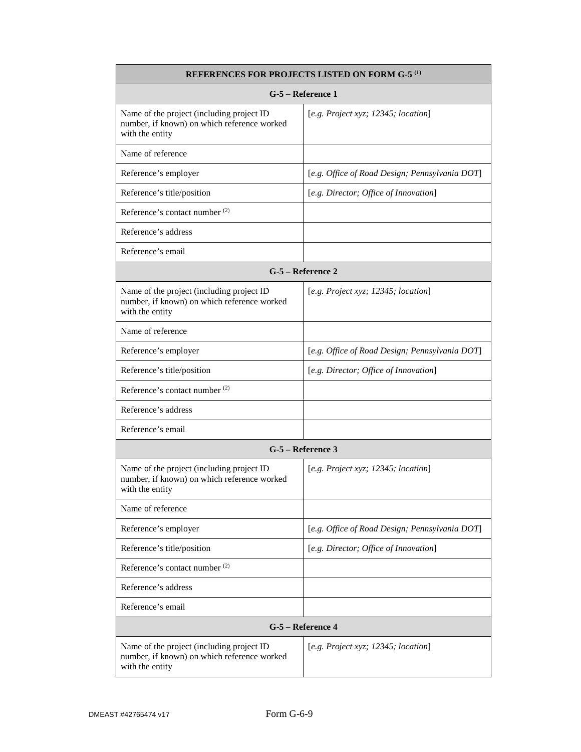| <b>REFERENCES FOR PROJECTS LISTED ON FORM G-5<sup>(1)</sup></b>                                             |                                                |  |  |  |  |
|-------------------------------------------------------------------------------------------------------------|------------------------------------------------|--|--|--|--|
| G-5 - Reference 1                                                                                           |                                                |  |  |  |  |
| Name of the project (including project ID<br>number, if known) on which reference worked<br>with the entity | [e.g. Project xyz; 12345; location]            |  |  |  |  |
| Name of reference                                                                                           |                                                |  |  |  |  |
| Reference's employer                                                                                        | [e.g. Office of Road Design; Pennsylvania DOT] |  |  |  |  |
| Reference's title/position                                                                                  | [e.g. Director; Office of Innovation]          |  |  |  |  |
| Reference's contact number <sup>(2)</sup>                                                                   |                                                |  |  |  |  |
| Reference's address                                                                                         |                                                |  |  |  |  |
| Reference's email                                                                                           |                                                |  |  |  |  |
|                                                                                                             | G-5 - Reference 2                              |  |  |  |  |
| Name of the project (including project ID<br>number, if known) on which reference worked<br>with the entity | [e.g. Project xyz; 12345; location]            |  |  |  |  |
| Name of reference                                                                                           |                                                |  |  |  |  |
| Reference's employer                                                                                        | [e.g. Office of Road Design; Pennsylvania DOT] |  |  |  |  |
| Reference's title/position                                                                                  | [e.g. Director; Office of Innovation]          |  |  |  |  |
| Reference's contact number <sup>(2)</sup>                                                                   |                                                |  |  |  |  |
| Reference's address                                                                                         |                                                |  |  |  |  |
| Reference's email                                                                                           |                                                |  |  |  |  |
|                                                                                                             | G-5 – Reference 3                              |  |  |  |  |
| Name of the project (including project ID<br>number, if known) on which reference worked<br>with the entity | [e.g. Project xyz; 12345; location]            |  |  |  |  |
| Name of reference                                                                                           |                                                |  |  |  |  |
| Reference's employer                                                                                        | [e.g. Office of Road Design; Pennsylvania DOT] |  |  |  |  |
| Reference's title/position                                                                                  | [e.g. Director; Office of Innovation]          |  |  |  |  |
| Reference's contact number <sup>(2)</sup>                                                                   |                                                |  |  |  |  |
| Reference's address                                                                                         |                                                |  |  |  |  |
| Reference's email                                                                                           |                                                |  |  |  |  |
|                                                                                                             | G-5 - Reference 4                              |  |  |  |  |
| Name of the project (including project ID<br>number, if known) on which reference worked<br>with the entity | [e.g. Project xyz; 12345; location]            |  |  |  |  |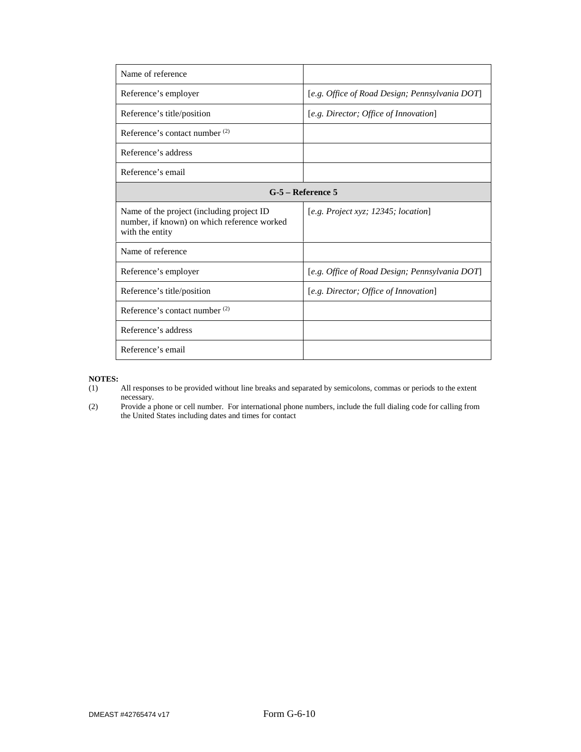| Name of reference                                                                                           |                                                |
|-------------------------------------------------------------------------------------------------------------|------------------------------------------------|
| Reference's employer                                                                                        | [e.g. Office of Road Design; Pennsylvania DOT] |
| Reference's title/position                                                                                  | [e.g. Director; Office of Innovation]          |
| Reference's contact number <sup>(2)</sup>                                                                   |                                                |
| Reference's address                                                                                         |                                                |
| Reference's email                                                                                           |                                                |
|                                                                                                             | $G-5$ – Reference 5                            |
| Name of the project (including project ID<br>number, if known) on which reference worked<br>with the entity | [e.g. Project xyz; 12345; location]            |
| Name of reference                                                                                           |                                                |
| Reference's employer                                                                                        | [e.g. Office of Road Design; Pennsylvania DOT] |
| Reference's title/position                                                                                  | [e.g. Director; Office of Innovation]          |
| Reference's contact number $(2)$                                                                            |                                                |
| Reference's address                                                                                         |                                                |
| Reference's email                                                                                           |                                                |

- All responses to be provided without line breaks and separated by semicolons, commas or periods to the extent necessary.
- (2) Provide a phone or cell number. For international phone numbers, include the full dialing code for calling from the United States including dates and times for contact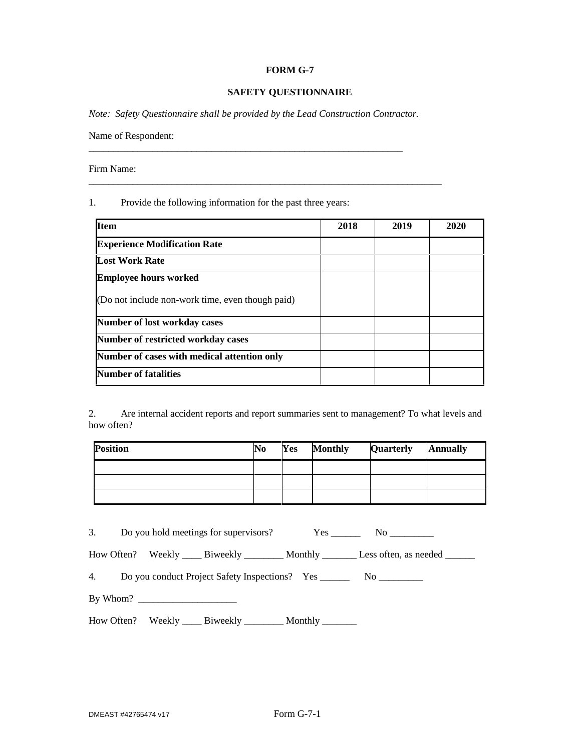#### **FORM G-7**

#### **SAFETY QUESTIONNAIRE**

*Note: Safety Questionnaire shall be provided by the Lead Construction Contractor.* 

\_\_\_\_\_\_\_\_\_\_\_\_\_\_\_\_\_\_\_\_\_\_\_\_\_\_\_\_\_\_\_\_\_\_\_\_\_\_\_\_\_\_\_\_\_\_\_\_\_\_\_\_\_\_\_\_\_\_\_\_\_\_\_\_\_\_\_\_\_\_\_\_

\_\_\_\_\_\_\_\_\_\_\_\_\_\_\_\_\_\_\_\_\_\_\_\_\_\_\_\_\_\_\_\_\_\_\_\_\_\_\_\_\_\_\_\_\_\_\_\_\_\_\_\_\_\_\_\_\_\_\_\_\_\_\_\_

Name of Respondent:

Firm Name:

1. Provide the following information for the past three years:

| <b>Item</b>                                      | 2018 | 2019 | 2020 |
|--------------------------------------------------|------|------|------|
| <b>Experience Modification Rate</b>              |      |      |      |
| <b>Lost Work Rate</b>                            |      |      |      |
| <b>Employee hours worked</b>                     |      |      |      |
| (Do not include non-work time, even though paid) |      |      |      |
| <b>Number of lost workday cases</b>              |      |      |      |
| <b>Number of restricted workday cases</b>        |      |      |      |
| Number of cases with medical attention only      |      |      |      |
| <b>Number of fatalities</b>                      |      |      |      |

2. Are internal accident reports and report summaries sent to management? To what levels and how often?

| <b>Position</b> | N <sub>0</sub> | Yes | <b>Monthly</b> | Quarterly | <b>Annually</b> |
|-----------------|----------------|-----|----------------|-----------|-----------------|
|                 |                |     |                |           |                 |
|                 |                |     |                |           |                 |
|                 |                |     |                |           |                 |

|  |                                                                           | How Often? Weekly ______ Biweekly _________ Monthly _________ Less often, as needed _______ |
|--|---------------------------------------------------------------------------|---------------------------------------------------------------------------------------------|
|  | 4. Do you conduct Project Safety Inspections? Yes _________ No __________ |                                                                                             |
|  |                                                                           |                                                                                             |
|  | How Often? Weekly _____ Biweekly __________ Monthly ________              |                                                                                             |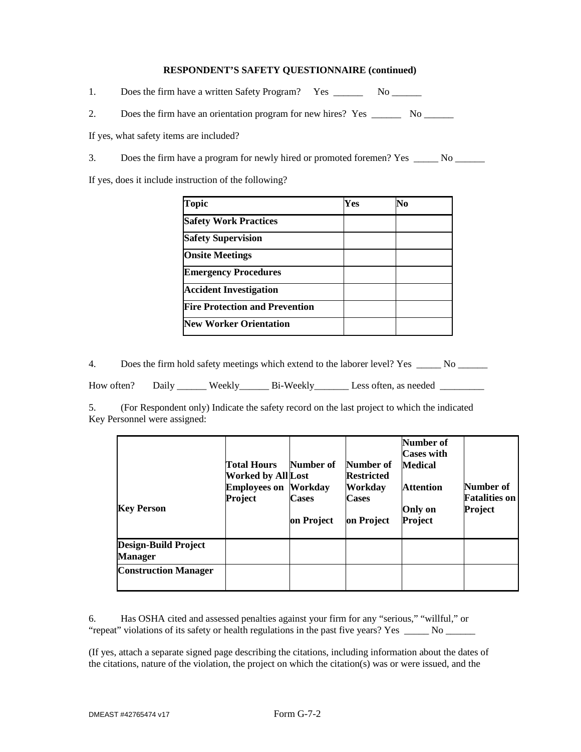#### **RESPONDENT'S SAFETY QUESTIONNAIRE (continued)**

1. Does the firm have a written Safety Program? Yes \_\_\_\_\_\_\_\_ No \_\_\_\_\_\_\_\_

2. Does the firm have an orientation program for new hires? Yes \_\_\_\_\_\_\_\_ No \_\_\_\_\_\_

If yes, what safety items are included?

3. Does the firm have a program for newly hired or promoted foremen? Yes \_\_\_\_\_\_ No \_\_\_\_\_\_

If yes, does it include instruction of the following?

| <b>Topic</b>                          | Yes | No |  |
|---------------------------------------|-----|----|--|
| <b>Safety Work Practices</b>          |     |    |  |
| <b>Safety Supervision</b>             |     |    |  |
| <b>Onsite Meetings</b>                |     |    |  |
| <b>Emergency Procedures</b>           |     |    |  |
| <b>Accident Investigation</b>         |     |    |  |
| <b>Fire Protection and Prevention</b> |     |    |  |
| <b>New Worker Orientation</b>         |     |    |  |

4. Does the firm hold safety meetings which extend to the laborer level? Yes \_\_\_\_\_ No \_\_\_\_\_\_

How often? Daily \_\_\_\_\_\_ Weekly\_\_\_\_\_\_\_ Bi-Weekly\_\_\_\_\_\_\_\_ Less often, as needed \_\_\_\_\_\_\_\_\_

5. (For Respondent only) Indicate the safety record on the last project to which the indicated Key Personnel were assigned:

| <b>Key Person</b>                      | <b>Total Hours</b><br><b>Worked by All Lost</b><br><b>Employees on Workday</b><br>Project | Number of<br><b>Cases</b><br>on Project | Number of<br><b>Restricted</b><br><b>Workday</b><br><b>Cases</b><br>on Project | Number of<br><b>Cases with</b><br><b>Medical</b><br><b>Attention</b><br>Only on<br>Project | Number of<br><b>Fatalities on</b><br>Project |
|----------------------------------------|-------------------------------------------------------------------------------------------|-----------------------------------------|--------------------------------------------------------------------------------|--------------------------------------------------------------------------------------------|----------------------------------------------|
| Design-Build Project<br><b>Manager</b> |                                                                                           |                                         |                                                                                |                                                                                            |                                              |
| <b>Construction Manager</b>            |                                                                                           |                                         |                                                                                |                                                                                            |                                              |

6. Has OSHA cited and assessed penalties against your firm for any "serious," "willful," or "repeat" violations of its safety or health regulations in the past five years? Yes \_\_\_\_\_ No \_\_\_\_\_

(If yes, attach a separate signed page describing the citations, including information about the dates of the citations, nature of the violation, the project on which the citation(s) was or were issued, and the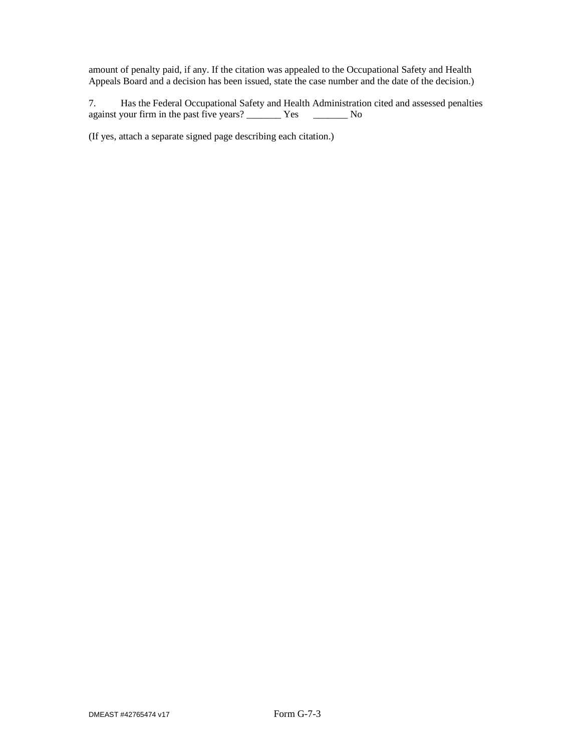amount of penalty paid, if any. If the citation was appealed to the Occupational Safety and Health Appeals Board and a decision has been issued, state the case number and the date of the decision.)

7. Has the Federal Occupational Safety and Health Administration cited and assessed penalties against your firm in the past five years? \_\_\_\_\_\_\_\_ Yes \_\_\_\_\_\_\_\_\_ No

(If yes, attach a separate signed page describing each citation.)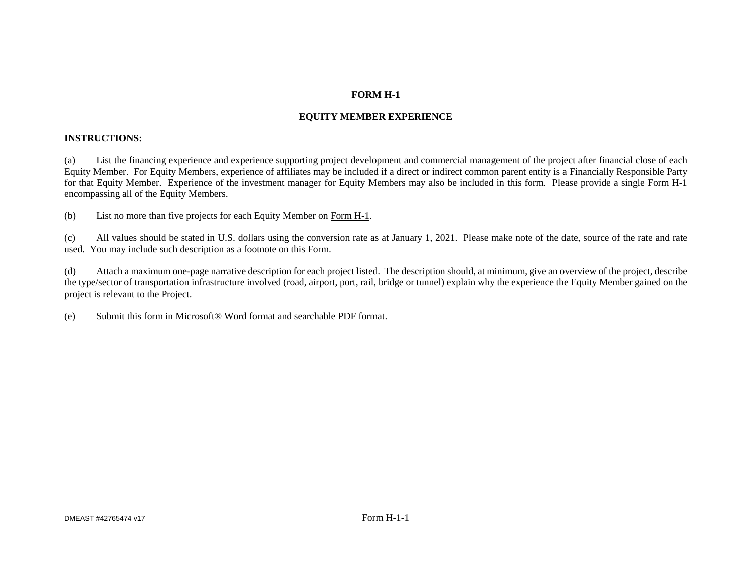### **FORM H-1**

# **EQUITY MEMBER EXPERIENCE**

### **INSTRUCTIONS:**

(a) List the financing experience and experience supporting project development and commercial management of the project after financial close of each Equity Member. For Equity Members, experience of affiliates may be included if a direct or indirect common parent entity is a Financially Responsible Party for that Equity Member. Experience of the investment manager for Equity Members may also be included in this form. Please provide a single Form H-1 encompassing all of the Equity Members.

(b) List no more than five projects for each Equity Member on Form H-1.

(c) All values should be stated in U.S. dollars using the conversion rate as at January 1, 2021. Please make note of the date, source of the rate and rate used. You may include such description as a footnote on this Form.

(d) Attach a maximum one-page narrative description for each project listed. The description should, at minimum, give an overview of the project, describe the type/sector of transportation infrastructure involved (road, airport, port, rail, bridge or tunnel) explain why the experience the Equity Member gained on the project is relevant to the Project.

(e) Submit this form in Microsoft® Word format and searchable PDF format.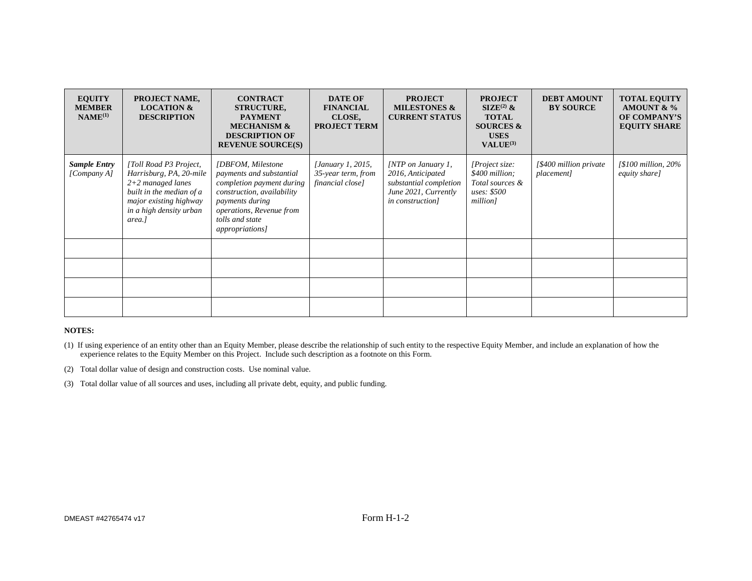| <b>EQUITY</b><br><b>MEMBER</b><br>$NAME^{(1)}$ | PROJECT NAME,<br><b>LOCATION &amp;</b><br><b>DESCRIPTION</b>                                                                                                        | <b>CONTRACT</b><br><b>STRUCTURE,</b><br><b>PAYMENT</b><br><b>MECHANISM &amp;</b><br><b>DESCRIPTION OF</b><br><b>REVENUE SOURCE(S)</b>                                                                  | <b>DATE OF</b><br><b>FINANCIAL</b><br>CLOSE,<br><b>PROJECT TERM</b> | <b>PROJECT</b><br><b>MILESTONES &amp;</b><br><b>CURRENT STATUS</b>                                                     | <b>PROJECT</b><br>$\text{SIZE}^{(2)}$ &<br><b>TOTAL</b><br><b>SOURCES &amp;</b><br><b>USES</b><br>VALUE <sup>(3)</sup> | <b>DEBT AMOUNT</b><br><b>BY SOURCE</b> | <b>TOTAL EQUITY</b><br>AMOUNT & $\%$<br>OF COMPANY'S<br><b>EQUITY SHARE</b> |
|------------------------------------------------|---------------------------------------------------------------------------------------------------------------------------------------------------------------------|--------------------------------------------------------------------------------------------------------------------------------------------------------------------------------------------------------|---------------------------------------------------------------------|------------------------------------------------------------------------------------------------------------------------|------------------------------------------------------------------------------------------------------------------------|----------------------------------------|-----------------------------------------------------------------------------|
| <b>Sample Entry</b><br>[Company A]             | [Toll Road P3 Project,<br>Harrisburg, PA, 20-mile<br>$2+2$ managed lanes<br>built in the median of a<br>major existing highway<br>in a high density urban<br>area.] | [DBFOM, Milestone]<br>payments and substantial<br>completion payment during<br>construction, availability<br>payments during<br>operations, Revenue from<br>tolls and state<br><i>appropriations</i> ] | <i>[January 1, 2015,</i><br>35-year term, from<br>financial close]  | $\text{[NTP}$ on January 1,<br>2016, Anticipated<br>substantial completion<br>June 2021, Currently<br>in construction] | [Project size:<br>\$400 million;<br>Total sources &<br>uses: \$500<br>million]                                         | [\$400 million private]<br>placement]  | $1$100 million, 20\%$<br>equity share]                                      |
|                                                |                                                                                                                                                                     |                                                                                                                                                                                                        |                                                                     |                                                                                                                        |                                                                                                                        |                                        |                                                                             |
|                                                |                                                                                                                                                                     |                                                                                                                                                                                                        |                                                                     |                                                                                                                        |                                                                                                                        |                                        |                                                                             |
|                                                |                                                                                                                                                                     |                                                                                                                                                                                                        |                                                                     |                                                                                                                        |                                                                                                                        |                                        |                                                                             |
|                                                |                                                                                                                                                                     |                                                                                                                                                                                                        |                                                                     |                                                                                                                        |                                                                                                                        |                                        |                                                                             |

#### **NOTES:**

- (1) If using experience of an entity other than an Equity Member, please describe the relationship of such entity to the respective Equity Member, and include an explanation of how the experience relates to the Equity Member on this Project. Include such description as a footnote on this Form.
- (2) Total dollar value of design and construction costs. Use nominal value.
- (3) Total dollar value of all sources and uses, including all private debt, equity, and public funding.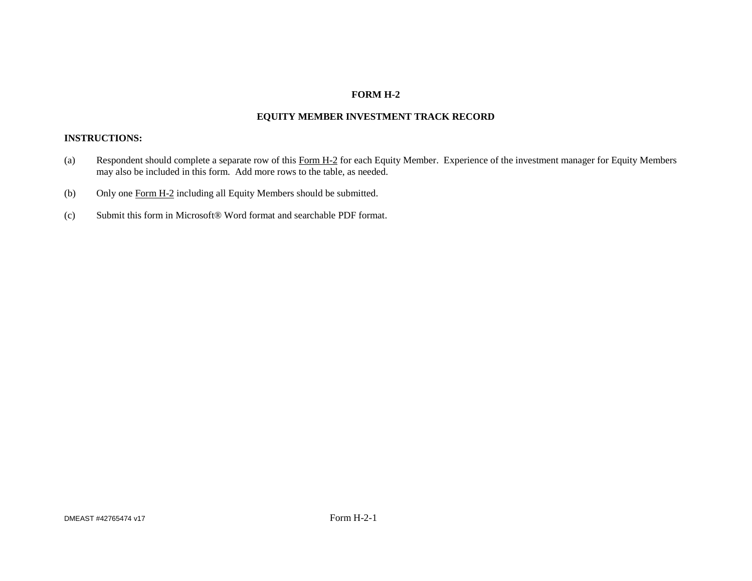## **FORM H-2**

# **EQUITY MEMBER INVESTMENT TRACK RECORD**

#### **INSTRUCTIONS:**

- (a) Respondent should complete a separate row of this Form H-2 for each Equity Member. Experience of the investment manager for Equity Members may also be included in this form. Add more rows to the table, as needed.
- (b) Only one Form H-2 including all Equity Members should be submitted.
- (c) Submit this form in Microsoft® Word format and searchable PDF format.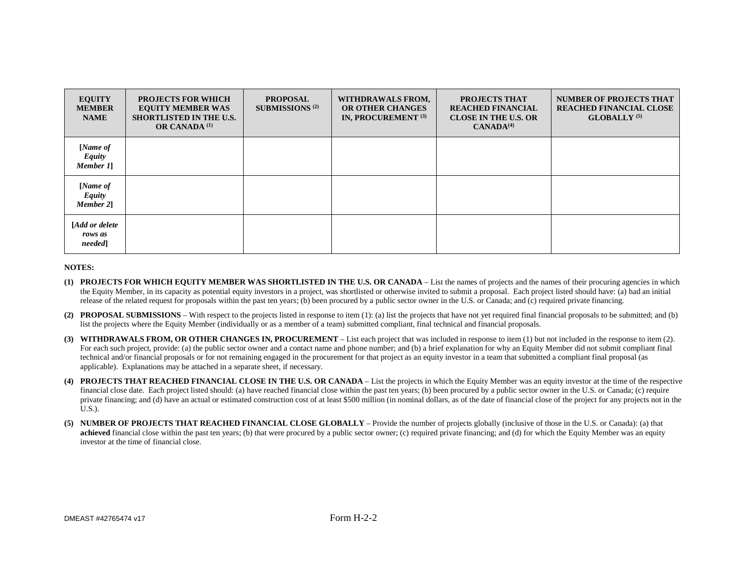| <b>EQUITY</b><br><b>MEMBER</b><br><b>NAME</b> | <b>PROJECTS FOR WHICH</b><br><b>EQUITY MEMBER WAS</b><br><b>SHORTLISTED IN THE U.S.</b><br><b>OR CANADA</b> <sup>(1)</sup> | <b>PROPOSAL</b><br><b>SUBMISSIONS</b> <sup>(2)</sup> | WITHDRAWALS FROM,<br>OR OTHER CHANGES<br><b>IN, PROCUREMENT (3)</b> | PROJECTS THAT<br><b>REACHED FINANCIAL</b><br><b>CLOSE IN THE U.S. OR</b><br>CANADA <sup>(4)</sup> | <b>NUMBER OF PROJECTS THAT</b><br><b>REACHED FINANCIAL CLOSE</b><br>GLOBALLY <sup>(5)</sup> |
|-----------------------------------------------|----------------------------------------------------------------------------------------------------------------------------|------------------------------------------------------|---------------------------------------------------------------------|---------------------------------------------------------------------------------------------------|---------------------------------------------------------------------------------------------|
| [Name of<br><b>Equity</b><br>Member 1]        |                                                                                                                            |                                                      |                                                                     |                                                                                                   |                                                                                             |
| [Name of<br><b>Equity</b><br>Member 21        |                                                                                                                            |                                                      |                                                                     |                                                                                                   |                                                                                             |
| [Add or delete<br>rows as<br>needed           |                                                                                                                            |                                                      |                                                                     |                                                                                                   |                                                                                             |

#### **NOTES:**

- **(1) PROJECTS FOR WHICH EQUITY MEMBER WAS SHORTLISTED IN THE U.S. OR CANADA**  List the names of projects and the names of their procuring agencies in which the Equity Member, in its capacity as potential equity investors in a project, was shortlisted or otherwise invited to submit a proposal. Each project listed should have: (a) had an initial release of the related request for proposals within the past ten years; (b) been procured by a public sector owner in the U.S. or Canada; and (c) required private financing.
- (2) **PROPOSAL SUBMISSIONS** With respect to the projects listed in response to item (1): (a) list the projects that have not yet required final financial proposals to be submitted; and (b) list the projects where the Equity Member (individually or as a member of a team) submitted compliant, final technical and financial proposals.
- **(3) WITHDRAWALS FROM, OR OTHER CHANGES IN, PROCUREMENT** List each project that was included in response to item (1) but not included in the response to item (2). For each such project, provide: (a) the public sector owner and a contact name and phone number; and (b) a brief explanation for why an Equity Member did not submit compliant final technical and/or financial proposals or for not remaining engaged in the procurement for that project as an equity investor in a team that submitted a compliant final proposal (as applicable). Explanations may be attached in a separate sheet, if necessary.
- **PROJECTS THAT REACHED FINANCIAL CLOSE IN THE U.S. OR CANADA** List the projects in which the Equity Member was an equity investor at the time of the respective financial close date. Each project listed should: (a) have reached financial close within the past ten years; (b) been procured by a public sector owner in the U.S. or Canada; (c) require private financing; and (d) have an actual or estimated construction cost of at least \$500 million (in nominal dollars, as of the date of financial close of the project for any projects not in the  $U.S.$ ).
- **(5) NUMBER OF PROJECTS THAT REACHED FINANCIAL CLOSE GLOBALLY** Provide the number of projects globally (inclusive of those in the U.S. or Canada): (a) that **achieved** financial close within the past ten years; (b) that were procured by a public sector owner; (c) required private financing; and (d) for which the Equity Member was an equity investor at the time of financial close.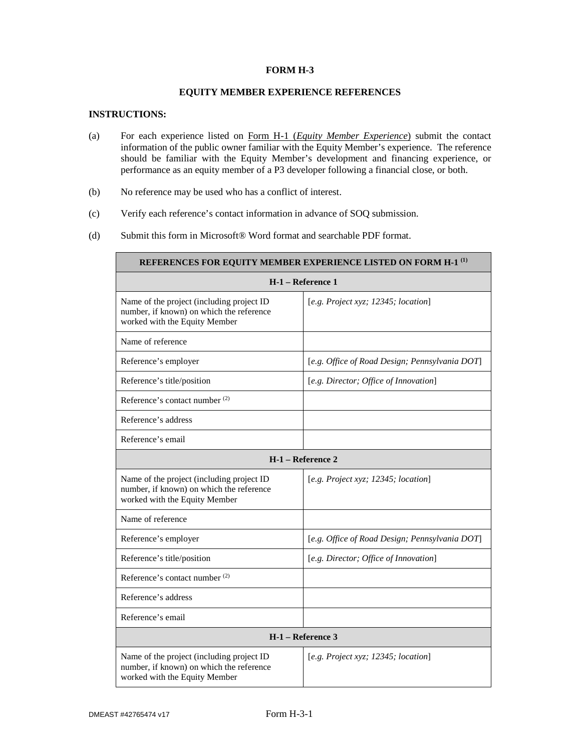#### **FORM H-3**

#### **EQUITY MEMBER EXPERIENCE REFERENCES**

#### **INSTRUCTIONS:**

п

- (a) For each experience listed on Form H-1 (*Equity Member Experience*) submit the contact information of the public owner familiar with the Equity Member's experience. The reference should be familiar with the Equity Member's development and financing experience, or performance as an equity member of a P3 developer following a financial close, or both.
- (b) No reference may be used who has a conflict of interest.
- (c) Verify each reference's contact information in advance of SOQ submission.
- (d) Submit this form in Microsoft® Word format and searchable PDF format.

| REFERENCES FOR EQUITY MEMBER EXPERIENCE LISTED ON FORM H-1 <sup>(1)</sup>                                              |                                                |  |  |  |
|------------------------------------------------------------------------------------------------------------------------|------------------------------------------------|--|--|--|
|                                                                                                                        | H-1 - Reference 1                              |  |  |  |
| Name of the project (including project ID<br>number, if known) on which the reference<br>worked with the Equity Member | [e.g. Project xyz; 12345; location]            |  |  |  |
| Name of reference                                                                                                      |                                                |  |  |  |
| Reference's employer                                                                                                   | [e.g. Office of Road Design; Pennsylvania DOT] |  |  |  |
| Reference's title/position                                                                                             | [e.g. Director; Office of Innovation]          |  |  |  |
| Reference's contact number <sup>(2)</sup>                                                                              |                                                |  |  |  |
| Reference's address                                                                                                    |                                                |  |  |  |
| Reference's email                                                                                                      |                                                |  |  |  |
| H-1 – Reference 2                                                                                                      |                                                |  |  |  |
| Name of the project (including project ID<br>number, if known) on which the reference<br>worked with the Equity Member | [e.g. Project xyz; 12345; location]            |  |  |  |
| Name of reference                                                                                                      |                                                |  |  |  |
| Reference's employer                                                                                                   | [e.g. Office of Road Design; Pennsylvania DOT] |  |  |  |
| Reference's title/position                                                                                             | [e.g. Director; Office of Innovation]          |  |  |  |
| Reference's contact number <sup>(2)</sup>                                                                              |                                                |  |  |  |
| Reference's address                                                                                                    |                                                |  |  |  |
| Reference's email                                                                                                      |                                                |  |  |  |
| H-1 – Reference 3                                                                                                      |                                                |  |  |  |
| Name of the project (including project ID<br>number, if known) on which the reference<br>worked with the Equity Member | [e.g. Project xyz; 12345; location]            |  |  |  |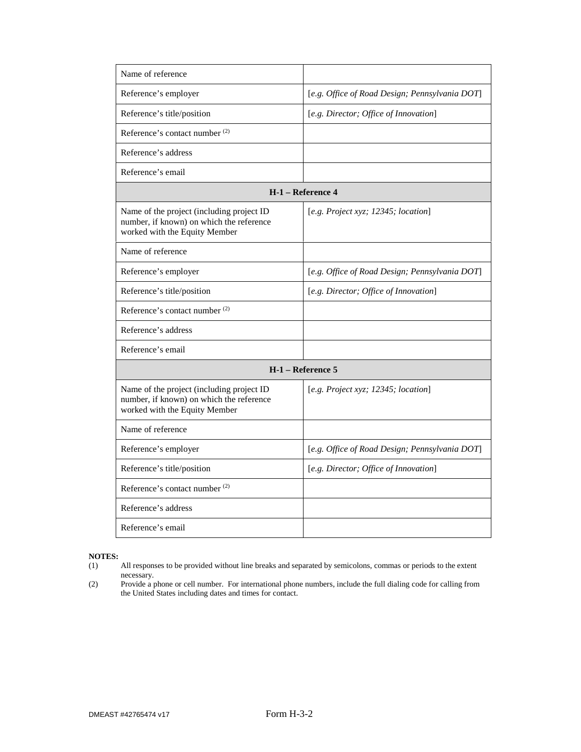| Name of reference                                                                                                      |                                                |
|------------------------------------------------------------------------------------------------------------------------|------------------------------------------------|
| Reference's employer                                                                                                   | [e.g. Office of Road Design; Pennsylvania DOT] |
| Reference's title/position                                                                                             | [e.g. Director; Office of Innovation]          |
| Reference's contact number <sup>(2)</sup>                                                                              |                                                |
| Reference's address                                                                                                    |                                                |
| Reference's email                                                                                                      |                                                |
|                                                                                                                        | H-1 - Reference 4                              |
| Name of the project (including project ID<br>number, if known) on which the reference<br>worked with the Equity Member | [e.g. Project xyz; 12345; location]            |
| Name of reference                                                                                                      |                                                |
| Reference's employer                                                                                                   | [e.g. Office of Road Design; Pennsylvania DOT] |
| Reference's title/position                                                                                             | [e.g. Director; Office of Innovation]          |
| Reference's contact number <sup>(2)</sup>                                                                              |                                                |
| Reference's address                                                                                                    |                                                |
| Reference's email                                                                                                      |                                                |
|                                                                                                                        | H-1 – Reference 5                              |
| Name of the project (including project ID<br>number, if known) on which the reference<br>worked with the Equity Member | [e.g. Project xyz; 12345; location]            |
| Name of reference                                                                                                      |                                                |
| Reference's employer                                                                                                   | [e.g. Office of Road Design; Pennsylvania DOT] |
| Reference's title/position                                                                                             | [e.g. Director; Office of Innovation]          |
| Reference's contact number <sup>(2)</sup>                                                                              |                                                |
| Reference's address                                                                                                    |                                                |
| Reference's email                                                                                                      |                                                |

- All responses to be provided without line breaks and separated by semicolons, commas or periods to the extent necessary.
- (2) Provide a phone or cell number. For international phone numbers, include the full dialing code for calling from the United States including dates and times for contact.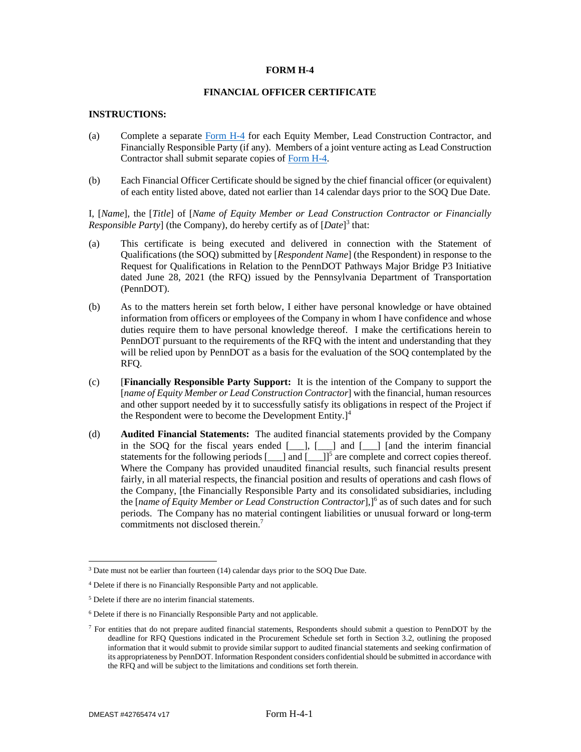#### **FORM H-4**

### **FINANCIAL OFFICER CERTIFICATE**

#### **INSTRUCTIONS:**

- (a) Complete a separate Form H-4 for each Equity Member, Lead Construction Contractor, and Financially Responsible Party (if any). Members of a joint venture acting as Lead Construction Contractor shall submit separate copies of Form H-4.
- (b) Each Financial Officer Certificate should be signed by the chief financial officer (or equivalent) of each entity listed above, dated not earlier than 14 calendar days prior to the SOQ Due Date.

I, [*Name*], the [*Title*] of [*Name of Equity Member or Lead Construction Contractor or Financially Responsible Party*] (the Company), do hereby certify as of [*Date*]<sup>3</sup> that:

- (a) This certificate is being executed and delivered in connection with the Statement of Qualifications (the SOQ) submitted by [*Respondent Name*] (the Respondent) in response to the Request for Qualifications in Relation to the PennDOT Pathways Major Bridge P3 Initiative dated June 28, 2021 (the RFQ) issued by the Pennsylvania Department of Transportation (PennDOT).
- (b) As to the matters herein set forth below, I either have personal knowledge or have obtained information from officers or employees of the Company in whom I have confidence and whose duties require them to have personal knowledge thereof. I make the certifications herein to PennDOT pursuant to the requirements of the RFQ with the intent and understanding that they will be relied upon by PennDOT as a basis for the evaluation of the SOQ contemplated by the RFQ.
- (c) [**Financially Responsible Party Support:** It is the intention of the Company to support the [*name of Equity Member or Lead Construction Contractor*] with the financial, human resources and other support needed by it to successfully satisfy its obligations in respect of the Project if the Respondent were to become the Development Entity. $]^{4}$
- (d) **Audited Financial Statements:** The audited financial statements provided by the Company in the SOQ for the fiscal years ended [\_\_\_], [\_\_\_] and [\_\_\_] [and the interim financial statements for the following periods  $[\_\]$  and  $[\_\]$ <sup>5</sup> are complete and correct copies thereof. Where the Company has provided unaudited financial results, such financial results present fairly, in all material respects, the financial position and results of operations and cash flows of the Company, [the Financially Responsible Party and its consolidated subsidiaries, including the [*name of Equity Member or Lead Construction Contractor*], <sup>6</sup> as of such dates and for such periods. The Company has no material contingent liabilities or unusual forward or long-term commitments not disclosed therein.<sup>7</sup>

<sup>&</sup>lt;sup>3</sup> Date must not be earlier than fourteen (14) calendar days prior to the SOQ Due Date.

<sup>4</sup> Delete if there is no Financially Responsible Party and not applicable.

<sup>5</sup> Delete if there are no interim financial statements.

<sup>6</sup> Delete if there is no Financially Responsible Party and not applicable.

<sup>&</sup>lt;sup>7</sup> For entities that do not prepare audited financial statements, Respondents should submit a question to PennDOT by the deadline for RFQ Questions indicated in the Procurement Schedule set forth in Section 3.2, outlining the proposed information that it would submit to provide similar support to audited financial statements and seeking confirmation of its appropriateness by PennDOT. Information Respondent considers confidential should be submitted in accordance with the RFQ and will be subject to the limitations and conditions set forth therein.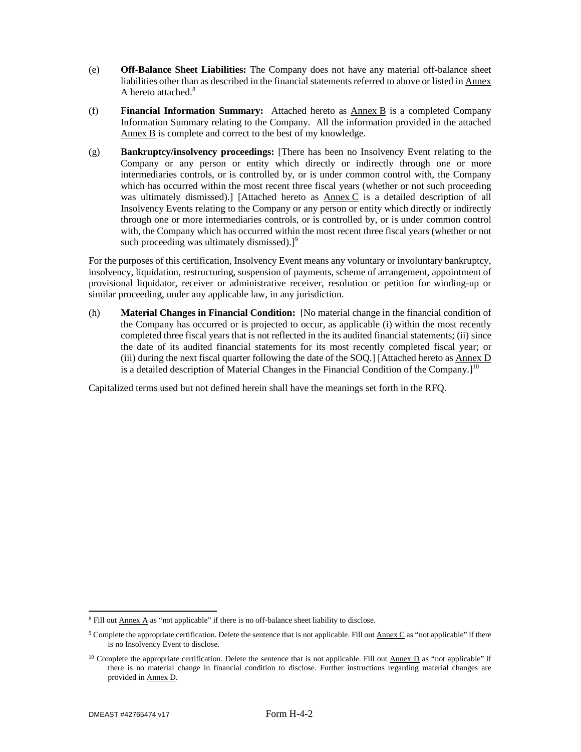- (e) **Off-Balance Sheet Liabilities:** The Company does not have any material off-balance sheet liabilities other than as described in the financial statements referred to above or listed in Annex A hereto attached.<sup>8</sup>
- (f) **Financial Information Summary:** Attached hereto as Annex B is a completed Company Information Summary relating to the Company. All the information provided in the attached Annex B is complete and correct to the best of my knowledge.
- (g) **Bankruptcy/insolvency proceedings:** [There has been no Insolvency Event relating to the Company or any person or entity which directly or indirectly through one or more intermediaries controls, or is controlled by, or is under common control with, the Company which has occurred within the most recent three fiscal years (whether or not such proceeding was ultimately dismissed).] [Attached hereto as Annex C is a detailed description of all Insolvency Events relating to the Company or any person or entity which directly or indirectly through one or more intermediaries controls, or is controlled by, or is under common control with, the Company which has occurred within the most recent three fiscal years (whether or not such proceeding was ultimately dismissed). $]^{9}$

For the purposes of this certification, Insolvency Event means any voluntary or involuntary bankruptcy, insolvency, liquidation, restructuring, suspension of payments, scheme of arrangement, appointment of provisional liquidator, receiver or administrative receiver, resolution or petition for winding-up or similar proceeding, under any applicable law, in any jurisdiction.

(h) **Material Changes in Financial Condition:** [No material change in the financial condition of the Company has occurred or is projected to occur, as applicable (i) within the most recently completed three fiscal years that is not reflected in the its audited financial statements; (ii) since the date of its audited financial statements for its most recently completed fiscal year; or (iii) during the next fiscal quarter following the date of the SOQ.] [Attached hereto as Annex D is a detailed description of Material Changes in the Financial Condition of the Company.]<sup>10</sup>

Capitalized terms used but not defined herein shall have the meanings set forth in the RFQ.

 $8$  Fill out  $\Delta$ nnex  $\Delta$  as "not applicable" if there is no off-balance sheet liability to disclose.

<sup>&</sup>lt;sup>9</sup> Complete the appropriate certification. Delete the sentence that is not applicable. Fill out **Annex C** as "not applicable" if there is no Insolvency Event to disclose.

<sup>&</sup>lt;sup>10</sup> Complete the appropriate certification. Delete the sentence that is not applicable. Fill out  $\underline{Annex\ D}$  as "not applicable" if there is no material change in financial condition to disclose. Further instructions regarding material changes are provided in Annex D.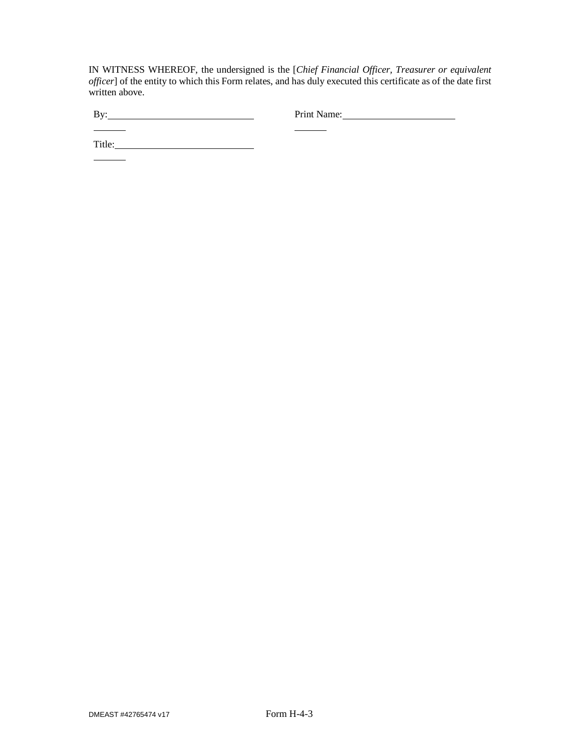IN WITNESS WHEREOF, the undersigned is the [*Chief Financial Officer, Treasurer or equivalent officer*] of the entity to which this Form relates, and has duly executed this certificate as of the date first written above.

 $\overline{\phantom{a}}$ 

 $\frac{1}{\sqrt{2\pi}}\left( \frac{1}{\sqrt{2\pi}}\right) \left( \frac{1}{\sqrt{2\pi}}\right) \left( \frac{1}{\sqrt{2\pi}}\right) \left( \frac{1}{\sqrt{2\pi}}\right) \left( \frac{1}{\sqrt{2\pi}}\right) \left( \frac{1}{\sqrt{2\pi}}\right) \left( \frac{1}{\sqrt{2\pi}}\right) \left( \frac{1}{\sqrt{2\pi}}\right) \left( \frac{1}{\sqrt{2\pi}}\right) \left( \frac{1}{\sqrt{2\pi}}\right) \left( \frac{1}{\sqrt{2\pi}}\right) \left( \frac{1}{\sqrt$ 

By: Print Name: Print Name:

Title:

 $\overline{\phantom{a}}$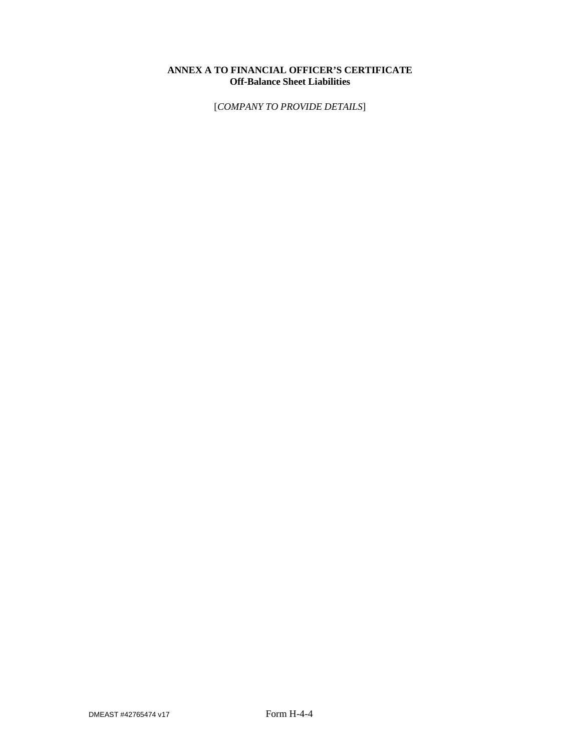# **ANNEX A TO FINANCIAL OFFICER'S CERTIFICATE Off-Balance Sheet Liabilities**

[*COMPANY TO PROVIDE DETAILS*]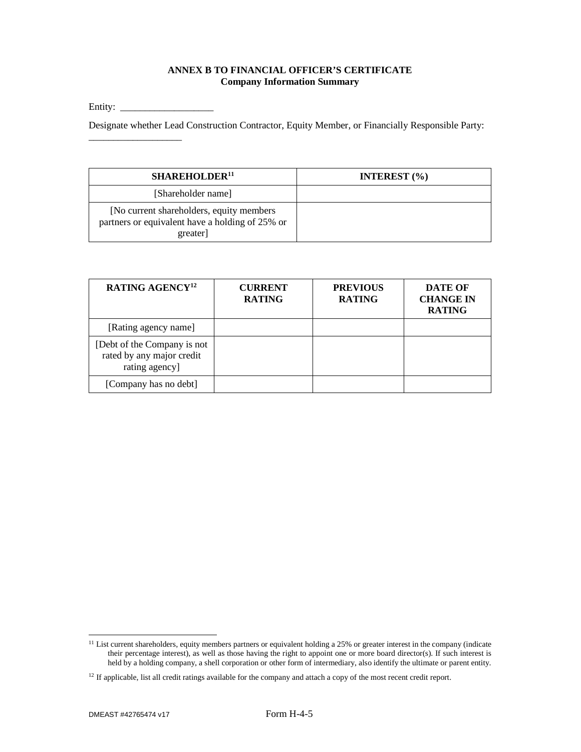### **ANNEX B TO FINANCIAL OFFICER'S CERTIFICATE Company Information Summary**

Entity: \_\_\_\_\_\_\_\_\_\_\_\_\_\_\_\_\_\_\_

\_\_\_\_\_\_\_\_\_\_\_\_\_\_\_\_\_\_\_

Designate whether Lead Construction Contractor, Equity Member, or Financially Responsible Party:

| SHAREHOLDER <sup>11</sup>                                                                                | INTEREST $(\% )$ |
|----------------------------------------------------------------------------------------------------------|------------------|
| [Shareholder name]                                                                                       |                  |
| [No current shareholders, equity members]<br>partners or equivalent have a holding of 25% or<br>greater] |                  |

| RATING AGENCY <sup>12</sup>                                                | <b>CURRENT</b><br><b>RATING</b> | <b>PREVIOUS</b><br><b>RATING</b> | <b>DATE OF</b><br><b>CHANGE IN</b><br><b>RATING</b> |
|----------------------------------------------------------------------------|---------------------------------|----------------------------------|-----------------------------------------------------|
| [Rating agency name]                                                       |                                 |                                  |                                                     |
| [Debt of the Company is not<br>rated by any major credit<br>rating agency] |                                 |                                  |                                                     |
| [Company has no debt]                                                      |                                 |                                  |                                                     |

<sup>&</sup>lt;sup>11</sup> List current shareholders, equity members partners or equivalent holding a 25% or greater interest in the company (indicate their percentage interest), as well as those having the right to appoint one or more board director(s). If such interest is held by a holding company, a shell corporation or other form of intermediary, also identify the ultimate or parent entity.

<sup>&</sup>lt;sup>12</sup> If applicable, list all credit ratings available for the company and attach a copy of the most recent credit report.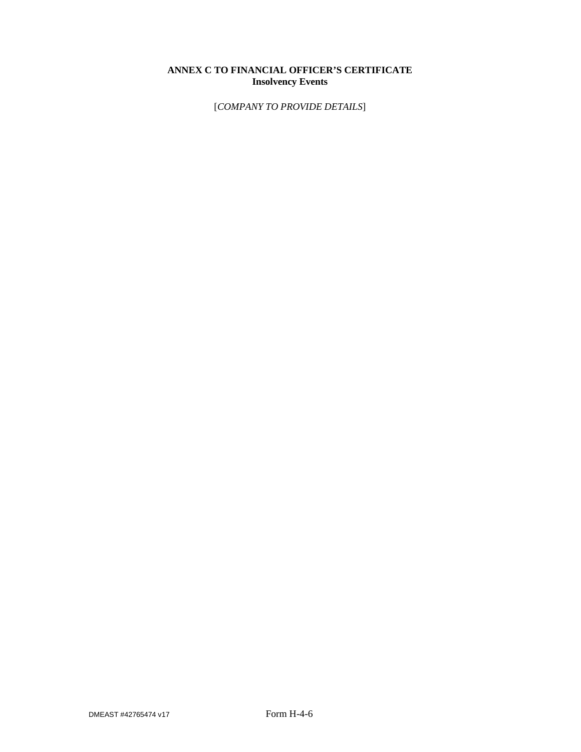# **ANNEX C TO FINANCIAL OFFICER'S CERTIFICATE Insolvency Events**

[*COMPANY TO PROVIDE DETAILS*]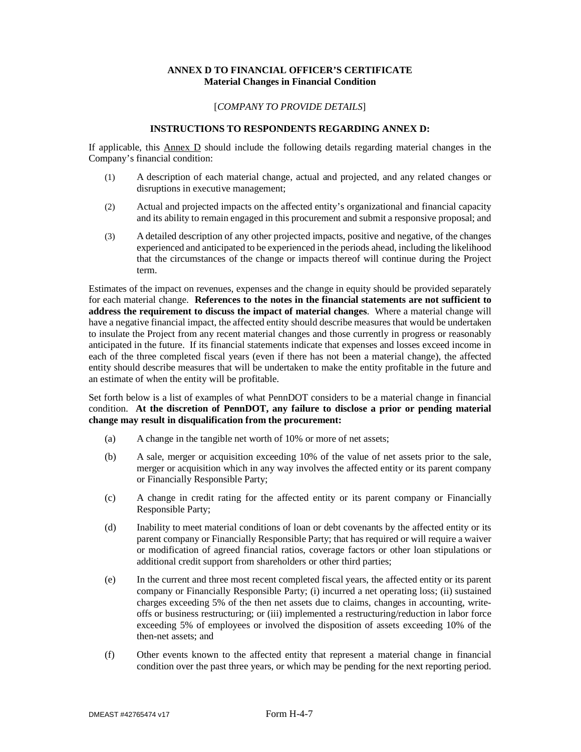#### **ANNEX D TO FINANCIAL OFFICER'S CERTIFICATE Material Changes in Financial Condition**

#### [*COMPANY TO PROVIDE DETAILS*]

#### **INSTRUCTIONS TO RESPONDENTS REGARDING ANNEX D:**

If applicable, this Annex D should include the following details regarding material changes in the Company's financial condition:

- (1) A description of each material change, actual and projected, and any related changes or disruptions in executive management;
- (2) Actual and projected impacts on the affected entity's organizational and financial capacity and its ability to remain engaged in this procurement and submit a responsive proposal; and
- (3) A detailed description of any other projected impacts, positive and negative, of the changes experienced and anticipated to be experienced in the periods ahead, including the likelihood that the circumstances of the change or impacts thereof will continue during the Project term.

Estimates of the impact on revenues, expenses and the change in equity should be provided separately for each material change. **References to the notes in the financial statements are not sufficient to address the requirement to discuss the impact of material changes**. Where a material change will have a negative financial impact, the affected entity should describe measures that would be undertaken to insulate the Project from any recent material changes and those currently in progress or reasonably anticipated in the future. If its financial statements indicate that expenses and losses exceed income in each of the three completed fiscal years (even if there has not been a material change), the affected entity should describe measures that will be undertaken to make the entity profitable in the future and an estimate of when the entity will be profitable.

Set forth below is a list of examples of what PennDOT considers to be a material change in financial condition. **At the discretion of PennDOT, any failure to disclose a prior or pending material change may result in disqualification from the procurement:** 

- (a) A change in the tangible net worth of 10% or more of net assets;
- (b) A sale, merger or acquisition exceeding 10% of the value of net assets prior to the sale, merger or acquisition which in any way involves the affected entity or its parent company or Financially Responsible Party;
- (c) A change in credit rating for the affected entity or its parent company or Financially Responsible Party;
- (d) Inability to meet material conditions of loan or debt covenants by the affected entity or its parent company or Financially Responsible Party; that has required or will require a waiver or modification of agreed financial ratios, coverage factors or other loan stipulations or additional credit support from shareholders or other third parties;
- (e) In the current and three most recent completed fiscal years, the affected entity or its parent company or Financially Responsible Party; (i) incurred a net operating loss; (ii) sustained charges exceeding 5% of the then net assets due to claims, changes in accounting, writeoffs or business restructuring; or (iii) implemented a restructuring/reduction in labor force exceeding 5% of employees or involved the disposition of assets exceeding 10% of the then-net assets; and
- (f) Other events known to the affected entity that represent a material change in financial condition over the past three years, or which may be pending for the next reporting period.